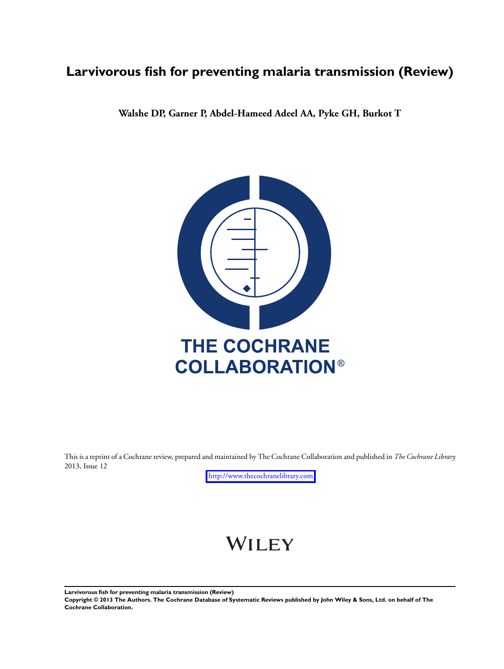# **Larvivorous fish for preventing malaria transmission (Review)**

**Walshe DP, Garner P, Abdel-Hameed Adeel AA, Pyke GH, Burkot T**



This is a reprint of a Cochrane review, prepared and maintained by The Cochrane Collaboration and published in *The Cochrane Library* 2013, Issue 12

<http://www.thecochranelibrary.com>

# WILEY

**Larvivorous fish for preventing malaria transmission (Review)**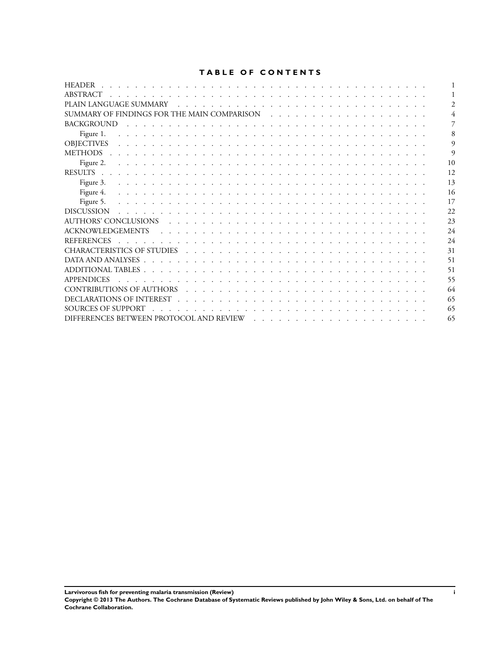# **TABLE OF CONTENTS**

| <b>HEADER</b>                                                                                                                              |
|--------------------------------------------------------------------------------------------------------------------------------------------|
| ABSTRACT                                                                                                                                   |
| PLAIN LANGUAGE SUMMARY                                                                                                                     |
| SUMMARY OF FINDINGS FOR THE MAIN COMPARISON<br>.                                                                                           |
| <b>BACKGROUND</b>                                                                                                                          |
| Figure 1.                                                                                                                                  |
| <b>OBJECTIVES</b><br>9                                                                                                                     |
| <b>METHODS</b><br>9<br>the contract of the contract of the contract of the contract of the contract of the contract of the contract of     |
| Figure 2.<br>10<br>the contract of the contract of the contract of the contract of the contract of the contract of the contract of         |
| <b>RESULTS</b><br>12                                                                                                                       |
| 13<br>Figure 3.                                                                                                                            |
| Figure 4.<br>16<br>the contract of the contract of the contract of the contract of the contract of the contract of                         |
| Figure 5.<br>17                                                                                                                            |
| <b>DISCUSSION</b><br>22                                                                                                                    |
| AUTHORS' CONCLUSIONS<br>23                                                                                                                 |
| <b>ACKNOWLEDGEMENTS</b><br>24                                                                                                              |
| <b>REFERENCES</b><br>24                                                                                                                    |
| 31                                                                                                                                         |
| DATA AND ANALYSES<br>51<br>the contract of the contract of the contract of the contract of the contract of the contract of the contract of |
| 51                                                                                                                                         |
| <b>APPENDICES</b><br>55<br>the contract of the contract of the contract of the contract of the contract of the contract of the contract of |
| 64<br>CONTRIBUTIONS OF AUTHORS                                                                                                             |
| 65<br>DECLARATIONS OF INTEREST                                                                                                             |
| 65<br>SOURCES OF SUPPORT                                                                                                                   |
| 65<br>DIFFERENCES BETWEEN PROTOCOL AND REVIEW                                                                                              |

**Larvivorous fish for preventing malaria transmission (Review) i**

**Copyright © 2013 The Authors. The Cochrane Database of Systematic Reviews published by John Wiley & Sons, Ltd. on behalf of The Cochrane Collaboration.**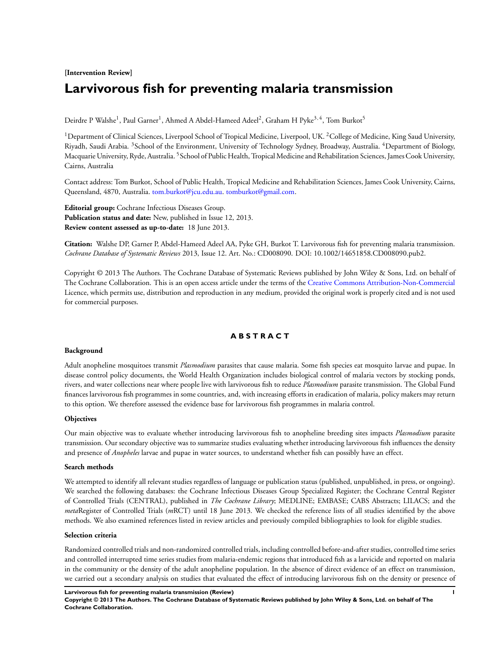### **[Intervention Review]**

# **Larvivorous fish for preventing malaria transmission**

Deirdre P Walshe<sup>1</sup>, Paul Garner<sup>1</sup>, Ahmed A Abdel-Hameed Adeel<sup>2</sup>, Graham H Pyke<sup>3,4</sup>, Tom Burkot<sup>5</sup>

<sup>1</sup>Department of Clinical Sciences, Liverpool School of Tropical Medicine, Liverpool, UK.<sup>2</sup>College of Medicine, King Saud University, Riyadh, Saudi Arabia. <sup>3</sup>School of the Environment, University of Technology Sydney, Broadway, Australia. <sup>4</sup>Department of Biology, Macquarie University, Ryde, Australia. <sup>5</sup>School of Public Health, Tropical Medicine and Rehabilitation Sciences, James Cook University, Cairns, Australia

Contact address: Tom Burkot, School of Public Health, Tropical Medicine and Rehabilitation Sciences, James Cook University, Cairns, Queensland, 4870, Australia. [tom.burkot@jcu.edu.au.](mailto:tom.burkot@jcu.edu.au) [tomburkot@gmail.com](mailto:tomburkot@gmail.com).

**Editorial group:** Cochrane Infectious Diseases Group. **Publication status and date:** New, published in Issue 12, 2013. **Review content assessed as up-to-date:** 18 June 2013.

**Citation:** Walshe DP, Garner P, Abdel-Hameed Adeel AA, Pyke GH, Burkot T. Larvivorous fish for preventing malaria transmission. *Cochrane Database of Systematic Reviews* 2013, Issue 12. Art. No.: CD008090. DOI: 10.1002/14651858.CD008090.pub2.

Copyright © 2013 The Authors. The Cochrane Database of Systematic Reviews published by John Wiley & Sons, Ltd. on behalf of The Cochrane Collaboration. This is an open access article under the terms of the [Creative Commons Attribution-Non-Commercial](http://creativecommons.org/licenses/by-nc/3.0/) Licence, which permits use, distribution and reproduction in any medium, provided the original work is properly cited and is not used for commercial purposes.

# **A B S T R A C T**

#### **Background**

Adult anopheline mosquitoes transmit *Plasmodium* parasites that cause malaria. Some fish species eat mosquito larvae and pupae. In disease control policy documents, the World Health Organization includes biological control of malaria vectors by stocking ponds, rivers, and water collections near where people live with larvivorous fish to reduce *Plasmodium* parasite transmission. The Global Fund finances larvivorous fish programmes in some countries, and, with increasing efforts in eradication of malaria, policy makers may return to this option. We therefore assessed the evidence base for larvivorous fish programmes in malaria control.

# **Objectives**

Our main objective was to evaluate whether introducing larvivorous fish to anopheline breeding sites impacts *Plasmodium* parasite transmission. Our secondary objective was to summarize studies evaluating whether introducing larvivorous fish influences the density and presence of *Anopheles* larvae and pupae in water sources, to understand whether fish can possibly have an effect.

# **Search methods**

We attempted to identify all relevant studies regardless of language or publication status (published, unpublished, in press, or ongoing). We searched the following databases: the Cochrane Infectious Diseases Group Specialized Register; the Cochrane Central Register of Controlled Trials (CENTRAL), published in *The Cochrane Library*; MEDLINE; EMBASE; CABS Abstracts; LILACS; and the *meta*Register of Controlled Trials (*m*RCT) until 18 June 2013. We checked the reference lists of all studies identified by the above methods. We also examined references listed in review articles and previously compiled bibliographies to look for eligible studies.

#### **Selection criteria**

Randomized controlled trials and non-randomized controlled trials, including controlled before-and-after studies, controlled time series and controlled interrupted time series studies from malaria-endemic regions that introduced fish as a larvicide and reported on malaria in the community or the density of the adult anopheline population. In the absence of direct evidence of an effect on transmission, we carried out a secondary analysis on studies that evaluated the effect of introducing larvivorous fish on the density or presence of

**Larvivorous fish for preventing malaria transmission (Review) 1**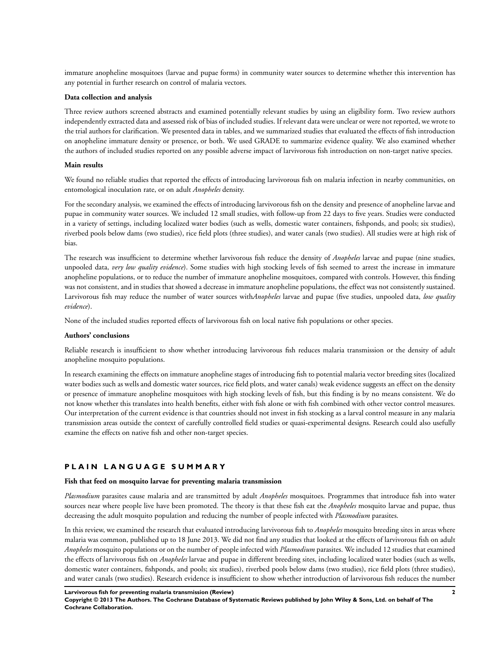immature anopheline mosquitoes (larvae and pupae forms) in community water sources to determine whether this intervention has any potential in further research on control of malaria vectors.

#### **Data collection and analysis**

Three review authors screened abstracts and examined potentially relevant studies by using an eligibility form. Two review authors independently extracted data and assessed risk of bias of included studies. If relevant data were unclear or were not reported, we wrote to the trial authors for clarification. We presented data in tables, and we summarized studies that evaluated the effects of fish introduction on anopheline immature density or presence, or both. We used GRADE to summarize evidence quality. We also examined whether the authors of included studies reported on any possible adverse impact of larvivorous fish introduction on non-target native species.

# **Main results**

We found no reliable studies that reported the effects of introducing larvivorous fish on malaria infection in nearby communities, on entomological inoculation rate, or on adult *Anopheles* density.

For the secondary analysis, we examined the effects of introducing larvivorous fish on the density and presence of anopheline larvae and pupae in community water sources. We included 12 small studies, with follow-up from 22 days to five years. Studies were conducted in a variety of settings, including localized water bodies (such as wells, domestic water containers, fishponds, and pools; six studies), riverbed pools below dams (two studies), rice field plots (three studies), and water canals (two studies). All studies were at high risk of bias.

The research was insufficient to determine whether larvivorous fish reduce the density of *Anopheles* larvae and pupae (nine studies, unpooled data, *very low quality evidence*). Some studies with high stocking levels of fish seemed to arrest the increase in immature anopheline populations, or to reduce the number of immature anopheline mosquitoes, compared with controls. However, this finding was not consistent, and in studies that showed a decrease in immature anopheline populations, the effect was not consistently sustained. Larvivorous fish may reduce the number of water sources with*Anopheles* larvae and pupae (five studies, unpooled data, *low quality evidence*).

None of the included studies reported effects of larvivorous fish on local native fish populations or other species.

#### **Authors' conclusions**

Reliable research is insufficient to show whether introducing larvivorous fish reduces malaria transmission or the density of adult anopheline mosquito populations.

In research examining the effects on immature anopheline stages of introducing fish to potential malaria vector breeding sites (localized water bodies such as wells and domestic water sources, rice field plots, and water canals) weak evidence suggests an effect on the density or presence of immature anopheline mosquitoes with high stocking levels of fish, but this finding is by no means consistent. We do not know whether this translates into health benefits, either with fish alone or with fish combined with other vector control measures. Our interpretation of the current evidence is that countries should not invest in fish stocking as a larval control measure in any malaria transmission areas outside the context of carefully controlled field studies or quasi-experimental designs. Research could also usefully examine the effects on native fish and other non-target species.

# **P L A I N L A N G U A G E S U M M A R Y**

## **Fish that feed on mosquito larvae for preventing malaria transmission**

*Plasmodium* parasites cause malaria and are transmitted by adult *Anopheles* mosquitoes. Programmes that introduce fish into water sources near where people live have been promoted. The theory is that these fish eat the *Anopheles* mosquito larvae and pupae, thus decreasing the adult mosquito population and reducing the number of people infected with *Plasmodium* parasites.

In this review, we examined the research that evaluated introducing larvivorous fish to *Anopheles* mosquito breeding sites in areas where malaria was common, published up to 18 June 2013. We did not find any studies that looked at the effects of larvivorous fish on adult *Anopheles* mosquito populations or on the number of people infected with *Plasmodium* parasites. We included 12 studies that examined the effects of larvivorous fish on *Anopheles* larvae and pupae in different breeding sites, including localized water bodies (such as wells, domestic water containers, fishponds, and pools; six studies), riverbed pools below dams (two studies), rice field plots (three studies), and water canals (two studies). Research evidence is insufficient to show whether introduction of larvivorous fish reduces the number

**Larvivorous fish for preventing malaria transmission (Review) 2**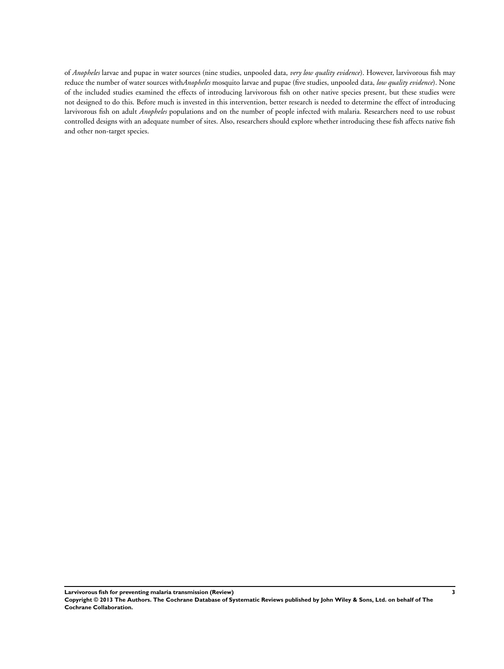of *Anopheles* larvae and pupae in water sources (nine studies, unpooled data, *very low quality evidence*). However, larvivorous fish may reduce the number of water sources with*Anopheles* mosquito larvae and pupae (five studies, unpooled data, *low quality evidence*). None of the included studies examined the effects of introducing larvivorous fish on other native species present, but these studies were not designed to do this. Before much is invested in this intervention, better research is needed to determine the effect of introducing larvivorous fish on adult *Anopheles* populations and on the number of people infected with malaria. Researchers need to use robust controlled designs with an adequate number of sites. Also, researchers should explore whether introducing these fish affects native fish and other non-target species.

**Larvivorous fish for preventing malaria transmission (Review) 3**

**Copyright © 2013 The Authors. The Cochrane Database of Systematic Reviews published by John Wiley & Sons, Ltd. on behalf of The Cochrane Collaboration.**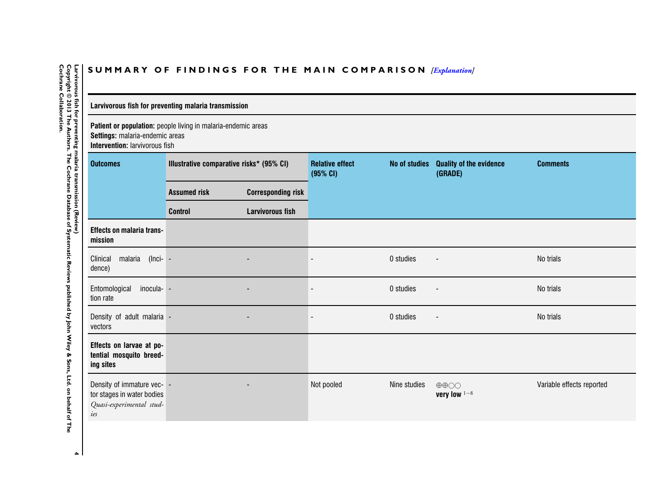# SUMMARY OF FINDINGS FOR THE MAIN COMPARISON *[\[Explanation\]](http://www.thecochranelibrary.com/view/0/SummaryFindings.html)*

# **Larvivorous fish for preventing malaria transmission**

**Patient or population:** people living in malaria-endemic areas **Settings:** malaria-endemic areas

| <b>Intervention: larvivorous fish</b>    |                           |                                    |               |                                               |                           |
|------------------------------------------|---------------------------|------------------------------------|---------------|-----------------------------------------------|---------------------------|
| Illustrative comparative risks* (95% CI) |                           | <b>Relative effect</b><br>(95% CI) | No of studies | <b>Quality of the evidence</b><br>(GRADE)     | <b>Comments</b>           |
| <b>Assumed risk</b>                      | <b>Corresponding risk</b> |                                    |               |                                               |                           |
| <b>Control</b>                           | Larvivorous fish          |                                    |               |                                               |                           |
|                                          |                           |                                    |               |                                               |                           |
| $(Inci -$                                |                           | $\overline{\phantom{a}}$           | 0 studies     | $\overline{\phantom{a}}$                      | No trials                 |
| inocula- -                               | $\overline{\phantom{a}}$  | $\overline{\phantom{a}}$           | 0 studies     | $\overline{\phantom{a}}$                      | No trials                 |
| Density of adult malaria -               | $\overline{\phantom{a}}$  | $\overline{\phantom{a}}$           | 0 studies     | $\overline{\phantom{a}}$                      | No trials                 |
|                                          |                           |                                    |               |                                               |                           |
| Density of immature vec- -               |                           | Not pooled                         | Nine studies  | $\oplus \oplus \odot \odot$<br>very low $1-8$ | Variable effects reported |
|                                          |                           |                                    |               |                                               |                           |

<span id="page-5-0"></span>Larvivorous fish for preventing malaria transmission (Review)<br>Copyright © 2013 The Authors. The Cochrane Database of Systematic Reviews published by John Wiley & Sons, Ltd. on behalf of The<br>Cochrane Collaboration. **Cochrane Collaboration.Copyright © 2013 The Authors. The Cochrane Database of Systematic Reviews published by John Wiley & Sons, Ltd. on behalf of The 4 Larvivorous fish for preventing malaria transmission (Review)**

 $\blacktriangle$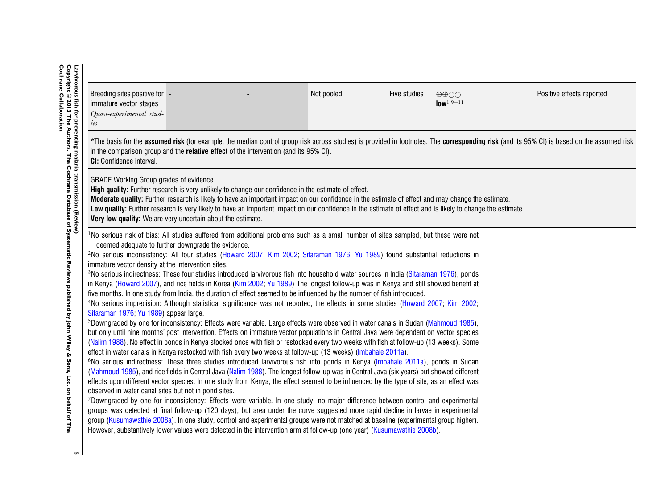| Breeding sites positive for -<br>immature vector stages<br>Quasi-experimental stud-<br>ies                                                           |                                                                                                                                                                                                                                                                                                                                                                                                                                                                                                                                                                                                                                                                                                                                                                                                                                                                                                                                                                                                                                                                                                                                                                                                                                                                                                                                                                                                                                                                                                                                                                                                                                                                                                                                                                                                                                                                                                                     | Not pooled | Five studies | $\oplus \oplus \bigcirc \bigcirc$<br>$low^{1,9-11}$ | Positive effects reported |
|------------------------------------------------------------------------------------------------------------------------------------------------------|---------------------------------------------------------------------------------------------------------------------------------------------------------------------------------------------------------------------------------------------------------------------------------------------------------------------------------------------------------------------------------------------------------------------------------------------------------------------------------------------------------------------------------------------------------------------------------------------------------------------------------------------------------------------------------------------------------------------------------------------------------------------------------------------------------------------------------------------------------------------------------------------------------------------------------------------------------------------------------------------------------------------------------------------------------------------------------------------------------------------------------------------------------------------------------------------------------------------------------------------------------------------------------------------------------------------------------------------------------------------------------------------------------------------------------------------------------------------------------------------------------------------------------------------------------------------------------------------------------------------------------------------------------------------------------------------------------------------------------------------------------------------------------------------------------------------------------------------------------------------------------------------------------------------|------------|--------------|-----------------------------------------------------|---------------------------|
| CI: Confidence interval.                                                                                                                             | *The basis for the assumed risk (for example, the median control group risk across studies) is provided in footnotes. The corresponding risk (and its 95% CI) is based on the assumed risk<br>in the comparison group and the relative effect of the intervention (and its 95% CI).                                                                                                                                                                                                                                                                                                                                                                                                                                                                                                                                                                                                                                                                                                                                                                                                                                                                                                                                                                                                                                                                                                                                                                                                                                                                                                                                                                                                                                                                                                                                                                                                                                 |            |              |                                                     |                           |
| Larvivorous fish for preventing malaria transmission (Review)<br>GRADE Working Group grades of evidence.                                             | High quality: Further research is very unlikely to change our confidence in the estimate of effect.<br>Moderate quality: Further research is likely to have an important impact on our confidence in the estimate of effect and may change the estimate.<br>Low quality: Further research is very likely to have an important impact on our confidence in the estimate of effect and is likely to change the estimate.<br>Very low quality: We are very uncertain about the estimate.                                                                                                                                                                                                                                                                                                                                                                                                                                                                                                                                                                                                                                                                                                                                                                                                                                                                                                                                                                                                                                                                                                                                                                                                                                                                                                                                                                                                                               |            |              |                                                     |                           |
| immature vector density at the intervention sites.<br>Sitaraman 1976; Yu 1989) appear large.<br>observed in water canal sites but not in pond sites. | <sup>1</sup> No serious risk of bias: All studies suffered from additional problems such as a small number of sites sampled, but these were not<br>deemed adequate to further downgrade the evidence.<br><sup>2</sup> No serious inconsistency: All four studies (Howard 2007; Kim 2002; Sitaraman 1976; Yu 1989) found substantial reductions in<br><sup>3</sup> No serious indirectness: These four studies introduced larvivorous fish into household water sources in India (Sitaraman 1976), ponds<br>in Kenya (Howard 2007), and rice fields in Korea (Kim 2002; Yu 1989) The longest follow-up was in Kenya and still showed benefit at<br>five months. In one study from India, the duration of effect seemed to be influenced by the number of fish introduced.<br><sup>4</sup> No serious imprecision: Although statistical significance was not reported, the effects in some studies (Howard 2007; Kim 2002;<br><sup>5</sup> Downgraded by one for inconsistency: Effects were variable. Large effects were observed in water canals in Sudan (Mahmoud 1985),<br>but only until nine months' post intervention. Effects on immature vector populations in Central Java were dependent on vector species<br>(Nalim 1988). No effect in ponds in Kenya stocked once with fish or restocked every two weeks with fish at follow-up (13 weeks). Some<br>effect in water canals in Kenya restocked with fish every two weeks at follow-up (13 weeks) (Imbahale 2011a).<br><sup>6</sup> No serious indirectness: These three studies introduced larvivorous fish into ponds in Kenya (Imbahale 2011a), ponds in Sudan<br>(Mahmoud 1985), and rice fields in Central Java (Nalim 1988). The longest follow-up was in Central Java (six years) but showed different<br>effects upon different vector species. In one study from Kenya, the effect seemed to be influenced by the type of site, as an effect was |            |              |                                                     |                           |
|                                                                                                                                                      | 7Downgraded by one for inconsistency: Effects were variable. In one study, no major difference between control and experimental<br>groups was detected at final follow-up (120 days), but area under the curve suggested more rapid decline in larvae in experimental<br>group (Kusumawathie 2008a). In one study, control and experimental groups were not matched at baseline (experimental group higher).<br>However, substantively lower values were detected in the intervention arm at follow-up (one year) (Kusumawathie 2008b).                                                                                                                                                                                                                                                                                                                                                                                                                                                                                                                                                                                                                                                                                                                                                                                                                                                                                                                                                                                                                                                                                                                                                                                                                                                                                                                                                                             |            |              |                                                     |                           |
| <b>UT</b>                                                                                                                                            |                                                                                                                                                                                                                                                                                                                                                                                                                                                                                                                                                                                                                                                                                                                                                                                                                                                                                                                                                                                                                                                                                                                                                                                                                                                                                                                                                                                                                                                                                                                                                                                                                                                                                                                                                                                                                                                                                                                     |            |              |                                                     |                           |

 $\overline{a}$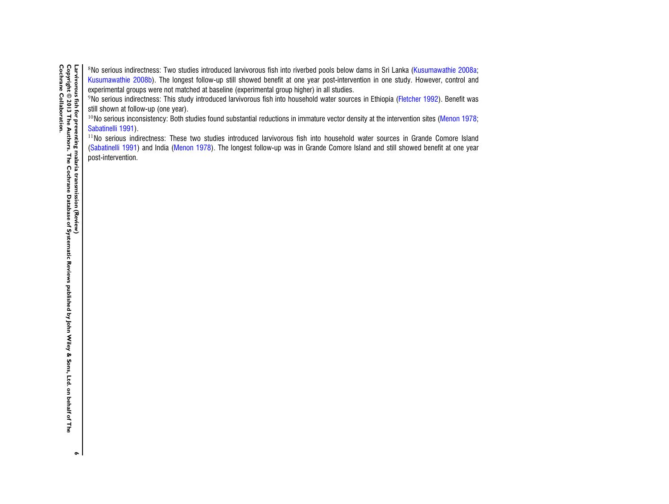<sup>8</sup>No serious indirectness: Two studies introduced larvivorous fish into riverbed pools below dams in Sri Lanka ([Kusumawathie](#page-25-0) [2008a](#page-25-0); [Kusumawathie](#page-25-0) [2008b\)](#page-25-0). The longest follow-up still showed benefit at one year post-intervention in one study. However, control and experimental groups were not matched at baseline (experimental group higher) in all studies.

<sup>9</sup>No serious indirectness: This study introduced larvivorous fish into household water sources in Ethiopia ([Fletcher](#page-25-0) [1992](#page-25-0)). Benefit was still shown at follow-up (one year).

<sup>10</sup>No serious inconsistency: Both studies found substantial reductions in immature vector density at the intervention sites [\(Menon](#page-25-0) [1978](#page-25-0); [Sabatinelli](#page-25-0) [1991\)](#page-25-0).

<sup>11</sup>No serious indirectness: These two studies introduced larvivorous fish into household water sources in Grande Comore Island ([Sabatinelli](#page-25-0) [1991](#page-25-0)) and India [\(Menon](#page-25-0) [1978\)](#page-25-0). The longest follow-up was in Grande Comore Island and still showed benefit at one year post-intervention.

 $\bullet$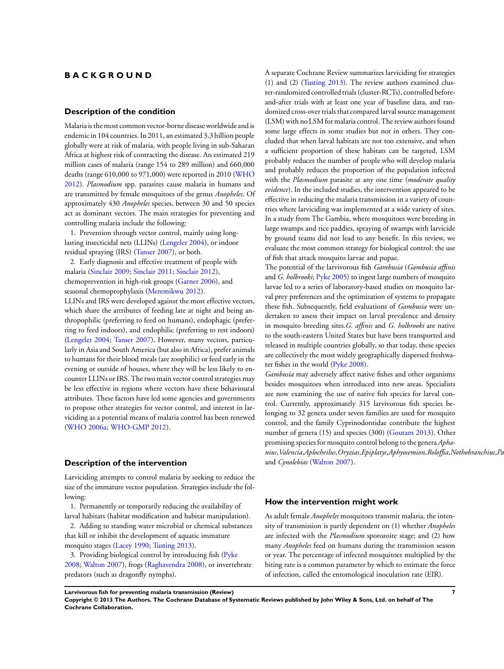# **B A C K G R O U N D**

# **Description of the condition**

Malaria is the most common vector-borne disease worldwide and is endemic in 104 countries. In 2011, an estimated 3.3 billion people globally were at risk of malaria, with people living in sub-Saharan Africa at highest risk of contracting the disease. An estimated 219 million cases of malaria (range 154 to 289 million) and 660,000 deaths (range 610,000 to 971,000) were reported in 2010 [\(WHO](#page-25-0) [2012](#page-25-0)). *Plasmodium* spp. parasites cause malaria in humans and are transmitted by female mosquitoes of the genus *Anopheles*. Of approximately 430 *Anopheles* species, between 30 and 50 species act as dominant vectors. The main strategies for preventing and controlling malaria include the following:

1. Prevention through vector control, mainly using longlasting insecticidal nets (LLINs) ([Lengeler 2004\)](#page-25-0), or indoor residual spraying (IRS) ([Tanser 2007\)](#page-25-0), or both.

2. Early diagnosis and effective treatment of people with malaria ([Sinclair 2009](#page-25-0); [Sinclair 2011](#page-25-0); [Sinclair 2012\)](#page-25-0), chemoprevention in high-risk groups [\(Garner 2006\)](#page-25-0), and seasonal chemoprophylaxis ([Meremikwu 2012](#page-25-0)).

LLINs and IRS were developed against the most effective vectors, which share the attributes of feeding late at night and being anthropophilic (preferring to feed on humans), endophagic (preferring to feed indoors), and endophilic (preferring to rest indoors) [\(Lengeler 2004;](#page-25-0) [Tanser 2007](#page-25-0)). However, many vectors, particularly in Asia and South America (but also in Africa), prefer animals to humans for their blood meals (are zoophilic) or feed early in the evening or outside of houses, where they will be less likely to encounter LLINs or IRS. The two main vector control strategies may be less effective in regions where vectors have these behavioural attributes. These factors have led some agencies and governments to propose other strategies for vector control, and interest in larviciding as a potential means of malaria control has been renewed [\(WHO 2006a](#page-25-0); [WHO-GMP 2012\)](#page-25-0).

#### **Description of the intervention**

Larviciding attempts to control malaria by seeking to reduce the size of the immature vector population. Strategies include the following:

1. Permanently or temporarily reducing the availability of

larval habitats (habitat modification and habitat manipulation). 2. Adding to standing water microbial or chemical substances that kill or inhibit the development of aquatic immature mosquito stages [\(Lacey 1990](#page-25-0); [Tusting 2013](#page-25-0)).

3. Providing biological control by introducing fish [\(Pyke](#page-25-0) [2008](#page-25-0); [Walton 2007](#page-25-0)), frogs ([Raghavendra 2008](#page-25-0)), or invertebrate predators (such as dragonfly nymphs).

A separate Cochrane Review summarizes larviciding for strategies (1) and (2) ([Tusting 2013\)](#page-25-0). The review authors examined cluster-randomized controlled trials (cluster-RCTs), controlled beforeand-after trials with at least one year of baseline data, and randomized cross-over trials that compared larval source management (LSM) with no LSMfor malaria control. The review authors found some large effects in some studies but not in others. They concluded that when larval habitats are not too extensive, and when a sufficient proportion of these habitats can be targeted, LSM probably reduces the number of people who will develop malaria and probably reduces the proportion of the population infected with the *Plasmodium* parasite at any one time (*moderate quality evidence*). In the included studies, the intervention appeared to be effective in reducing the malaria transmission in a variety of countries where larviciding was implemented at a wide variety of sites. In a study from The Gambia, where mosquitoes were breeding in large swamps and rice paddies, spraying of swamps with larvicide by ground teams did not lead to any benefit. In this review, we evaluate the most common strategy for biological control: the use of fish that attack mosquito larvae and pupae.

The potential of the larvivorous fish *Gambusia* (*Gambusia affinis* and *G. holbrooki*; [Pyke 2005](#page-25-0)) to ingest large numbers of mosquito larvae led to a series of laboratory-based studies on mosquito larval prey preferences and the optimization of systems to propagate these fish. Subsequently, field evaluations of *Gambusia* were undertaken to assess their impact on larval prevalence and density in mosquito breeding sites.*G. affinis* and *G. holbrooki* are native to the south-eastern United States but have been transported and released in multiple countries globally, so that today, these species are collectively the most widely geographically dispersed freshwater fishes in the world [\(Pyke 2008](#page-25-0)).

*Gambusia* may adversely affect native fishes and other organisms besides mosquitoes when introduced into new areas. Specialists are now examining the use of native fish species for larval control. Currently, approximately 315 larvivorous fish species belonging to 32 genera under seven families are used for mosquito control, and the family Cyprinodontidae contribute the highest number of genera (15) and species (300) [\(Goutam 2013\)](#page-25-0). Other promising species for mosquito control belong to the genera *Aphanius*,*Valencia*,*Aplocheilus*,*Oryzias*,*Epiplatys*,*Aphyosemion*,*Roloffia*,*Nothobranchius*,*Pachypanchax* and *Cynolebias* [\(Walton 2007\)](#page-25-0).

# **How the intervention might work**

As adult female *Anopheles* mosquitoes transmit malaria, the intensity of transmission is partly dependent on (1) whether *Anopheles* are infected with the *Plasmodium* sporozoite stage; and (2) how many *Anopheles* feed on humans during the transmission season or year. The percentage of infected mosquitoes multiplied by the biting rate is a common parameter by which to estimate the force of infection, called the entomological inoculation rate (EIR).

**Larvivorous fish for preventing malaria transmission (Review) 7**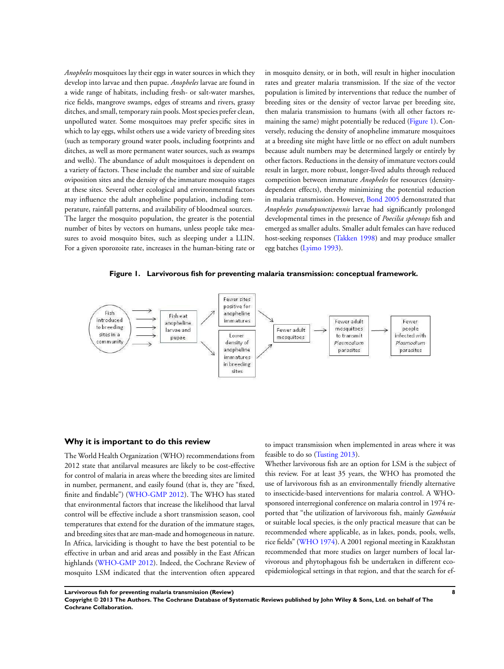*Anopheles* mosquitoes lay their eggs in water sources in which they develop into larvae and then pupae. *Anopheles* larvae are found in a wide range of habitats, including fresh- or salt-water marshes, rice fields, mangrove swamps, edges of streams and rivers, grassy ditches, and small, temporary rain pools. Most species prefer clean, unpolluted water. Some mosquitoes may prefer specific sites in which to lay eggs, whilst others use a wide variety of breeding sites (such as temporary ground water pools, including footprints and ditches, as well as more permanent water sources, such as swamps and wells). The abundance of adult mosquitoes is dependent on a variety of factors. These include the number and size of suitable oviposition sites and the density of the immature mosquito stages at these sites. Several other ecological and environmental factors may influence the adult anopheline population, including temperature, rainfall patterns, and availability of bloodmeal sources. The larger the mosquito population, the greater is the potential number of bites by vectors on humans, unless people take measures to avoid mosquito bites, such as sleeping under a LLIN. For a given sporozoite rate, increases in the human-biting rate or in mosquito density, or in both, will result in higher inoculation rates and greater malaria transmission. If the size of the vector population is limited by interventions that reduce the number of breeding sites or the density of vector larvae per breeding site, then malaria transmission to humans (with all other factors remaining the same) might potentially be reduced (Figure 1). Conversely, reducing the density of anopheline immature mosquitoes at a breeding site might have little or no effect on adult numbers because adult numbers may be determined largely or entirely by other factors. Reductions in the density of immature vectors could result in larger, more robust, longer-lived adults through reduced competition between immature *Anopheles* for resources (densitydependent effects), thereby minimizing the potential reduction in malaria transmission. However, [Bond 2005](#page-25-0) demonstrated that *Anopheles pseudopunctipennis* larvae had significantly prolonged developmental times in the presence of *Poecilia sphenops* fish and emerged as smaller adults. Smaller adult females can have reduced host-seeking responses [\(Takken 1998\)](#page-25-0) and may produce smaller egg batches ([Lyimo 1993](#page-25-0)).

**Figure 1. Larvivorous fish for preventing malaria transmission: conceptual framework.**



## **Why it is important to do this review**

The World Health Organization (WHO) recommendations from 2012 state that antilarval measures are likely to be cost-effective for control of malaria in areas where the breeding sites are limited in number, permanent, and easily found (that is, they are "fixed, finite and findable") ([WHO-GMP 2012\)](#page-25-0). The WHO has stated that environmental factors that increase the likelihood that larval control will be effective include a short transmission season, cool temperatures that extend for the duration of the immature stages, and breeding sites that are man-made and homogeneous in nature. In Africa, larviciding is thought to have the best potential to be effective in urban and arid areas and possibly in the East African highlands [\(WHO-GMP 2012](#page-25-0)). Indeed, the Cochrane Review of mosquito LSM indicated that the intervention often appeared

to impact transmission when implemented in areas where it was feasible to do so ([Tusting 2013](#page-25-0)).

Whether larvivorous fish are an option for LSM is the subject of this review. For at least 35 years, the WHO has promoted the use of larvivorous fish as an environmentally friendly alternative to insecticide-based interventions for malaria control. A WHOsponsored interregional conference on malaria control in 1974 reported that "the utilization of larvivorous fish, mainly *Gambusia* or suitable local species, is the only practical measure that can be recommended where applicable, as in lakes, ponds, pools, wells, rice fields" [\(WHO 1974](#page-25-0)). A 2001 regional meeting in Kazakhstan recommended that more studies on larger numbers of local larvivorous and phytophagous fish be undertaken in different ecoepidemiological settings in that region, and that the search for ef-

**Larvivorous fish for preventing malaria transmission (Review) 8**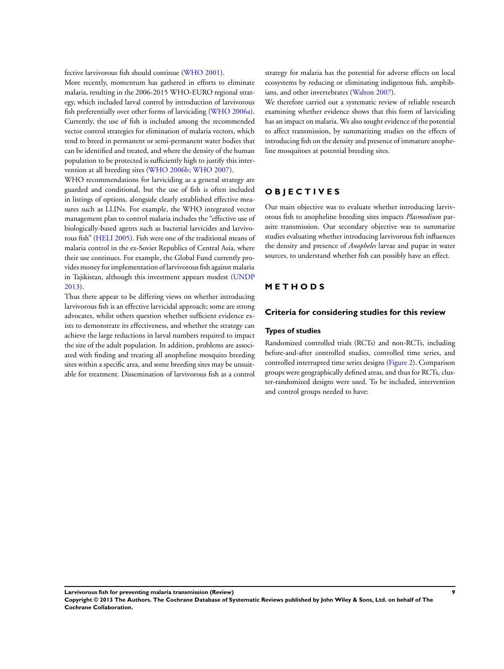fective larvivorous fish should continue [\(WHO 2001](#page-25-0)).

More recently, momentum has gathered in efforts to eliminate malaria, resulting in the 2006-2015 WHO-EURO regional strategy, which included larval control by introduction of larvivorous fish preferentially over other forms of larviciding [\(WHO 2006a](#page-25-0)). Currently, the use of fish is included among the recommended vector control strategies for elimination of malaria vectors, which tend to breed in permanent or semi-permanent water bodies that can be identified and treated, and where the density of the human population to be protected is sufficiently high to justify this intervention at all breeding sites ([WHO 2006b;](#page-25-0) [WHO 2007](#page-25-0)).

WHO recommendations for larviciding as a general strategy are guarded and conditional, but the use of fish is often included in listings of options, alongside clearly established effective measures such as LLINs. For example, the WHO integrated vector management plan to control malaria includes the "effective use of biologically-based agents such as bacterial larvicides and larvivorous fish" [\(HELI 2005\)](#page-25-0). Fish were one of the traditional means of malaria control in the ex-Soviet Republics of Central Asia, where their use continues. For example, the Global Fund currently provides money for implementation of larvivorous fish against malaria in Tajikistan, although this investment appears modest ([UNDP](#page-25-0) [2013](#page-25-0)).

Thus there appear to be differing views on whether introducing larvivorous fish is an effective larvicidal approach; some are strong advocates, whilst others question whether sufficient evidence exists to demonstrate its effectiveness, and whether the strategy can achieve the large reductions in larval numbers required to impact the size of the adult population. In addition, problems are associated with finding and treating all anopheline mosquito breeding sites within a specific area, and some breeding sites may be unsuitable for treatment. Dissemination of larvivorous fish as a control

strategy for malaria has the potential for adverse effects on local ecosystems by reducing or eliminating indigenous fish, amphibians, and other invertebrates ([Walton 2007\)](https://atlanta.securemail.hhs.gov/exchange/Thomas.Burkot/Inbox/Emailing:%20Larvivorous%20fish%20for%20malaria%20prevention.htm.EML/1_multipart_xF8FF_2_Larvivorous%20fish%20for%20malaria%20prevention.htm/C58EA28C-18C0-4a97-9AF2-036E93DDAFB3/Larvivorous%20fish%20for%20malaria%20prevention.htm?attach=1#REF-Walton-2007#REF-Walton-2007).

We therefore carried out a systematic review of reliable research examining whether evidence shows that this form of larviciding has an impact on malaria. We also sought evidence of the potential to affect transmission, by summarizing studies on the effects of introducing fish on the density and presence of immature anopheline mosquitoes at potential breeding sites.

# **O B J E C T I V E S**

Our main objective was to evaluate whether introducing larvivorous fish to anopheline breeding sites impacts *Plasmodium* parasite transmission. Our secondary objective was to summarize studies evaluating whether introducing larvivorous fish influences the density and presence of *Anopheles* larvae and pupae in water sources, to understand whether fish can possibly have an effect.

# **M E T H O D S**

# **Criteria for considering studies for this review**

# **Types of studies**

Randomized controlled trials (RCTs) and non-RCTs, including before-and-after controlled studies, controlled time series, and controlled interrupted time series designs ([Figure 2\)](#page-11-0). Comparison groups were geographically defined areas, and thus for RCTs, cluster-randomized designs were used. To be included, intervention and control groups needed to have:

**Larvivorous fish for preventing malaria transmission (Review) 9**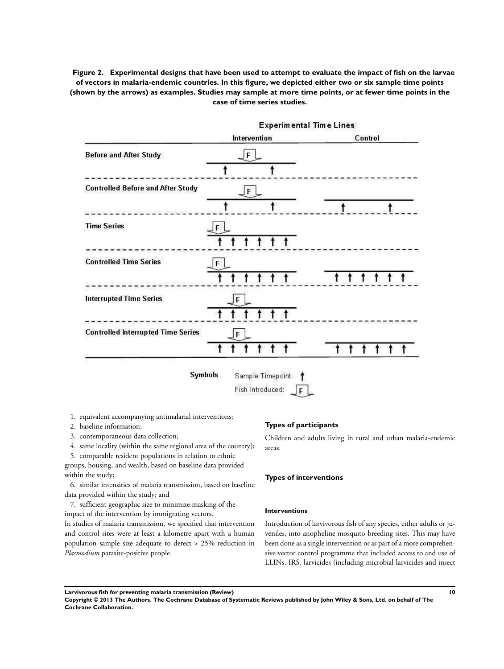<span id="page-11-0"></span>**Figure 2. Experimental designs that have been used to attempt to evaluate the impact of fish on the larvae of vectors in malaria-endemic countries. In this figure, we depicted either two or six sample time points (shown by the arrows) as examples. Studies may sample at more time points, or at fewer time points in the case of time series studies.**





1. equivalent accompanying antimalarial interventions;

- 2. baseline information;
- 3. contemporaneous data collection;
- 4. same locality (within the same regional area of the country);

5. comparable resident populations in relation to ethnic groups, housing, and wealth, based on baseline data provided

within the study;

6. similar intensities of malaria transmission, based on baseline data provided within the study; and

7. sufficient geographic size to minimize masking of the impact of the intervention by immigrating vectors.

In studies of malaria transmission, we specified that intervention and control sites were at least a kilometre apart with a human population sample size adequate to detect > 25% reduction in *Plasmodium* parasite-positive people.

# **Types of participants**

Children and adults living in rural and urban malaria-endemic areas.

# **Types of interventions**

#### **Interventions**

Introduction of larvivorous fish of any species, either adults or juveniles, into anopheline mosquito breeding sites. This may have been done as a single intervention or as part of a more comprehensive vector control programme that included access to and use of LLINs, IRS, larvicides (including microbial larvicides and insect

**Larvivorous fish for preventing malaria transmission (Review) 10**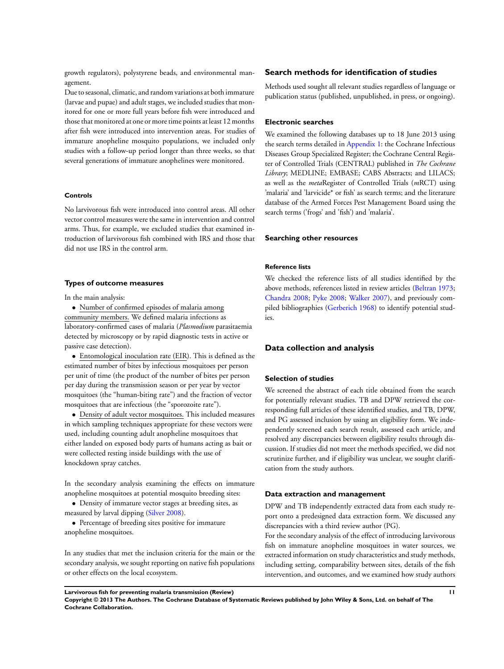growth regulators), polystyrene beads, and environmental management.

Due to seasonal, climatic, and random variations at both immature (larvae and pupae) and adult stages, we included studies that monitored for one or more full years before fish were introduced and those that monitored at one or more time points at least 12 months after fish were introduced into intervention areas. For studies of immature anopheline mosquito populations, we included only studies with a follow-up period longer than three weeks, so that several generations of immature anophelines were monitored.

#### **Controls**

No larvivorous fish were introduced into control areas. All other vector control measures were the same in intervention and control arms. Thus, for example, we excluded studies that examined introduction of larvivorous fish combined with IRS and those that did not use IRS in the control arm.

#### **Types of outcome measures**

In the main analysis:

• Number of confirmed episodes of malaria among

community members. We defined malaria infections as laboratory-confirmed cases of malaria (*Plasmodium* parasitaemia detected by microscopy or by rapid diagnostic tests in active or passive case detection).

• Entomological inoculation rate (EIR). This is defined as the estimated number of bites by infectious mosquitoes per person per unit of time (the product of the number of bites per person per day during the transmission season or per year by vector mosquitoes (the "human-biting rate") and the fraction of vector mosquitoes that are infectious (the "sporozoite rate").

• Density of adult vector mosquitoes. This included measures in which sampling techniques appropriate for these vectors were used, including counting adult anopheline mosquitoes that either landed on exposed body parts of humans acting as bait or were collected resting inside buildings with the use of knockdown spray catches.

In the secondary analysis examining the effects on immature anopheline mosquitoes at potential mosquito breeding sites:

• Density of immature vector stages at breeding sites, as measured by larval dipping [\(Silver 2008\)](#page-25-0).

• Percentage of breeding sites positive for immature anopheline mosquitoes.

In any studies that met the inclusion criteria for the main or the secondary analysis, we sought reporting on native fish populations or other effects on the local ecosystem.

## **Search methods for identification of studies**

Methods used sought all relevant studies regardless of language or publication status (published, unpublished, in press, or ongoing).

#### **Electronic searches**

We examined the following databases up to 18 June 2013 using the search terms detailed in [Appendix 1](#page-57-0): the Cochrane Infectious Diseases Group Specialized Register; the Cochrane Central Register of Controlled Trials (CENTRAL) published in *The Cochrane Library*; MEDLINE; EMBASE; CABS Abstracts; and LILACS; as well as the *meta*Register of Controlled Trials (*m*RCT) using 'malaria' and 'larvicide\* or fish' as search terms; and the literature database of the Armed Forces Pest Management Board using the search terms ('frogs' and 'fish') and 'malaria'.

#### **Searching other resources**

#### **Reference lists**

We checked the reference lists of all studies identified by the above methods, references listed in review articles [\(Beltran 1973;](#page-25-0) [Chandra 2008;](#page-25-0) [Pyke 2008](#page-25-0); [Walker 2007](#page-25-0)), and previously compiled bibliographies [\(Gerberich 1968\)](#page-25-0) to identify potential studies.

## **Data collection and analysis**

#### **Selection of studies**

We screened the abstract of each title obtained from the search for potentially relevant studies. TB and DPW retrieved the corresponding full articles of these identified studies, and TB, DPW, and PG assessed inclusion by using an eligibility form. We independently screened each search result, assessed each article, and resolved any discrepancies between eligibility results through discussion. If studies did not meet the methods specified, we did not scrutinize further, and if eligibility was unclear, we sought clarification from the study authors.

#### **Data extraction and management**

DPW and TB independently extracted data from each study report onto a predesigned data extraction form. We discussed any discrepancies with a third review author (PG).

For the secondary analysis of the effect of introducing larvivorous fish on immature anopheline mosquitoes in water sources, we extracted information on study characteristics and study methods, including setting, comparability between sites, details of the fish intervention, and outcomes, and we examined how study authors

**Larvivorous fish for preventing malaria transmission (Review) 11**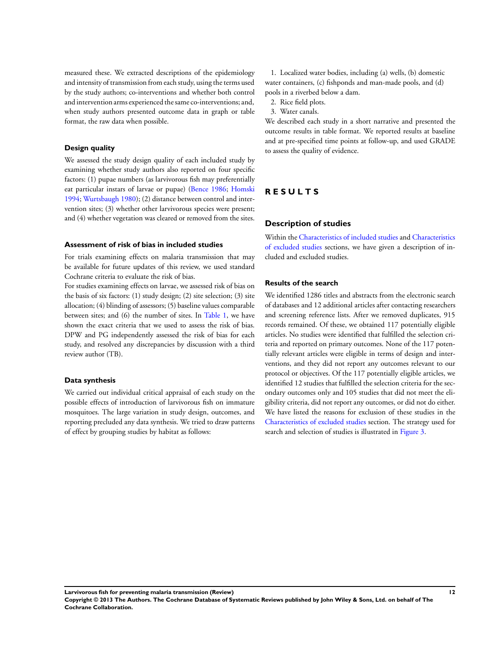measured these. We extracted descriptions of the epidemiology and intensity of transmission from each study, using the terms used by the study authors; co-interventions and whether both control and intervention arms experienced the same co-interventions; and, when study authors presented outcome data in graph or table format, the raw data when possible.

# **Design quality**

We assessed the study design quality of each included study by examining whether study authors also reported on four specific factors: (1) pupae numbers (as larvivorous fish may preferentially eat particular instars of larvae or pupae) [\(Bence 1986;](#page-25-0) [Homski](#page-25-0) [1994](#page-25-0); [Wurtsbaugh 1980\)](#page-25-0); (2) distance between control and intervention sites; (3) whether other larvivorous species were present; and (4) whether vegetation was cleared or removed from the sites.

# **Assessment of risk of bias in included studies**

For trials examining effects on malaria transmission that may be available for future updates of this review, we used standard Cochrane criteria to evaluate the risk of bias.

For studies examining effects on larvae, we assessed risk of bias on the basis of six factors: (1) study design; (2) site selection; (3) site allocation; (4) blinding of assessors; (5) baseline values comparable between sites; and (6) the number of sites. In [Table 1,](#page-52-0) we have shown the exact criteria that we used to assess the risk of bias. DPW and PG independently assessed the risk of bias for each study, and resolved any discrepancies by discussion with a third review author (TB).

#### **Data synthesis**

We carried out individual critical appraisal of each study on the possible effects of introduction of larvivorous fish on immature mosquitoes. The large variation in study design, outcomes, and reporting precluded any data synthesis. We tried to draw patterns of effect by grouping studies by habitat as follows:

1. Localized water bodies, including (a) wells, (b) domestic water containers, (c) fishponds and man-made pools, and (d) pools in a riverbed below a dam.

- 2. Rice field plots.
- 3. Water canals.

We described each study in a short narrative and presented the outcome results in table format. We reported results at baseline and at pre-specified time points at follow-up, and used GRADE to assess the quality of evidence.

# **R E S U L T S**

## **Description of studies**

Within the [Characteristics of included studies](#page-33-0) and [Characteristics](#page-47-0) [of excluded studies](#page-47-0) sections, we have given a description of included and excluded studies.

# **Results of the search**

We identified 1286 titles and abstracts from the electronic search of databases and 12 additional articles after contacting researchers and screening reference lists. After we removed duplicates, 915 records remained. Of these, we obtained 117 potentially eligible articles. No studies were identified that fulfilled the selection criteria and reported on primary outcomes. None of the 117 potentially relevant articles were eligible in terms of design and interventions, and they did not report any outcomes relevant to our protocol or objectives. Of the 117 potentially eligible articles, we identified 12 studies that fulfilled the selection criteria for the secondary outcomes only and 105 studies that did not meet the eligibility criteria, did not report any outcomes, or did not do either. We have listed the reasons for exclusion of these studies in the [Characteristics of excluded studies](#page-47-0) section. The strategy used for search and selection of studies is illustrated in [Figure 3.](#page-14-0)

**Larvivorous fish for preventing malaria transmission (Review) 12**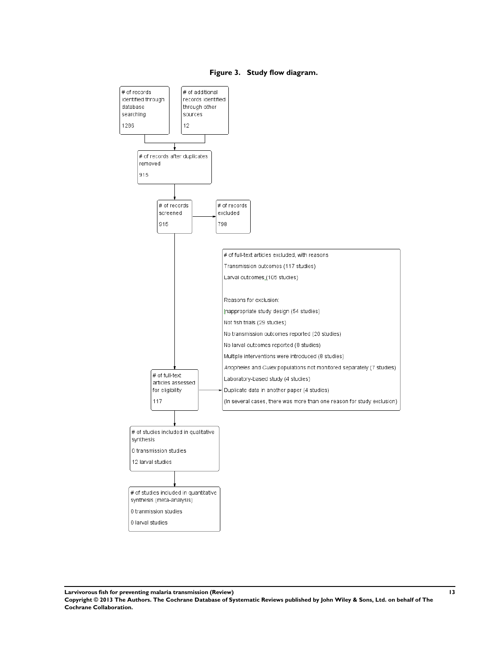<span id="page-14-0"></span>

# **Figure 3. Study flow diagram.**

**Larvivorous fish for preventing malaria transmission (Review) 13**

**Copyright © 2013 The Authors. The Cochrane Database of Systematic Reviews published by John Wiley & Sons, Ltd. on behalf of The Cochrane Collaboration.**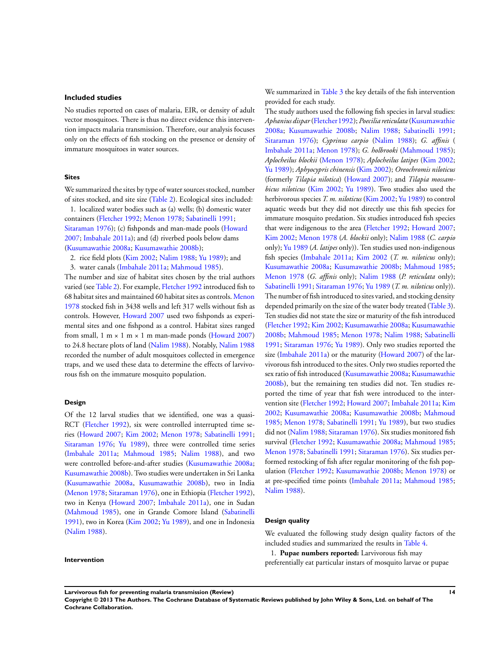#### **Included studies**

No studies reported on cases of malaria, EIR, or density of adult vector mosquitoes. There is thus no direct evidence this intervention impacts malaria transmission. Therefore, our analysis focuses only on the effects of fish stocking on the presence or density of immature mosquitoes in water sources.

#### **Sites**

We summarized the sites by type of water sources stocked, number of sites stocked, and site size [\(Table 2\)](#page-52-0). Ecological sites included:

1. localized water bodies such as (a) wells; (b) domestic water containers ([Fletcher 1992](#page-25-0); [Menon 1978](#page-25-0); [Sabatinelli 1991](#page-25-0); [Sitaraman 1976\)](#page-25-0); (c) fishponds and man-made pools [\(Howard](#page-25-0) [2007](#page-25-0); [Imbahale 2011a\)](#page-25-0); and (d) riverbed pools below dams [\(Kusumawathie 2008a](#page-25-0); [Kusumawathie 2008b](#page-25-0));

- 2. rice field plots [\(Kim 2002;](#page-25-0) [Nalim 1988;](#page-25-0) [Yu 1989](#page-25-0)); and
- 3. water canals [\(Imbahale 2011a](#page-25-0); [Mahmoud 1985\)](#page-25-0).

The number and size of habitat sites chosen by the trial authors varied (see [Table 2](#page-52-0)). For example, [Fletcher 1992](#page-25-0) introduced fish to 68 habitat sites and maintained 60 habitat sites as controls. [Menon](#page-25-0) [1978](#page-25-0) stocked fish in 3438 wells and left 317 wells without fish as controls. However, [Howard 2007](#page-25-0) used two fishponds as experimental sites and one fishpond as a control. Habitat sizes ranged from small,  $1 \text{ m} \times 1 \text{ m} \times 1 \text{ m}$  man-made ponds [\(Howard 2007](#page-25-0)) to 24.8 hectare plots of land [\(Nalim 1988](#page-25-0)). Notably, [Nalim 1988](#page-25-0) recorded the number of adult mosquitoes collected in emergence traps, and we used these data to determine the effects of larvivorous fish on the immature mosquito population.

#### **Design**

Of the 12 larval studies that we identified, one was a quasi-RCT [\(Fletcher 1992\)](#page-25-0), six were controlled interrupted time series ([Howard 2007](#page-25-0); [Kim 2002;](#page-25-0) [Menon 1978;](#page-25-0) [Sabatinelli 1991;](#page-25-0) [Sitaraman 1976;](#page-25-0) [Yu 1989\)](#page-25-0), three were controlled time series [\(Imbahale 2011a](#page-25-0); [Mahmoud 1985](#page-25-0); [Nalim 1988](#page-25-0)), and two were controlled before-and-after studies ([Kusumawathie 2008a;](#page-25-0) [Kusumawathie 2008b\)](#page-25-0). Two studies were undertaken in Sri Lanka [\(Kusumawathie 2008a](#page-25-0), [Kusumawathie 2008b](#page-25-0)), two in India [\(Menon 1978](#page-25-0); [Sitaraman 1976](#page-25-0)), one in Ethiopia [\(Fletcher 1992](#page-25-0)), two in Kenya [\(Howard 2007](#page-25-0); [Imbahale 2011a](#page-25-0)), one in Sudan [\(Mahmoud 1985](#page-25-0)), one in Grande Comore Island ([Sabatinelli](#page-25-0) [1991](#page-25-0)), two in Korea [\(Kim 2002](#page-25-0); [Yu 1989\)](#page-25-0), and one in Indonesia [\(Nalim 1988](#page-25-0)).

**Intervention**

We summarized in [Table 3](#page-53-0) the key details of the fish intervention provided for each study.

The study authors used the following fish species in larval studies: *Aphanius dispar*([Fletcher1992\)](#page-25-0); *Poecilia reticulata* [\(Kusumawathie](#page-25-0) [2008a;](#page-25-0) [Kusumawathie 2008b;](#page-25-0) [Nalim 1988;](#page-25-0) [Sabatinelli 1991;](#page-25-0) [Sitaraman 1976\)](#page-25-0); *Cyprinus carpio* ([Nalim 1988\)](#page-25-0); *G. affinis* ( [Imbahale 2011a;](#page-25-0) [Menon 1978](#page-25-0)); *G. holbrooki* ([Mahmoud 1985](#page-25-0)); *Aplocheilus blockii* [\(Menon 1978](#page-25-0)); *Aplocheilus latipes* ([Kim 2002;](#page-25-0) [Yu 1989](#page-25-0)); *Aphyocypris chinensis* [\(Kim 2002\)](#page-25-0); *Oreochromis niloticus* (formerly *Tilapia nilotica*) ([Howard 2007\)](#page-25-0); and *Tilapia mossambicus niloticus* ([Kim 2002](#page-25-0); [Yu 1989\)](#page-25-0). Two studies also used the herbivorous species *T. m. niloticus* [\(Kim 2002](#page-25-0); [Yu 1989\)](#page-25-0) to control aquatic weeds but they did not directly use this fish species for immature mosquito predation. Six studies introduced fish species that were indigenous to the area ([Fletcher 1992;](#page-25-0) [Howard 2007;](#page-25-0) [Kim 2002;](#page-25-0) [Menon 1978](#page-25-0) (*A. blockii* only); [Nalim 1988](#page-25-0) (*C. carpio* only); [Yu 1989](#page-25-0) (*A. latipes* only)). Ten studies used non-indigenous fish species [\(Imbahale 2011a;](#page-25-0) [Kim 2002](#page-25-0) (*T. m. niloticus* only); [Kusumawathie 2008a;](#page-25-0) [Kusumawathie 2008b](#page-25-0); [Mahmoud 1985;](#page-25-0) [Menon 1978](#page-25-0) (*G. affinis* only); [Nalim 1988](#page-25-0) (*P. reticulata* only); [Sabatinelli 1991](#page-25-0); [Sitaraman 1976](#page-25-0); [Yu 1989](#page-25-0) (*T. m. niloticus* only)). The number of fish introduced to sites varied, and stocking density depended primarily on the size of the water body treated [\(Table 3](#page-53-0)). Ten studies did not state the size or maturity of the fish introduced [\(Fletcher 1992;](#page-25-0) [Kim 2002](#page-25-0); [Kusumawathie 2008a;](#page-25-0) [Kusumawathie](#page-25-0) [2008b;](#page-25-0) [Mahmoud 1985](#page-25-0); [Menon 1978](#page-25-0); [Nalim 1988](#page-25-0); [Sabatinelli](#page-25-0) [1991](#page-25-0); [Sitaraman 1976](#page-25-0); [Yu 1989\)](#page-25-0). Only two studies reported the size [\(Imbahale 2011a\)](#page-25-0) or the maturity ([Howard 2007\)](#page-25-0) of the larvivorous fish introduced to the sites. Only two studies reported the sex ratio of fish introduced ([Kusumawathie 2008a;](#page-25-0) [Kusumawathie](#page-25-0) [2008b\)](#page-25-0), but the remaining ten studies did not. Ten studies reported the time of year that fish were introduced to the intervention site ([Fletcher 1992;](#page-25-0) [Howard 2007](#page-25-0); [Imbahale 2011a;](#page-25-0) [Kim](#page-25-0) [2002](#page-25-0); [Kusumawathie 2008a](#page-25-0); [Kusumawathie 2008b;](#page-25-0) [Mahmoud](#page-25-0) [1985](#page-25-0); [Menon 1978;](#page-25-0) [Sabatinelli 1991;](#page-25-0) [Yu 1989](#page-25-0)), but two studies did not ([Nalim 1988](#page-25-0); [Sitaraman 1976](#page-25-0)). Six studies monitored fish survival [\(Fletcher 1992](#page-25-0); [Kusumawathie 2008a;](#page-25-0) [Mahmoud 1985;](#page-25-0) [Menon 1978;](#page-25-0) [Sabatinelli 1991](#page-25-0); [Sitaraman 1976\)](#page-25-0). Six studies performed restocking of fish after regular monitoring of the fish population [\(Fletcher 1992](#page-25-0); [Kusumawathie 2008b](#page-25-0); [Menon 1978](#page-25-0)) or at pre-specified time points ([Imbahale 2011a;](#page-25-0) [Mahmoud 1985;](#page-25-0) [Nalim 1988](#page-25-0)).

#### **Design quality**

We evaluated the following study design quality factors of the included studies and summarized the results in [Table 4](#page-55-0).

1. **Pupae numbers reported:** Larvivorous fish may preferentially eat particular instars of mosquito larvae or pupae

**Larvivorous fish for preventing malaria transmission (Review) 14**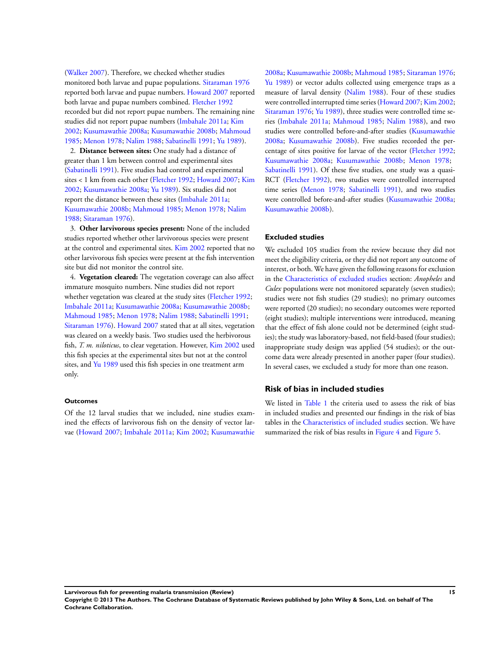[\(Walker 2007\)](#page-25-0). Therefore, we checked whether studies monitored both larvae and pupae populations. [Sitaraman 1976](#page-25-0) reported both larvae and pupae numbers. [Howard 2007](#page-25-0) reported both larvae and pupae numbers combined. [Fletcher 1992](#page-25-0) recorded but did not report pupae numbers. The remaining nine studies did not report pupae numbers [\(Imbahale 2011a](#page-25-0); [Kim](#page-25-0) [2002](#page-25-0); [Kusumawathie 2008a](#page-25-0); [Kusumawathie 2008b;](#page-25-0) [Mahmoud](#page-25-0) [1985](#page-25-0); [Menon 1978](#page-25-0); [Nalim 1988](#page-25-0); [Sabatinelli 1991](#page-25-0); [Yu 1989\)](#page-25-0).

2. **Distance between sites:** One study had a distance of greater than 1 km between control and experimental sites [\(Sabatinelli 1991](#page-25-0)). Five studies had control and experimental sites < 1 km from each other [\(Fletcher 1992](#page-25-0); [Howard 2007](#page-25-0); [Kim](#page-25-0) [2002](#page-25-0); [Kusumawathie 2008a](#page-25-0); [Yu 1989\)](#page-25-0). Six studies did not report the distance between these sites [\(Imbahale 2011a](#page-25-0); [Kusumawathie 2008b](#page-25-0); [Mahmoud 1985](#page-25-0); [Menon 1978](#page-25-0); [Nalim](#page-25-0) [1988](#page-25-0); [Sitaraman 1976](#page-25-0)).

3. **Other larvivorous species present:** None of the included studies reported whether other larvivorous species were present at the control and experimental sites. [Kim 2002](#page-25-0) reported that no other larvivorous fish species were present at the fish intervention site but did not monitor the control site.

4. **Vegetation cleared:** The vegetation coverage can also affect immature mosquito numbers. Nine studies did not report whether vegetation was cleared at the study sites ([Fletcher 1992](#page-25-0); [Imbahale 2011a](#page-25-0); [Kusumawathie 2008a](#page-25-0); [Kusumawathie 2008b](#page-25-0); [Mahmoud 1985](#page-25-0); [Menon 1978;](#page-25-0) [Nalim 1988](#page-25-0); [Sabatinelli 1991](#page-25-0); [Sitaraman 1976](#page-25-0)). [Howard 2007](#page-25-0) stated that at all sites, vegetation was cleared on a weekly basis. Two studies used the herbivorous fish, *T. m. niloticus*, to clear vegetation. However, [Kim 2002](#page-25-0) used this fish species at the experimental sites but not at the control sites, and [Yu 1989](#page-25-0) used this fish species in one treatment arm only.

#### **Outcomes**

Of the 12 larval studies that we included, nine studies examined the effects of larvivorous fish on the density of vector larvae ([Howard 2007;](#page-25-0) [Imbahale 2011a](#page-25-0); [Kim 2002;](#page-25-0) [Kusumawathie](#page-25-0)

[2008a;](#page-25-0) [Kusumawathie 2008b](#page-25-0); [Mahmoud 1985;](#page-25-0) [Sitaraman 1976;](#page-25-0) [Yu 1989\)](#page-25-0) or vector adults collected using emergence traps as a measure of larval density ([Nalim 1988\)](#page-25-0). Four of these studies were controlled interrupted time series ([Howard 2007;](#page-25-0) [Kim 2002;](#page-25-0) [Sitaraman 1976;](#page-25-0) [Yu 1989](#page-25-0)), three studies were controlled time series [\(Imbahale 2011a](#page-25-0); [Mahmoud 1985;](#page-25-0) [Nalim 1988\)](#page-25-0), and two studies were controlled before-and-after studies ([Kusumawathie](#page-25-0) [2008a;](#page-25-0) [Kusumawathie 2008b](#page-25-0)). Five studies recorded the percentage of sites positive for larvae of the vector ([Fletcher 1992;](#page-25-0) [Kusumawathie 2008a;](#page-25-0) [Kusumawathie 2008b](#page-25-0); [Menon 1978](#page-25-0); [Sabatinelli 1991\)](#page-25-0). Of these five studies, one study was a quasi-RCT [\(Fletcher 1992](#page-25-0)), two studies were controlled interrupted time series [\(Menon 1978;](#page-25-0) [Sabatinelli 1991\)](#page-25-0), and two studies were controlled before-and-after studies ([Kusumawathie 2008a;](#page-25-0) [Kusumawathie 2008b](#page-25-0)).

#### **Excluded studies**

We excluded 105 studies from the review because they did not meet the eligibility criteria, or they did not report any outcome of interest, or both. We have given the following reasons for exclusion in the [Characteristics of excluded studies](#page-47-0) section: *Anopheles* and *Culex* populations were not monitored separately (seven studies); studies were not fish studies (29 studies); no primary outcomes were reported (20 studies); no secondary outcomes were reported (eight studies); multiple interventions were introduced, meaning that the effect of fish alone could not be determined (eight studies); the study was laboratory-based, not field-based (four studies); inappropriate study design was applied (54 studies); or the outcome data were already presented in another paper (four studies). In several cases, we excluded a study for more than one reason.

# **Risk of bias in included studies**

We listed in [Table 1](#page-52-0) the criteria used to assess the risk of bias in included studies and presented our findings in the risk of bias tables in the [Characteristics of included studies](#page-33-0) section. We have summarized the risk of bias results in [Figure 4](#page-17-0) and [Figure 5.](#page-18-0)

**Larvivorous fish for preventing malaria transmission (Review) 15**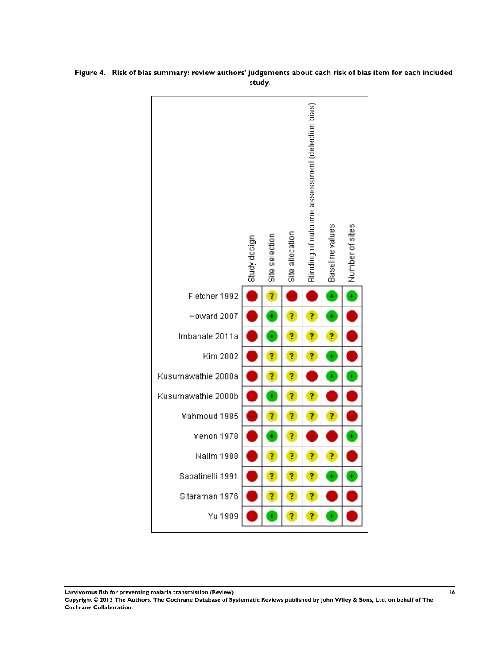

<span id="page-17-0"></span>**Figure 4. Risk of bias summary: review authors' judgements about each risk of bias item for each included study.**

**Larvivorous fish for preventing malaria transmission (Review) 16**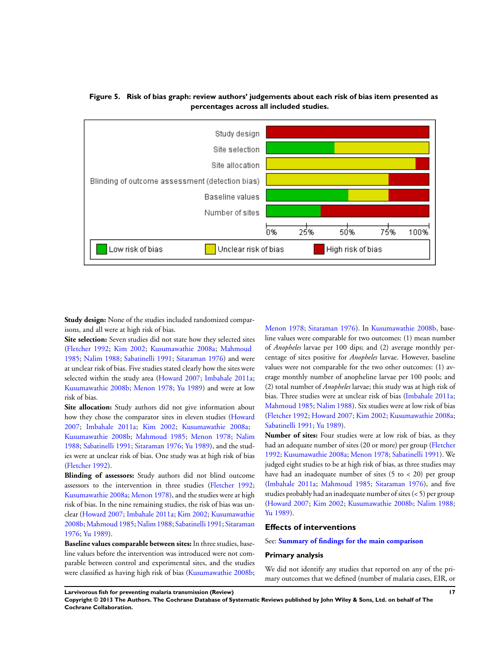

<span id="page-18-0"></span>**Figure 5. Risk of bias graph: review authors' judgements about each risk of bias item presented as percentages across all included studies.**

**Study design:** None of the studies included randomized comparisons, and all were at high risk of bias.

**Site selection:** Seven studies did not state how they selected sites [\(Fletcher 1992;](#page-25-0) [Kim 2002;](#page-25-0) [Kusumawathie 2008a;](#page-25-0) [Mahmoud](#page-25-0) [1985](#page-25-0); [Nalim 1988;](#page-25-0) [Sabatinelli 1991;](#page-25-0) [Sitaraman 1976](#page-25-0)) and were at unclear risk of bias. Five studies stated clearly how the sites were selected within the study area [\(Howard 2007;](#page-25-0) [Imbahale 2011a;](#page-25-0) [Kusumawathie 2008b](#page-25-0); [Menon 1978](#page-25-0); [Yu 1989](#page-25-0)) and were at low risk of bias.

Site allocation: Study authors did not give information about how they chose the comparator sites in eleven studies ([Howard](#page-25-0) [2007](#page-25-0); [Imbahale 2011a](#page-25-0); [Kim 2002](#page-25-0); [Kusumawathie 2008a;](#page-25-0) [Kusumawathie 2008b](#page-25-0); [Mahmoud 1985](#page-25-0); [Menon 1978](#page-25-0); [Nalim](#page-25-0) [1988](#page-25-0); [Sabatinelli 1991;](#page-25-0) [Sitaraman 1976](#page-25-0); [Yu 1989](#page-25-0)), and the studies were at unclear risk of bias. One study was at high risk of bias [\(Fletcher 1992](#page-25-0)).

**Blinding of assessors:** Study authors did not blind outcome assessors to the intervention in three studies ([Fletcher 1992;](#page-25-0) [Kusumawathie 2008a](#page-25-0); [Menon 1978](#page-25-0)), and the studies were at high risk of bias. In the nine remaining studies, the risk of bias was unclear [\(Howard 2007](#page-25-0); [Imbahale 2011a;](#page-25-0) [Kim 2002](#page-25-0); [Kusumawathie](#page-25-0) 2008b; Mahmoud 1985; Nalim 1988; [Sabatinelli 1991;](#page-25-0) [Sitaraman](#page-25-0) [1976](#page-25-0); [Yu 1989](#page-25-0)).

**Baseline values comparable between sites:** In three studies, baseline values before the intervention was introduced were not comparable between control and experimental sites, and the studies were classified as having high risk of bias [\(Kusumawathie 2008b;](#page-25-0)

[Menon 1978](#page-25-0); [Sitaraman 1976](#page-25-0)). In [Kusumawathie 2008b,](#page-25-0) baseline values were comparable for two outcomes: (1) mean number of *Anopheles* larvae per 100 dips; and (2) average monthly percentage of sites positive for *Anopheles* larvae. However, baseline values were not comparable for the two other outcomes: (1) average monthly number of anopheline larvae per 100 pools; and (2) total number of *Anopheles* larvae; this study was at high risk of bias. Three studies were at unclear risk of bias ([Imbahale 2011a;](#page-25-0) [Mahmoud 1985](#page-25-0); [Nalim 1988](#page-25-0)). Six studies were at low risk of bias [\(Fletcher 1992](#page-25-0); [Howard 2007;](#page-25-0) [Kim 2002](#page-25-0); [Kusumawathie 2008a;](#page-25-0) [Sabatinelli 1991;](#page-25-0) [Yu 1989](#page-25-0)).

**Number of sites:** Four studies were at low risk of bias, as they had an adequate number of sites (20 or more) per group [\(Fletcher](#page-25-0) [1992](#page-25-0); [Kusumawathie 2008a](#page-25-0); [Menon 1978;](#page-25-0) [Sabatinelli 1991\)](#page-25-0). We judged eight studies to be at high risk of bias, as three studies may have had an inadequate number of sites (5 to < 20) per group [\(Imbahale 2011a;](#page-25-0) [Mahmoud 1985](#page-25-0); [Sitaraman 1976\)](#page-25-0), and five studies probably had an inadequate number of sites  $(< 5)$  per group [\(Howard 2007](#page-25-0); [Kim 2002](#page-25-0); [Kusumawathie 2008b](#page-25-0); [Nalim 1988;](#page-25-0) [Yu 1989\)](#page-25-0).

# **Effects of interventions**

See: **[Summary of findings for the main comparison](#page-5-0)**

# **Primary analysis**

We did not identify any studies that reported on any of the primary outcomes that we defined (number of malaria cases, EIR, or

**Larvivorous fish for preventing malaria transmission (Review) 17**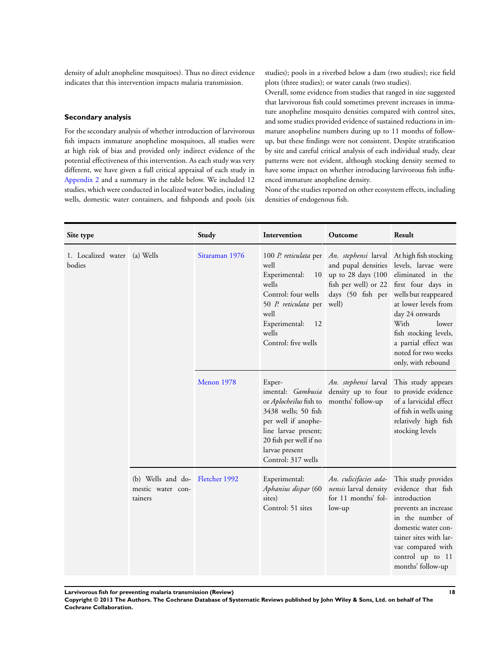density of adult anopheline mosquitoes). Thus no direct evidence indicates that this intervention impacts malaria transmission.

studies); pools in a riverbed below a dam (two studies); rice field plots (three studies); or water canals (two studies).

#### **Secondary analysis**

For the secondary analysis of whether introduction of larvivorous fish impacts immature anopheline mosquitoes, all studies were at high risk of bias and provided only indirect evidence of the potential effectiveness of this intervention. As each study was very different, we have given a full critical appraisal of each study in [Appendix 2](#page-58-0) and a summary in the table below. We included 12 studies, which were conducted in localized water bodies, including wells, domestic water containers, and fishponds and pools (six Overall, some evidence from studies that ranged in size suggested that larvivorous fish could sometimes prevent increases in immature anopheline mosquito densities compared with control sites, and some studies provided evidence of sustained reductions in immature anopheline numbers during up to 11 months of followup, but these findings were not consistent. Despite stratification by site and careful critical analysis of each individual study, clear patterns were not evident, although stocking density seemed to have some impact on whether introducing larvivorous fish influenced immature anopheline density.

None of the studies reported on other ecosystem effects, including densities of endogenous fish.

| Site type                              |                                                                 | Study                                                                                                                                              | Intervention                                                                                                                                                                                  | Outcome                                                                                                                                                                                                                                         | Result                                                                                                                                                                                                               |
|----------------------------------------|-----------------------------------------------------------------|----------------------------------------------------------------------------------------------------------------------------------------------------|-----------------------------------------------------------------------------------------------------------------------------------------------------------------------------------------------|-------------------------------------------------------------------------------------------------------------------------------------------------------------------------------------------------------------------------------------------------|----------------------------------------------------------------------------------------------------------------------------------------------------------------------------------------------------------------------|
| 1. Localized water (a) Wells<br>bodies | Sitaraman 1976                                                  | well<br>Experimental:<br>wells<br>Control: four wells<br>50 P. reticulata per well)<br>well<br>Experimental:<br>12<br>wells<br>Control: five wells | 100 P. reticulata per An. stephensi larval At high fish stocking<br>and pupal densities<br>10 up to 28 days (100<br>fish per well) or 22<br>days (50 fish per                                 | levels, larvae were<br>eliminated in the<br>first four days in<br>wells but reappeared<br>at lower levels from<br>day 24 onwards<br>With<br>lower<br>fish stocking levels,<br>a partial effect was<br>noted for two weeks<br>only, with rebound |                                                                                                                                                                                                                      |
|                                        |                                                                 | Menon 1978                                                                                                                                         | Exper-<br>imental: Gambusia<br>or Aplocheilus fish to<br>3438 wells; 50 fish<br>per well if anophe-<br>line larvae present;<br>20 fish per well if no<br>larvae present<br>Control: 317 wells | An. stephensi larval<br>density up to four<br>months' follow-up                                                                                                                                                                                 | This study appears<br>to provide evidence<br>of a larvicidal effect<br>of fish in wells using<br>relatively high fish<br>stocking levels                                                                             |
|                                        | (b) Wells and do- Fletcher 1992<br>mestic water con-<br>tainers |                                                                                                                                                    | Experimental:<br>Aphanius dispar (60<br>sites)<br>Control: 51 sites                                                                                                                           | An. culicifacies ada-<br><i>nensis</i> larval density<br>for 11 months' fol-<br>low-up                                                                                                                                                          | This study provides<br>evidence that fish<br>introduction<br>prevents an increase<br>in the number of<br>domestic water con-<br>tainer sites with lar-<br>vae compared with<br>control up to 11<br>months' follow-up |

**Larvivorous fish for preventing malaria transmission (Review) 18**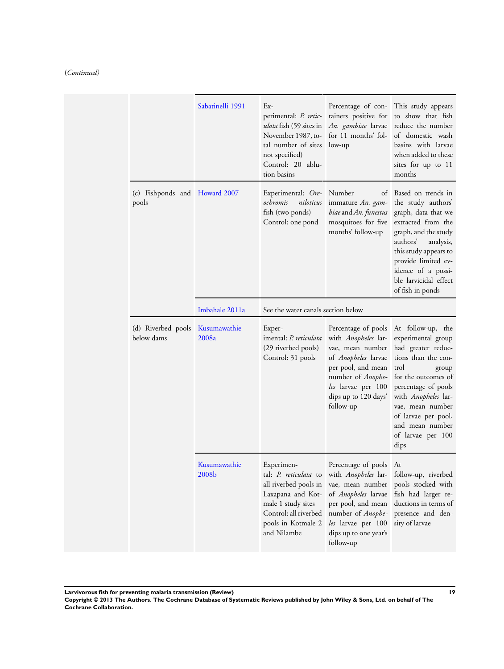|                                        | Sabatinelli 1991      | $Ex-$<br>perimental: P. retic-<br>ulata fish (59 sites in<br>November 1987, to-<br>tal number of sites<br>not specified)<br>Control: 20 ablu-<br>tion basins          | Percentage of con-<br>tainers positive for<br>An. gambiae larvae<br>for 11 months' fol-<br>low-up                                                                                                             | This study appears<br>to show that fish<br>reduce the number<br>of domestic wash<br>basins with larvae<br>when added to these<br>sites for up to 11<br>months                                                                                             |
|----------------------------------------|-----------------------|-----------------------------------------------------------------------------------------------------------------------------------------------------------------------|---------------------------------------------------------------------------------------------------------------------------------------------------------------------------------------------------------------|-----------------------------------------------------------------------------------------------------------------------------------------------------------------------------------------------------------------------------------------------------------|
| (c) Fishponds and Howard 2007<br>pools |                       | Experimental: Ore- Number<br>ochromis<br>niloticus<br>fish (two ponds)<br>Control: one pond                                                                           | of<br>immature An. gam-<br>biae and An. funestus<br>mosquitoes for five<br>months' follow-up                                                                                                                  | Based on trends in<br>the study authors'<br>graph, data that we<br>extracted from the<br>graph, and the study<br>authors'<br>analysis,<br>this study appears to<br>provide limited ev-<br>idence of a possi-<br>ble larvicidal effect<br>of fish in ponds |
|                                        | Imbahale 2011a        | See the water canals section below                                                                                                                                    |                                                                                                                                                                                                               |                                                                                                                                                                                                                                                           |
| (d) Riverbed pools<br>below dams       | Kusumawathie<br>2008a | Exper-<br>imental: P. reticulata<br>(29 riverbed pools)<br>Control: 31 pools                                                                                          | Percentage of pools At follow-up, the<br>with Anopheles lar-<br>vae, mean number<br>of Anopheles larvae<br>per pool, and mean<br>number of Anophe-<br>les larvae per 100<br>dips up to 120 days'<br>follow-up | experimental group<br>had greater reduc-<br>tions than the con-<br>trol<br>group<br>for the outcomes of<br>percentage of pools<br>with Anopheles lar-<br>vae, mean number<br>of larvae per pool,<br>and mean number<br>of larvae per 100<br>dips          |
|                                        | Kusumawathie<br>2008b | Experimen-<br>tal: P. reticulata to<br>all riverbed pools in<br>Laxapana and Kot-<br>male 1 study sites<br>Control: all riverbed<br>pools in Kotmale 2<br>and Nilambe | Percentage of pools At<br>with Anopheles lar-<br>vae, mean number<br>of Anopheles larvae<br>per pool, and mean<br>number of Anophe-<br>les larvae per 100<br>dips up to one year's                            | follow-up, riverbed<br>pools stocked with<br>fish had larger re-<br>ductions in terms of<br>presence and den-<br>sity of larvae                                                                                                                           |

**Larvivorous fish for preventing malaria transmission (Review) 19**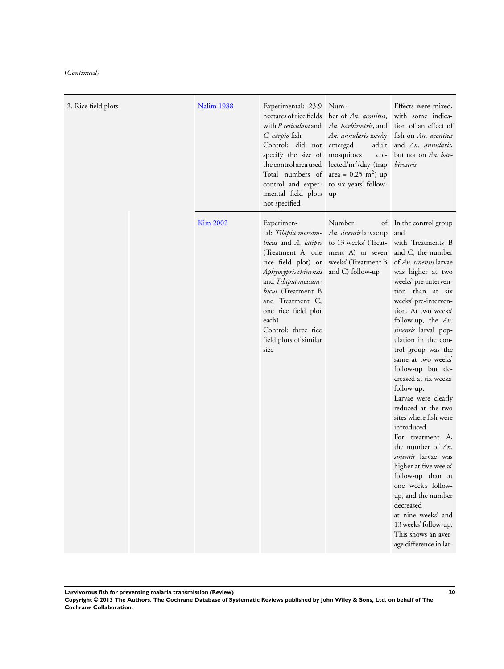| 2. Rice field plots | <b>Nalim 1988</b> | Experimental: 23.9 Num-<br>C. carpio fish<br>Control: did not emerged<br>specify the size of mosquitoes<br>the control area used<br>control and exper-<br>imental field plots up<br>not specified                    | hectares of rice fields ber of An. aconitus,<br>with P. reticulata and An. barbirostris, and tion of an effect of<br>An. annularis newly fish on An. aconitus<br>col-<br>lected/ $m^2$ /day (trap<br>Total numbers of area = $0.25$ m <sup>2</sup> ) up<br>to six years' follow- | Effects were mixed,<br>with some indica-<br>adult and An. annularis,<br>but not on An. bar-<br>birostris                                                                                                                                                                                                                                                                                                                                                                                                                                                                                                                                                                                                                                                         |
|---------------------|-------------------|----------------------------------------------------------------------------------------------------------------------------------------------------------------------------------------------------------------------|----------------------------------------------------------------------------------------------------------------------------------------------------------------------------------------------------------------------------------------------------------------------------------|------------------------------------------------------------------------------------------------------------------------------------------------------------------------------------------------------------------------------------------------------------------------------------------------------------------------------------------------------------------------------------------------------------------------------------------------------------------------------------------------------------------------------------------------------------------------------------------------------------------------------------------------------------------------------------------------------------------------------------------------------------------|
|                     | <b>Kim 2002</b>   | Experimen-<br>rice field plot) or<br>Aphyocypris chinensis<br>and Tilapia mossam-<br>bicus (Treatment B<br>and Treatment C,<br>one rice field plot<br>each)<br>Control: three rice<br>field plots of similar<br>size | Number<br>tal: Tilapia mossam- An. sinensis larvae up<br>bicus and A. latipes to 13 weeks' (Treat-<br>(Treatment A, one ment A) or seven<br>weeks' (Treatment B<br>and C) follow-up                                                                                              | of In the control group<br>and<br>with Treatments B<br>and C, the number<br>of An. sinensis larvae<br>was higher at two<br>weeks' pre-interven-<br>tion than at six<br>weeks' pre-interven-<br>tion. At two weeks'<br>follow-up, the An.<br>sinensis larval pop-<br>ulation in the con-<br>trol group was the<br>same at two weeks'<br>follow-up but de-<br>creased at six weeks'<br>follow-up.<br>Larvae were clearly<br>reduced at the two<br>sites where fish were<br>introduced<br>For treatment A,<br>the number of An.<br><i>sinensis</i> larvae was<br>higher at five weeks'<br>follow-up than at<br>one week's follow-<br>up, and the number<br>decreased<br>at nine weeks' and<br>13 weeks' follow-up.<br>This shows an aver-<br>age difference in lar- |

**Copyright © 2013 The Authors. The Cochrane Database of Systematic Reviews published by John Wiley & Sons, Ltd. on behalf of The Cochrane Collaboration.**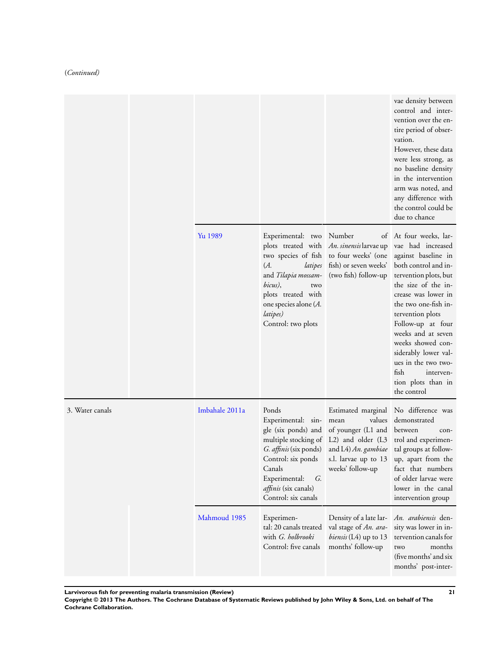|                 |                |                                                                                                                                                                                                            |                                                                                                                                       | vae density between<br>control and inter-<br>vention over the en-<br>tire period of obser-<br>vation.<br>However, these data<br>were less strong, as<br>no baseline density<br>in the intervention<br>arm was noted, and<br>any difference with<br>the control could be<br>due to chance                                                                                               |
|-----------------|----------------|------------------------------------------------------------------------------------------------------------------------------------------------------------------------------------------------------------|---------------------------------------------------------------------------------------------------------------------------------------|----------------------------------------------------------------------------------------------------------------------------------------------------------------------------------------------------------------------------------------------------------------------------------------------------------------------------------------------------------------------------------------|
|                 | Yu 1989        | Experimental: two Number<br>(A.<br>latipes<br>and Tilapia mossam-<br>bicus),<br>two<br>plots treated with<br>one species alone (A.<br>latipes)<br>Control: two plots                                       | plots treated with An. sinensis larvae up<br>two species of fish to four weeks' (one<br>fish) or seven weeks'<br>(two fish) follow-up | of At four weeks, lar-<br>vae had increased<br>against baseline in<br>both control and in-<br>tervention plots, but<br>the size of the in-<br>crease was lower in<br>the two one-fish in-<br>tervention plots<br>Follow-up at four<br>weeks and at seven<br>weeks showed con-<br>siderably lower val-<br>ues in the two two-<br>fish<br>interven-<br>tion plots than in<br>the control |
| 3. Water canals | Imbahale 2011a | Ponds<br>Experimental: sin-<br>gle (six ponds) and<br>multiple stocking of<br>G. affinis (six ponds)<br>Control: six ponds<br>Canals<br>Experimental:<br>G.<br>affinis (six canals)<br>Control: six canals | values<br>mean<br>of younger (L1 and<br>L2) and older (L3<br>and L4) An. gambiae<br>s.l. larvae up to 13<br>weeks' follow-up          | Estimated marginal No difference was<br>demonstrated<br>between<br>con-<br>trol and experimen-<br>tal groups at follow-<br>up, apart from the<br>fact that numbers<br>of older larvae were<br>lower in the canal<br>intervention group                                                                                                                                                 |
|                 | Mahmoud 1985   | Experimen-<br>tal: 20 canals treated<br>with G. holbrooki<br>Control: five canals                                                                                                                          | Density of a late lar-<br>val stage of An. ara-<br>biensis (L4) up to 13<br>months' follow-up                                         | An. arabiensis den-<br>sity was lower in in-<br>tervention canals for<br>months<br>two<br>(five months' and six<br>months' post-inter-                                                                                                                                                                                                                                                 |

**Larvivorous fish for preventing malaria transmission (Review) 21**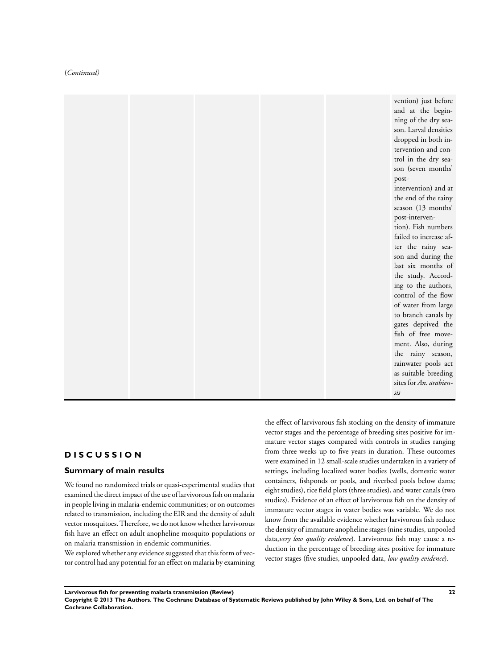vention) just before and at the beginning of the dry season. Larval densities dropped in both intervention and control in the dry season (seven months' postintervention) and at the end of the rainy season (13 months' post-intervention). Fish numbers failed to increase after the rainy season and during the last six months of the study. According to the authors, control of the flow of water from large to branch canals by gates deprived the fish of free movement. Also, during the rainy season, rainwater pools act as suitable breeding sites for *An. arabiensis*

# **D I S C U S S I O N**

# **Summary of main results**

We found no randomized trials or quasi-experimental studies that examined the direct impact of the use of larvivorous fish on malaria in people living in malaria-endemic communities; or on outcomes related to transmission, including the EIR and the density of adult vector mosquitoes. Therefore, we do not know whether larvivorous fish have an effect on adult anopheline mosquito populations or on malaria transmission in endemic communities.

We explored whether any evidence suggested that this form of vector control had any potential for an effect on malaria by examining

the effect of larvivorous fish stocking on the density of immature vector stages and the percentage of breeding sites positive for immature vector stages compared with controls in studies ranging from three weeks up to five years in duration. These outcomes were examined in 12 small-scale studies undertaken in a variety of settings, including localized water bodies (wells, domestic water containers, fishponds or pools, and riverbed pools below dams; eight studies), rice field plots (three studies), and water canals (two studies). Evidence of an effect of larvivorous fish on the density of immature vector stages in water bodies was variable. We do not know from the available evidence whether larvivorous fish reduce the density of immature anopheline stages (nine studies, unpooled data,*very low quality evidence*). Larvivorous fish may cause a reduction in the percentage of breeding sites positive for immature vector stages (five studies, unpooled data, *low quality evidence*).

**Larvivorous fish for preventing malaria transmission (Review) 22**

**Copyright © 2013 The Authors. The Cochrane Database of Systematic Reviews published by John Wiley & Sons, Ltd. on behalf of The Cochrane Collaboration.**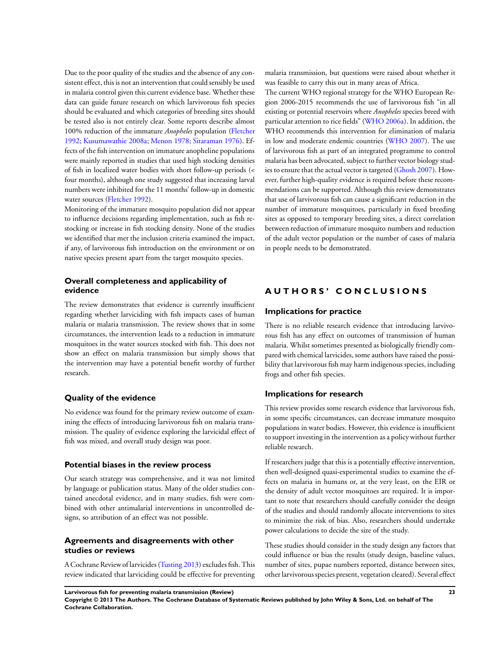Due to the poor quality of the studies and the absence of any consistent effect, this is not an intervention that could sensibly be used in malaria control given this current evidence base. Whether these data can guide future research on which larvivorous fish species should be evaluated and which categories of breeding sites should be tested also is not entirely clear. Some reports describe almost 100% reduction of the immature *Anopheles* population [\(Fletcher](#page-25-0) [1992](#page-25-0); [Kusumawathie 2008a;](#page-25-0) [Menon 1978;](#page-25-0) [Sitaraman 1976](#page-25-0)). Effects of the fish intervention on immature anopheline populations were mainly reported in studies that used high stocking densities of fish in localized water bodies with short follow-up periods (< four months), although one study suggested that increasing larval numbers were inhibited for the 11 months' follow-up in domestic water sources [\(Fletcher 1992\)](#page-25-0).

Monitoring of the immature mosquito population did not appear to influence decisions regarding implementation, such as fish restocking or increase in fish stocking density. None of the studies we identified that met the inclusion criteria examined the impact, if any, of larvivorous fish introduction on the environment or on native species present apart from the target mosquito species.

# **Overall completeness and applicability of evidence**

The review demonstrates that evidence is currently insufficient regarding whether larviciding with fish impacts cases of human malaria or malaria transmission. The review shows that in some circumstances, the intervention leads to a reduction in immature mosquitoes in the water sources stocked with fish. This does not show an effect on malaria transmission but simply shows that the intervention may have a potential benefit worthy of further research.

# **Quality of the evidence**

No evidence was found for the primary review outcome of examining the effects of introducing larvivorous fish on malaria transmission. The quality of evidence exploring the larvicidal effect of fish was mixed, and overall study design was poor.

## **Potential biases in the review process**

Our search strategy was comprehensive, and it was not limited by language or publication status. Many of the older studies contained anecdotal evidence, and in many studies, fish were combined with other antimalarial interventions in uncontrolled designs, so attribution of an effect was not possible.

# **Agreements and disagreements with other studies or reviews**

A Cochrane Review of larvicides [\(Tusting 2013](#page-25-0)) excludes fish. This review indicated that larviciding could be effective for preventing

malaria transmission, but questions were raised about whether it was feasible to carry this out in many areas of Africa.

The current WHO regional strategy for the WHO European Region 2006-2015 recommends the use of larvivorous fish "in all existing or potential reservoirs where *Anopheles* species breed with particular attention to rice fields" [\(WHO 2006a\)](#page-25-0). In addition, the WHO recommends this intervention for elimination of malaria in low and moderate endemic countries ([WHO 2007](#page-25-0)). The use of larvivorous fish as part of an integrated programme to control malaria has been advocated, subject to further vector biology studies to ensure that the actual vector is targeted [\(Ghosh 2007](#page-25-0)). However, further high-quality evidence is required before these recommendations can be supported. Although this review demonstrates that use of larvivorous fish can cause a significant reduction in the number of immature mosquitoes, particularly in fixed breeding sites as opposed to temporary breeding sites, a direct correlation between reduction of immature mosquito numbers and reduction of the adult vector population or the number of cases of malaria in people needs to be demonstrated.

# **A U T H O R S ' C O N C L U S I O N S**

#### **Implications for practice**

There is no reliable research evidence that introducing larvivorous fish has any effect on outcomes of transmission of human malaria. Whilst sometimes presented as biologically friendly compared with chemical larvicides, some authors have raised the possibility that larvivorous fish may harm indigenous species, including frogs and other fish species.

## **Implications for research**

This review provides some research evidence that larvivorous fish, in some specific circumstances, can decrease immature mosquito populations in water bodies. However, this evidence is insufficient to support investing in the intervention as a policy without further reliable research.

If researchers judge that this is a potentially effective intervention, then well-designed quasi-experimental studies to examine the effects on malaria in humans or, at the very least, on the EIR or the density of adult vector mosquitoes are required. It is important to note that researchers should carefully consider the design of the studies and should randomly allocate interventions to sites to minimize the risk of bias. Also, researchers should undertake power calculations to decide the size of the study.

These studies should consider in the study design any factors that could influence or bias the results (study design, baseline values, number of sites, pupae numbers reported, distance between sites, other larvivorous species present, vegetation cleared). Several effect

**Larvivorous fish for preventing malaria transmission (Review) 23**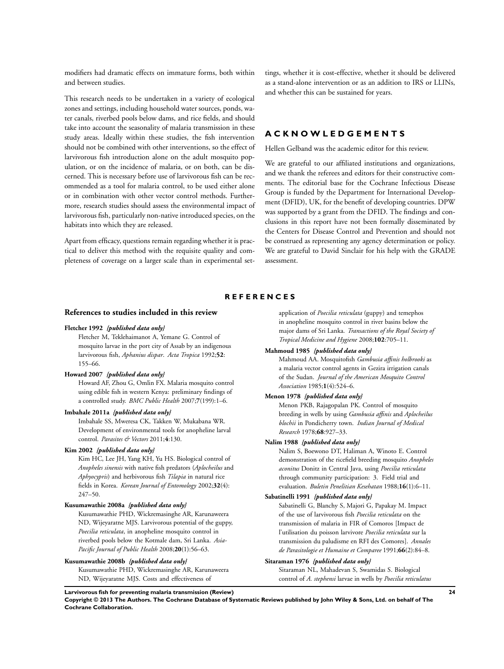<span id="page-25-0"></span>modifiers had dramatic effects on immature forms, both within and between studies.

This research needs to be undertaken in a variety of ecological zones and settings, including household water sources, ponds, water canals, riverbed pools below dams, and rice fields, and should take into account the seasonality of malaria transmission in these study areas. Ideally within these studies, the fish intervention should not be combined with other interventions, so the effect of larvivorous fish introduction alone on the adult mosquito population, or on the incidence of malaria, or on both, can be discerned. This is necessary before use of larvivorous fish can be recommended as a tool for malaria control, to be used either alone or in combination with other vector control methods. Furthermore, research studies should assess the environmental impact of larvivorous fish, particularly non-native introduced species, on the habitats into which they are released.

Apart from efficacy, questions remain regarding whether it is practical to deliver this method with the requisite quality and completeness of coverage on a larger scale than in experimental settings, whether it is cost-effective, whether it should be delivered as a stand-alone intervention or as an addition to IRS or LLINs, and whether this can be sustained for years.

# **A C K N O W L E D G E M E N T S**

Hellen Gelband was the academic editor for this review.

We are grateful to our affiliated institutions and organizations, and we thank the referees and editors for their constructive comments. The editorial base for the Cochrane Infectious Disease Group is funded by the Department for International Development (DFID), UK, for the benefit of developing countries. DPW was supported by a grant from the DFID. The findings and conclusions in this report have not been formally disseminated by the Centers for Disease Control and Prevention and should not be construed as representing any agency determination or policy. We are grateful to David Sinclair for his help with the GRADE assessment.

# **R E F E R E N C E S**

#### **References to studies included in this review**

#### **Fletcher 1992** *{published data only}*

Fletcher M, Teklehaimanot A, Yemane G. Control of mosquito larvae in the port city of Assab by an indigenous larvivorous fish, *Aphanius dispar*. *Acta Tropica* 1992;**52**: 155–66.

#### **Howard 2007** *{published data only}*

Howard AF, Zhou G, Omlin FX. Malaria mosquito control using edible fish in western Kenya: preliminary findings of a controlled study. *BMC Public Health* 2007;**7**(199):1–6.

#### **Imbahale 2011a** *{published data only}*

Imbahale SS, Mweresa CK, Takken W, Mukabana WR. Development of environmental tools for anopheline larval control. *Parasites & Vectors* 2011;**4**:130.

# **Kim 2002** *{published data only}*

Kim HC, Lee JH, Yang KH, Yu HS. Biological control of *Anopheles sinensis* with native fish predators (*Aplocheilus* and *Aphyocypris*) and herbivorous fish *Tilapia* in natural rice fields in Korea. *Korean Journal of Entomology* 2002;**32**(4): 247–50.

#### **Kusumawathie 2008a** *{published data only}*

Kusumawathie PHD, Wickremasinghe AR, Karunaweera ND, Wijeyaratne MJS. Larvivorous potential of the guppy, *Poecilia reticulata*, in anopheline mosquito control in riverbed pools below the Kotmale dam, Sri Lanka. *Asia-Pacific Journal of Public Health* 2008;**20**(1):56–63.

#### **Kusumawathie 2008b** *{published data only}*

Kusumawathie PHD, Wickremasinghe AR, Karunaweera ND, Wijeyaratne MJS. Costs and effectiveness of

application of *Poecilia reticulata* (guppy) and temephos in anopheline mosquito control in river basins below the major dams of Sri Lanka. *Transactions of the Royal Society of Tropical Medicine and Hygiene* 2008;**102**:705–11.

#### **Mahmoud 1985** *{published data only}*

Mahmoud AA. Mosquitofish *Gambusia affinis holbrooki* as a malaria vector control agents in Gezira irrigation canals of the Sudan. *Journal of the American Mosquito Control Association* 1985;**1**(4):524–6.

## **Menon 1978** *{published data only}*

Menon PKB, Rajagopalan PK. Control of mosquito breeding in wells by using *Gambusia affinis* and *Aplocheilus blochii* in Pondicherry town. *Indian Journal of Medical Research* 1978;**68**:927–33.

# **Nalim 1988** *{published data only}*

Nalim S, Boewono DT, Haliman A, Winoto E. Control demonstration of the ricefield breeding mosquito *Anopheles aconitus* Donitz in Central Java, using *Poecilia reticulata* through community participation: 3. Field trial and evaluation. *Buletin Penelitian Kesehatan* 1988;**16**(1):6–11.

#### **Sabatinelli 1991** *{published data only}*

Sabatinelli G, Blanchy S, Majori G, Papakay M. Impact of the use of larvivorous fish *Poecilia reticulata* on the transmission of malaria in FIR of Comoros [Impact de l'utilisation du poisson larvivore *Poecilia reticulata* sur la transmission du paludisme en RFI des Comores]. *Annales de Parasitologie et Humaine et Comparee* 1991;**66**(2):84–8.

#### **Sitaraman 1976** *{published data only}*

Sitaraman NL, Mahadevan S, Swamidas S. Biological control of *A. stephensi* larvae in wells by *Poecilia reticulatus*

**Larvivorous fish for preventing malaria transmission (Review) 24**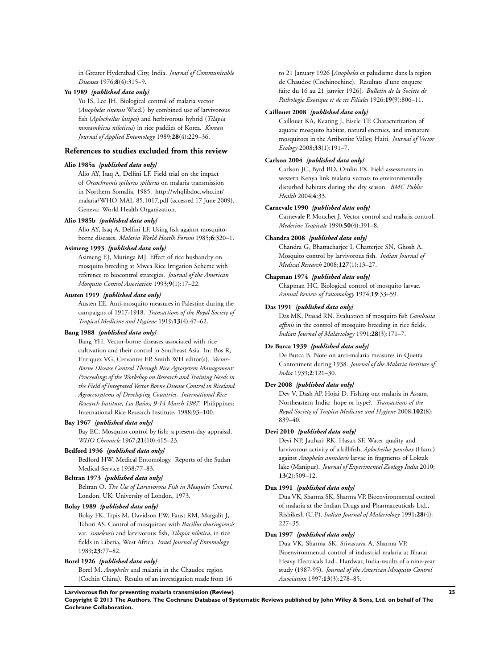in Greater Hyderabad City, India. *Journal of Communicable Diseases* 1976;**8**(4):315–9.

#### **Yu 1989** *{published data only}*

Yu IS, Lee JH. Biological control of malaria vector (*Anopheles sinensis* Wied.) by combined use of larvivorous fish (*Aplocheilus latipes*) and herbivorous hybrid (*Tilapia mossambicus niloticus*) in rice paddies of Korea. *Korean Journal of Applied Entomology* 1989;**28**(4):229–36.

# **References to studies excluded from this review**

# **Alio 1985a** *{published data only}*

Alio AY, Isaq A, Delfini LF. Field trial on the impact of *Oreochromis spilurus spilurus* on malaria transmission in Northern Somalia, 1985. http://whqlibdoc.who.int/ malaria/WHO˙MAL˙85.1017.pdf (accessed 17 June 2009). Geneva: World Health Organization.

#### **Alio 1985b** *{published data only}*

Alio AY, Isaq A, Delfini LF. Using fish against mosquitoborne diseases. *Malaria World Heatlh Forum* 1985;**6**:320–1.

# **Asimeng 1993** *{published data only}*

Asimeng EJ, Mutinga MJ. Effect of rice husbandry on mosquito breeding at Mwea Rice Irrigation Scheme with reference to biocontrol strategies. *Journal of the American Mosquito Control Association* 1993;**9**(1):17–22.

## **Austen 1919** *{published data only}*

Austen EE. Anti-mosquito measures in Palestine during the campaigns of 1917-1918. *Transactions of the Royal Society of Tropical Medicine and Hygiene* 1919;**13**(4):47–62.

## **Bang 1988** *{published data only}*

Bang YH. Vector-borne diseases associated with rice cultivation and their control in Southeast Asia. In: Bos R, Enriquez VG, Cervantes EP, Smith WH editor(s). *Vector-Borne Disease Control Through Rice Agrosystem Management: Proceedings of the Workshop on Research and Training Needs in the Field of Integrated Vector Borne Disease Control in Riceland Agroecosystems of Developing Countries. International Rice Research Institute, Los Baños, 9-14 March 1987*. Philippines: International Rice Research Institute, 1988:93–100.

#### **Bay 1967** *{published data only}*

Bay EC. Mosquito control by fish: a present-day appraisal. *WHO Chronicle* 1967;**21**(10):415–23.

# **Bedford 1936** *{published data only}*

Bedford HW. Medical Entomology. Reports of the Sudan Medical Service 1938:77–83.

## **Beltran 1973** *{published data only}*

Beltran O. *The Use of Larvivorous Fish in Mosquito Control*. London, UK: University of London, 1973.

#### **Bolay 1989** *{published data only}*

Bolay FK, Trpis M, Davidson EW, Faust RM, Margalit J, Tahori AS. Control of mosquitoes with *Bacillus thuringiensis* var. *israelensis* and larvivorous fish, *Tilapia nilotica*, in rice fields in Liberia, West Africa. *Israel Journal of Entomology* 1989;**23**:77–82.

#### **Borel 1926** *{published data only}*

Borel M. *Anopheles* and malaria in the Chaudoc region (Cochin China). Results of an investigation made from 16 to 21 January 1926 [*Anopheles* et paludisme dans la region de Chaudoc (Cochinochine). Resultats d'une enquete faite du 16 au 21 janvier 1926]. *Bulletin de la Societe de Pathologie Exotique et de ses Filiales* 1926;**19**(9):806–11.

#### **Caillouet 2008** *{published data only}*

Caillouet KA, Keating J, Eisele TP. Characterization of aquatic mosquito habitat, natural enemies, and immature mosquitoes in the Artibonite Valley, Haiti. *Journal of Vector Ecology* 2008;**33**(1):191–7.

# **Carlson 2004** *{published data only}*

Carlson JC, Byrd BD, Omlin FX. Field assessments in western Kenya link malaria vectors to environmentally disturbed habitats during the dry season. *BMC Public Health* 2004;**4**:33.

#### **Carnevale 1990** *{published data only}*

Carnevale P, Mouchet J. Vector control and malaria control. *Medecine Tropicale* 1990;**50**(4):391–8.

#### **Chandra 2008** *{published data only}*

Chandra G, Bhattacharjee I, Chatterjee SN, Ghosh A. Mosquito control by larvivorous fish. *Indian Journal of Medical Research* 2008;**127**(1):13–27.

# **Chapman 1974** *{published data only}*

Chapman HC. Biological control of mosquito larvae. *Annual Review of Entomology* 1974;**19**:33–59.

#### **Das 1991** *{published data only}*

Das MK, Prasad RN. Evaluation of mosquito fish *Gambusia affinis* in the control of mosquito breeding in rice fields. *Indian Journal of Malariology* 1991;**28**(3):171–7.

## **De Burca 1939** *{published data only}*

De Burca B. Note on anti-malaria measures in Quetta Cantonment during 1938. *Journal of the Malaria Institute of India* 1939;**2**:121–30.

#### **Dev 2008** *{published data only}*

Dev V, Dash AP, Hojai D. Fishing out malaria in Assam, Northeastern India: hope or hype?. *Transactions of the Royal Society of Tropica Medicine and Hygiene* 2008;**102**(8): 839–40.

#### **Devi 2010** *{published data only}*

Devi NP, Jauhari RK, Hasan SF. Water quality and larvivorous activity of a killifish, *Aplocheilus panchax* (Ham.) against *Anopheles annularis* larvae in fragments of Loktak lake (Manipur). *Journal of Experimental Zoology India* 2010; **13**(2):509–12.

# **Dua 1991** *{published data only}*

Dua VK, Sharma SK, Sharma VP. Bioenvironmental control of malaria at the Indian Drugs and Pharmaceuticals Ltd., Rishikesh (U.P). *Indian Journal of Malariology* 1991;**28**(4): 227–35.

# **Dua 1997** *{published data only}*

Dua VK, Sharma SK, Srivastava A, Sharma VP. Bioenvironmental control of industrial malaria at Bharat Heavy Electricals Ltd., Hardwar, India-results of a nine-year study (1987-95). *Journal of the American Mosquito Control Association* 1997;**13**(3):278–85.

**Larvivorous fish for preventing malaria transmission (Review) 25**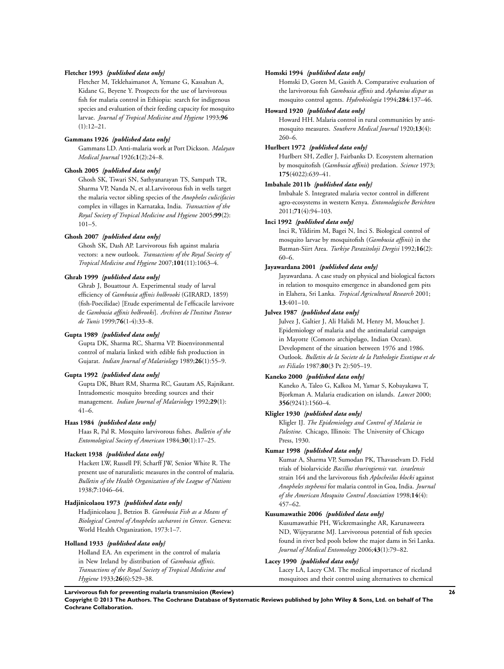## **Fletcher 1993** *{published data only}*

Fletcher M, Teklehaimanot A, Yemane G, Kassahun A, Kidane G, Beyene Y. Prospects for the use of larvivorous fish for malaria control in Ethiopia: search for indigenous species and evaluation of their feeding capacity for mosquito larvae. *Journal of Tropical Medicine and Hygiene* 1993;**96**  $(1):12-21.$ 

# **Gammans 1926** *{published data only}*

Gammans LD. Anti-malaria work at Port Dickson. *Malayan Medical Journal* 1926;**1**(2):24–8.

## **Ghosh 2005** *{published data only}*

Ghosh SK, Tiwari SN, Sathyanarayan TS, Sampath TR, Sharma VP, Nanda N, et al.Larvivorous fish in wells target the malaria vector sibling species of the *Anopheles culicifacies* complex in villages in Karnataka, India. *Transaction of the Royal Society of Tropical Medicine and Hygiene* 2005;**99**(2):  $101-5.$ 

## **Ghosh 2007** *{published data only}*

Ghosh SK, Dash AP. Larvivorous fish against malaria vectors: a new outlook. *Transactions of the Royal Society of Tropical Medicine and Hygiene* 2007;**101**(11):1063–4.

## **Ghrab 1999** *{published data only}*

Ghrab J, Bouattour A. Experimental study of larval efficiency of *Gambusia affinis holbrooki* (GIRARD, 1859) (fish-Poecilidae) [Etude experimental de l'efficacile larvivore de *Gambusia affinis holbrooki*]. *Archives de l'Institut Pasteur de Tunis* 1999;**76**(1-4):33–8.

# **Gupta 1989** *{published data only}*

Gupta DK, Sharma RC, Sharma VP. Bioenvironmental control of malaria linked with edible fish production in Gujarat. *Indian Journal of Malariology* 1989;**26**(1):55–9.

## **Gupta 1992** *{published data only}*

Gupta DK, Bhatt RM, Sharma RC, Gautam AS, Rajnikant. Intradomestic mosquito breeding sources and their management. *Indian Journal of Malariology* 1992;**29**(1): 41–6.

#### **Haas 1984** *{published data only}*

Haas R, Pal R. Mosquito larvivorous fishes. *Bulletin of the Entomological Society of American* 1984;**30**(1):17–25.

#### **Hackett 1938** *{published data only}*

Hackett LW, Russell PF, Scharff JW, Senior White R. The present use of naturalistic measures in the control of malaria. *Bulletin of the Health Organization of the League of Nations* 1938;**7**:1046–64.

## **Hadjinicolaou 1973** *{published data only}*

Hadjinicolaou J, Betzios B. *Gambusia Fish as a Means of Biological Control of Anopheles sacharovi in Greece*. Geneva: World Health Organization, 1973:1–7.

#### **Holland 1933** *{published data only}*

Holland EA. An experiment in the control of malaria in New Ireland by distribution of *Gambusia affinis*. *Transactions of the Royal Society of Tropical Medicine and Hygiene* 1933;**26**(6):529–38.

#### **Homski 1994** *{published data only}*

Homski D, Goren M, Gasith A. Comparative evaluation of the larvivorous fish *Gambusia affinis* and *Aphanius dispar* as mosquito control agents. *Hydrobiologia* 1994;**284**:137–46.

#### **Howard 1920** *{published data only}*

Howard HH. Malaria control in rural communities by antimosquito measures. *Southern Medical Journal* 1920;**13**(4): 260–6.

# **Hurlbert 1972** *{published data only}*

Hurlbert SH, Zedler J, Fairbanks D. Ecosystem alternation by mosquitofish (*Gambusia affinis*) predation. *Science* 1973; **175**(4022):639–41.

## **Imbahale 2011b** *{published data only}*

Imbahale S. Integrated malaria vector control in different agro-ecosystems in western Kenya. *Entomologische Berichten* 2011;**71**(4):94–103.

## **Inci 1992** *{published data only}*

Inci R, Yildirim M, Bagei N, Inci S. Biological control of mosquito larvae by mosquitofish (*Gambusia affinis*) in the Batman-Siirt Area. *Turkiye Parazitoloji Dergisi* 1992;**16**(2): 60–6.

# **Jayawardana 2001** *{published data only}*

Jayawardana. A case study on physical and biological factors in relation to mosquito emergence in abandoned gem pits in Elahera, Sri Lanka. *Tropical Agricultural Research* 2001; **13**:401–10.

# **Julvez 1987** *{published data only}*

Julvez J, Galtier J, Ali Halidi M, Henry M, Mouchet J. Epidemiology of malaria and the antimalarial campaign in Mayotte (Comoro archipelago, Indian Ocean). Development of the situation between 1976 and 1986. Outlook. *Bulletin de la Societe de la Pathologie Exotique et de ses Filiales* 1987;**80**(3 Pt 2):505–19.

#### **Kaneko 2000** *{published data only}*

Kaneko A, Taleo G, Kalkoa M, Yamar S, Kobayakawa T, Bjorkman A. Malaria eradication on islands. *Lancet* 2000; **356**(9241):1560–4.

#### **Kligler 1930** *{published data only}*

Kligler IJ. *The Epidemiology and Control of Malaria in Palestine*. Chicago, Illinois: The University of Chicago Press, 1930.

#### **Kumar 1998** *{published data only}*

Kumar A, Sharma VP, Sumodan PK, Thavaselvam D. Field trials of biolarvicide *Bacillus thuringiensis* var. *israelensis* strain 164 and the larvivorous fish *Aplocheilus blocki* against *Anopheles stephensi* for malaria control in Goa, India. *Journal of the American Mosquito Control Association* 1998;**14**(4): 457–62.

# **Kusumawathie 2006** *{published data only}*

Kusumawathie PH, Wickremasinghe AR, Karunaweera ND, Wijeyaratne MJ. Larvivorous potential of fish species found in river bed pools below the major dams in Sri Lanka. *Journal of Medical Entomology* 2006;**43**(1):79–82.

#### **Lacey 1990** *{published data only}*

Lacey LA, Lacey CM. The medical importance of riceland mosquitoes and their control using alternatives to chemical

## **Larvivorous fish for preventing malaria transmission (Review) 26**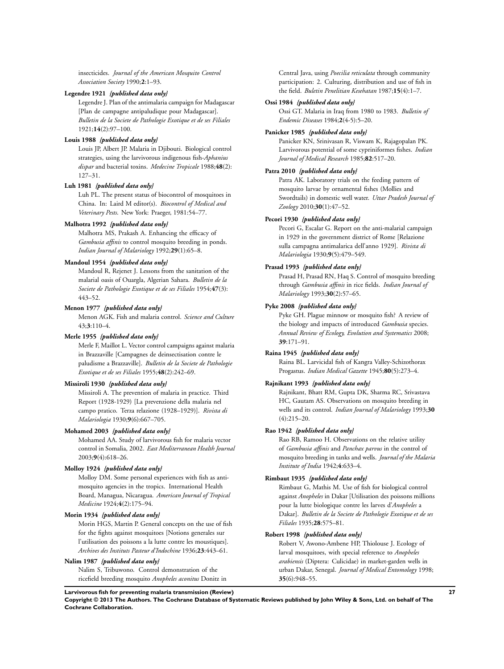insecticides. *Journal of the American Mosquito Control Association Society* 1990;**2**:1–93.

#### **Legendre 1921** *{published data only}*

Legendre J. Plan of the antimalaria campaign for Madagascar [Plan de campagne antipaludique pour Madagascar]. *Bulletin de la Societe de Pathologie Exotique et de ses Filiales* 1921;**14**(2):97–100.

#### **Louis 1988** *{published data only}*

Louis JP, Albert JP. Malaria in Djibouti. Biological control strategies, using the larvivorous indigenous fish-*Aphanius dispar* and bacterial toxins. *Medecine Tropicale* 1988;**48**(2): 127–31.

## **Luh 1981** *{published data only}*

Luh PL. The present status of biocontrol of mosquitoes in China. In: Laird M editor(s). *Biocontrol of Medical and Veterinary Pests*. New York: Praeger, 1981:54–77.

#### **Malhotra 1992** *{published data only}*

Malhotra MS, Prakash A. Enhancing the efficacy of *Gambusia affinis* to control mosquito breeding in ponds. *Indian Journal of Malariology* 1992;**29**(1):65–8.

# **Mandoul 1954** *{published data only}*

Mandoul R, Rejenet J. Lessons from the sanitation of the malarial oasis of Ouargla, Algerian Sahara. *Bulletin de la Societe de Pathologie Exotique et de ses Filiales* 1954;**47**(3): 443–52.

## **Menon 1977** *{published data only}*

Menon AGK. Fish and malaria control. *Science and Culture* 43;**3**:110–4.

## **Merle 1955** *{published data only}*

Merle F, Maillot L. Vector control campaigns against malaria in Brazzaville [Campagnes de deinsectisation contre le paludisme a Brazzaville]. *Bulletin de la Societe de Pathologie Exotique et de ses Filiales* 1955;**48**(2):242–69.

# **Missiroli 1930** *{published data only}*

Missiroli A. The prevention of malaria in practice. Third Report (1928-1929) [La prevenzione della malaria nel campo pratico. Terza relazione (1928–1929)]. *Rivista di Malariologia* 1930;**9**(6):667–705.

## **Mohamed 2003** *{published data only}*

Mohamed AA. Study of larvivorous fish for malaria vector control in Somalia, 2002. *East Mediterranean Health Journal* 2003;**9**(4):618–26.

#### **Molloy 1924** *{published data only}*

Molloy DM. Some personal experiences with fish as antimosquito agencies in the tropics. International Health Board, Managua, Nicaragua. *American Journal of Tropical Medicine* 1924;**4**(2):175–94.

## **Morin 1934** *{published data only}*

Morin HGS, Martin P. General concepts on the use of fish for the fights against mosquitoes [Notions generales sur l'utilisation des poissons a la lutte contre les moustiques]. *Archives des Instituts Pasteur d'Indochine* 1936;**23**:443–61.

# **Nalim 1987** *{published data only}*

Nalim S, Tribuwono. Control demonstration of the ricefield breeding mosquito *Anopheles aconitus* Donitz in Central Java, using *Poecilia reticulata* through community participation: 2. Culturing, distribution and use of fish in the field. *Buletin Penelitian Kesehatan* 1987;**15**(4):1–7.

#### **Ossi 1984** *{published data only}*

Ossi GT. Malaria in Iraq from 1980 to 1983. *Bulletin of Endemic Diseases* 1984;**2**(4-5):5–20.

#### **Panicker 1985** *{published data only}*

Panicker KN, Srinivasan R, Viswam K, Rajagopalan PK. Larvivorous potential of some cypriniformes fishes. *Indian Journal of Medical Research* 1985;**82**:517–20.

## **Patra 2010** *{published data only}*

Patra AK. Laboratory trials on the feeding pattern of mosquito larvae by ornamental fishes (Mollies and Swordtails) in domestic well water. *Uttar Pradesh Journal of Zoology* 2010;**30**(1):47–52.

#### **Pecori 1930** *{published data only}*

Pecori G, Escalar G. Report on the anti-malarial campaign in 1929 in the government district of Rome [Relazione sulla campagna antimalarica dell'anno 1929]. *Rivista di Malariologia* 1930;**9**(5):479–549.

## **Prasad 1993** *{published data only}*

Prasad H, Prasad RN, Haq S. Control of mosquito breeding through *Gambusia affinis* in rice fields. *Indian Journal of Malariology* 1993;**30**(2):57–65.

# **Pyke 2008** *{published data only}*

Pyke GH. Plague minnow or mosquito fish? A review of the biology and impacts of introduced *Gambusia* species. *Annual Review of Ecology, Evolution and Systematics* 2008; **39**:171–91.

# **Raina 1945** *{published data only}*

Raina BL. Larvicidal fish of Kangra Valley-Schizothorax Progastus. *Indian Medical Gazette* 1945;**80**(5):273–4.

# **Rajnikant 1993** *{published data only}*

Rajnikant, Bhatt RM, Gupta DK, Sharma RC, Srivastava HC, Gautam AS. Observations on mosquito breeding in wells and its control. *Indian Journal of Malariology* 1993;**30**  $(4):215-20.$ 

## **Rao 1942** *{published data only}*

Rao RB, Ramoo H. Observations on the relative utility of *Gambusia affinis* and *Panchax parvus* in the control of mosquito breeding in tanks and wells. *Journal of the Malaria Institute of India* 1942;**4**:633–4.

## **Rimbaut 1935** *{published data only}*

Rimbaut G, Mathis M. Use of fish for biological control against *Anopheles* in Dakar [Utilisation des poissons millions pour la lutte biologique contre les larves d'*Anopheles* a Dakar]. *Bulletin de la Societe de Pathologie Exotique et de ses Filiales* 1935;**28**:575–81.

### **Robert 1998** *{published data only}*

Robert V, Awono-Ambene HP, Thiolouse J. Ecology of larval mosquitoes, with special reference to *Anopheles arabiensis* (Diptera: Culicidae) in market-garden wells in urban Dakar, Senegal. *Journal of Medical Entomology* 1998; **35**(6):948–55.

**Larvivorous fish for preventing malaria transmission (Review) 27**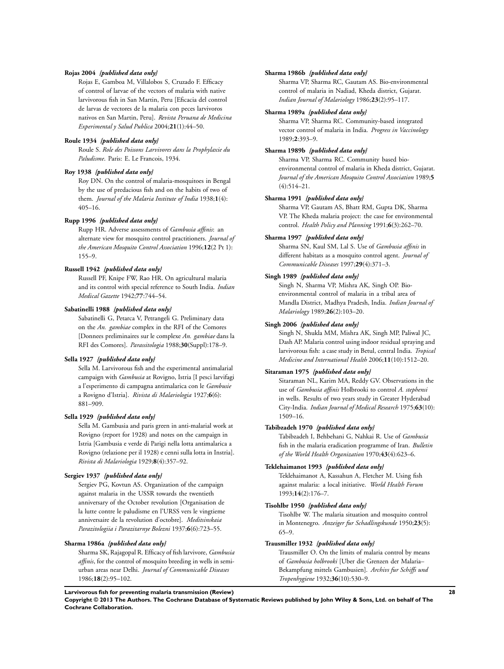### **Rojas 2004** *{published data only}*

Rojas E, Gamboa M, Villalobos S, Cruzado F. Efficacy of control of larvae of the vectors of malaria with native larvivorous fish in San Martin, Peru [Eficacia del control de larvas de vectores de la malaria con peces larvivoros nativos en San Martin, Peru]. *Revista Peruana de Medicina Experimental y Salud Publica* 2004;**21**(1):44–50.

#### **Roule 1934** *{published data only}*

Roule S. *Role des Poissons Larvivores dans la Prophylaxie du Paludisme*. Paris: E. Le Francois, 1934.

# **Roy 1938** *{published data only}*

Roy DN. On the control of malaria-mosquitoes in Bengal by the use of predacious fish and on the habits of two of them. *Journal of the Malaria Institute of India* 1938;**1**(4): 405–16.

#### **Rupp 1996** *{published data only}*

Rupp HR. Adverse assessments of *Gambusia affinis*: an alternate view for mosquito control practitioners. *Journal of the American Mosquito Control Association* 1996;**12**(2 Pt 1): 155–9.

#### **Russell 1942** *{published data only}*

Russell PF, Knipe FW, Rao HR. On agricultural malaria and its control with special reference to South India. *Indian Medical Gazette* 1942;**77**:744–54.

## **Sabatinelli 1988** *{published data only}*

Sabatinelli G, Petarca V, Petrangeli G. Preliminary data on the *An. gambiae* complex in the RFI of the Comores [Donnees preliminaires sur le complexe *An. gambiae* dans la RFI des Comores]. *Parassitologia* 1988;**30**(Suppl):178–9.

#### **Sella 1927** *{published data only}*

Sella M. Larvivorous fish and the experimental antimalarial campaign with *Gambusia* at Rovigno, Istria [I pesci larvifagi a l'esperimento di campagna antimalarica con le *Gambusie* a Rovigno d'Istria]. *Rivista di Malariologia* 1927;**6**(6): 881–909.

#### **Sella 1929** *{published data only}*

Sella M. Gambusia and paris green in anti-malarial work at Rovigno (report for 1928) and notes on the campaign in Istria [Gambusia e verde di Parigi nella lotta antimalarica a Rovigno (relazione per il 1928) e cenni sulla lotta in Instria]. *Rivista di Malariologia* 1929;**8**(4):357–92.

## **Sergiev 1937** *{published data only}*

Sergiev PG, Kovtun AS. Organization of the campaign against malaria in the USSR towards the twentieth anniversary of the October revolution [Organisation de la lutte contre le paludisme en l'URSS vers le vingtieme anniversaire de la revolution d'octobre]. *Meditsinskaia Parazitologiia i Parazitarnye Bolezni* 1937;**6**(6):723–55.

#### **Sharma 1986a** *{published data only}*

Sharma SK, Rajagopal R. Efficacy of fish larvivore, *Gambusia affinis*, for the control of mosquito breeding in wells in semiurban areas near Delhi. *Journal of Communicable Diseases* 1986;**18**(2):95–102.

#### **Sharma 1986b** *{published data only}*

Sharma VP, Sharma RC, Gautam AS. Bio-environmental control of malaria in Nadiad, Kheda district, Gujarat. *Indian Journal of Malariology* 1986;**23**(2):95–117.

#### **Sharma 1989a** *{published data only}*

Sharma VP, Sharma RC. Community-based integrated vector control of malaria in India. *Progress in Vaccinology* 1989;**2**:393–9.

# **Sharma 1989b** *{published data only}*

Sharma VP, Sharma RC. Community based bioenvironmental control of malaria in Kheda district, Gujarat. *Journal of the American Mosquito Control Association* 1989;**5**  $(4):514-21.$ 

#### **Sharma 1991** *{published data only}*

Sharma VP, Gautam AS, Bhatt RM, Gupta DK, Sharma VP. The Kheda malaria project: the case for environmental control. *Health Policy and Planning* 1991;**6**(3):262–70.

#### **Sharma 1997** *{published data only}*

Sharma SN, Kaul SM, Lal S. Use of *Gambusia affinis* in different habitats as a mosquito control agent. *Journal of Communicable Diseases* 1997;**29**(4):371–3.

# **Singh 1989** *{published data only}*

Singh N, Sharma VP, Mishra AK, Singh OP. Bioenvironmental control of malaria in a tribal area of Mandla District, Madhya Pradesh, India. *Indian Journal of Malariology* 1989;**26**(2):103–20.

#### **Singh 2006** *{published data only}*

Singh N, Shukla MM, Mishra AK, Singh MP, Paliwal JC, Dash AP. Malaria control using indoor residual spraying and larvivorous fish: a case study in Betul, central India. *Tropical Medicine and International Health* 2006;**11**(10):1512–20.

#### **Sitaraman 1975** *{published data only}*

Sitaraman NL, Karim MA, Reddy GV. Observations in the use of *Gambusia affinis* Holbrooki to control *A. stephensi* in wells. Results of two years study in Greater Hyderabad City-India. *Indian Journal of Medical Research* 1975;**63**(10): 1509–16.

## **Tabibzadeh 1970** *{published data only}*

Tabibzadeh I, Behbehani G, Nahkai R. Use of *Gambusia* fish in the malaria eradication programme of Iran. *Bulletin of the World Health Organization* 1970;**43**(4):623–6.

#### **Teklehaimanot 1993** *{published data only}*

Teklehaimanot A, Kassahun A, Fletcher M. Using fish against malaria: a local initiative. *World Health Forum* 1993;**14**(2):176–7.

## **Tisohlbr 1950** *{published data only}*

Tisohlbr W. The malaria situation and mosquito control in Montenegro. *Anzeiger fur Schadlingskunde* 1950;**23**(5): 65–9.

#### **Trausmiller 1932** *{published data only}*

Trausmiller O. On the limits of malaria control by means of *Gambusia holbrooki* [Uber die Grenzen der Malaria– Bekampfung mittels Gambusien]. *Archivs fur Schiffs und Tropenhygiene* 1932;**36**(10):530–9.

**Larvivorous fish for preventing malaria transmission (Review) 28**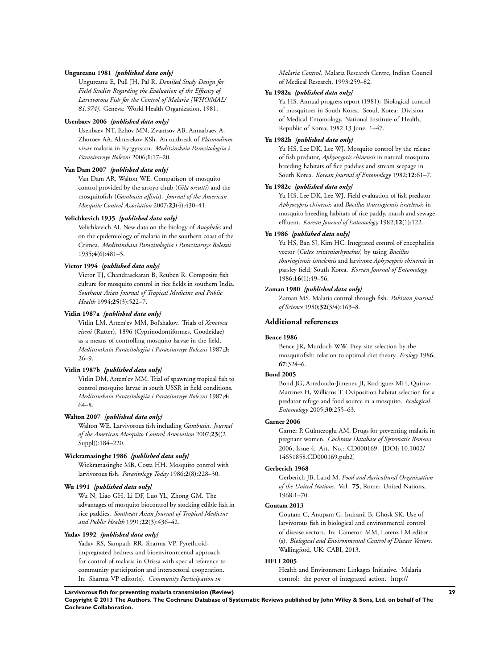# **Ungureanu 1981** *{published data only}*

Ungureanu E, Pull JH, Pal R. *Detailed Study Design for Field Studies Regarding the Evaluation of the Efficacy of Larvivorous Fish for the Control of Malaria [WHO/MAL/ 81.974]*. Geneva: World Health Organization, 1981.

#### **Usenbaev 2006** *{published data only}*

Usenbaev NT, Ezhov MN, Zvantsov AB, Annarbaev A, Zhoroev AA, Almerekov KSh. An outbreak of *Plasmodium vivax* malaria in Kyrgyzstan. *Meditsinskaia Parazitologiia i Parazitarnye Bolezni* 2006;**1**:17–20.

# **Van Dam 2007** *{published data only}*

Van Dam AR, Walton WE. Comparison of mosquito control provided by the arroyo chub (*Gila orcutti*) and the mosquitofish (*Gambusia affinis*). *Journal of the American Mosquito Control Association* 2007;**23**(4):430–41.

#### **Velichkevich 1935** *{published data only}*

Velichkevich AI. New data on the biology of *Anopheles* and on the epidemiology of malaria in the southern coast of the Crimea. *Meditsinskaia Parazitologiia i Parazitarnye Bolezni* 1935;**4**(6):481–5.

# **Victor 1994** *{published data only}*

Victor TJ, Chandrasekaran B, Reuben R. Composite fish culture for mosquito control in rice fields in southern India. *Southeast Asian Journal of Tropical Medicine and Public Health* 1994;**25**(3):522–7.

## **Vitlin 1987a** *{published data only}*

Vitlin LM, Artem'ev MM, Bol'shakov. Trials of *Xenotoca eiseni* (Rutter), 1896 (Cyprinodontiformes, Goodeidae) as a means of controlling mosquito larvae in the field. *Meditsinskaia Parazitologiia i Parazitarnye Bolezni* 1987;**3**: 26–9.

## **Vitlin 1987b** *{published data only}*

Vitlin DM, Artem'ev MM. Trial of spawning tropical fish to control mosquito larvae in south USSR in field conditions. *Meditsinskaia Parazitologiia i Parazitarnye Bolezni* 1987;**4**: 64–8.

#### **Walton 2007** *{published data only}*

Walton WE. Larvivorous fish including *Gambusia*. *Journal of the American Mosquito Control Association* 2007;**23**((2 Suppl)):184–220.

#### **Wickramasinghe 1986** *{published data only}*

Wickramasinghe MB, Costa HH. Mosquito control with larvivorous fish. *Parasitology Today* 1986;**2**(8):228–30.

## **Wu 1991** *{published data only}*

Wu N, Liao GH, Li DF, Luo YL, Zhong GM. The advantages of mosquito biocontrol by stocking edible fish in rice paddies. *Southeast Asian Journal of Tropical Medicine and Public Health* 1991;**22**(3):436–42.

### **Yadav 1992** *{published data only}*

Yadav RS, Sampath RR, Sharma VP. Pyrethroidimpregnated bednets and bioenvironmental approach for control of malaria in Orissa with special reference to community participation and intersectoral cooperation. In: Sharma VP editor(s). *Community Participation in*

**Larvivorous fish for preventing malaria transmission (Review) 29**

*Malaria Control*. Malaria Research Centre, Indian Council of Medical Research, 1993:259–82.

## **Yu 1982a** *{published data only}*

Yu HS. Annual progress report (1981): Biological control of mosquitoes in South Korea. Seoul, Korea: Division of Medical Entomology, National Institute of Health, Republic of Korea; 1982 13 June. 1–47.

## **Yu 1982b** *{published data only}*

Yu HS, Lee DK, Lee WJ. Mosquito control by the release of fish predator, *Aphyocypris chinensis* in natural mosquito breeding habitats of fice paddies and stream seepage in South Korea. *Korean Journal of Entomology* 1982;**12**:61–7.

## **Yu 1982c** *{published data only}*

Yu HS, Lee DK, Lee WJ. Field evaluation of fish predator *Aphyocypris chinensis* and *Bacillus thuringiensis israelensis* in mosquito breeding habitats of rice paddy, marsh and sewage effluent. *Korean Journal of Entomology* 1982;**12**(1):122.

# **Yu 1986** *{published data only}*

Yu HS, Ban SJ, Kim HC. Integrated control of encephalitis vector (*Culex tritaeniorhynchus*) by using *Bacillus thuringiensis israelensis* and larvivore *Aphyocypris chinensis* in parsley field, South Korea. *Korean Journal of Entomology* 1986;**16**(1):49–56.

# **Zaman 1980** *{published data only}*

Zaman MS. Malaria control through fish. *Pakistan Journal of Science* 1980;**32**(3/4):163–8.

# **Additional references**

#### **Bence 1986**

Bence JR, Murdoch WW. Prey site selection by the mosquitofish: relation to optimal diet theory. *Ecology* 1986; **67**:324–6.

# **Bond 2005**

Bond JG, Arredondo-Jimenez JI, Rodriguez MH, Quiroz-Martinez H, Williams T. Oviposition habitat selection for a predator refuge and food source in a mosquito. *Ecological Entomology* 2005;**30**:255–63.

## **Garner 2006**

Garner P, Gülmezoglu AM. Drugs for preventing malaria in pregnant women. *Cochrane Database of Systematic Reviews* 2006, Issue 4. Art. No.: CD000169. [DOI: 10.1002/ 14651858.CD000169.pub2]

#### **Gerberich 1968**

Gerberich JB, Laird M. *Food and Agricultural Organization of the United Nations*. Vol. **75**, Rome: United Nations, 1968:1–70.

#### **Goutam 2013**

Goutam C, Anupam G, Indranil B, Ghosk SK. Use of larvivorous fish in biological and environmental control of disease vectors. In: Cameron MM, Lorenz LM editor (s). *Biological and Environmental Control of Disease Vectors*. Wallingford, UK: CABI, 2013.

#### **HELI 2005**

Health and Environment Linkages Initiative. Malaria control: the power of integrated action. http://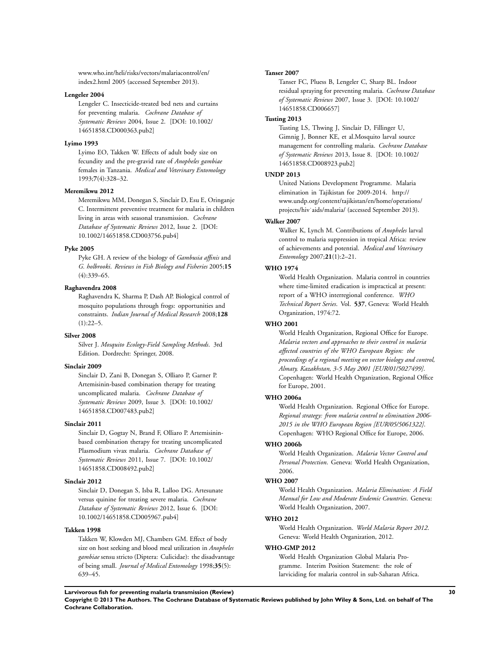www.who.int/heli/risks/vectors/malariacontrol/en/ index2.html 2005 (accessed September 2013).

#### **Lengeler 2004**

Lengeler C. Insecticide-treated bed nets and curtains for preventing malaria. *Cochrane Database of Systematic Reviews* 2004, Issue 2. [DOI: 10.1002/ 14651858.CD000363.pub2]

#### **Lyimo 1993**

Lyimo EO, Takken W. Effects of adult body size on fecundity and the pre-gravid rate of *Anopheles gambiae* females in Tanzania. *Medical and Veterinary Entomology* 1993;**7**(4):328–32.

## **Meremikwu 2012**

Meremikwu MM, Donegan S, Sinclair D, Esu E, Oringanje C. Intermittent preventive treatment for malaria in children living in areas with seasonal transmission. *Cochrane Database of Systematic Reviews* 2012, Issue 2. [DOI: 10.1002/14651858.CD003756.pub4]

#### **Pyke 2005**

Pyke GH. A review of the biology of *Gambusia affinis* and *G. holbrooki*. *Reviews in Fish Biology and Fisheries* 2005;**15** (4):339–65.

# **Raghavendra 2008**

Raghavendra K, Sharma P, Dash AP. Biological control of mosquito populations through frogs: opportunities and constraints. *Indian Journal of Medical Research* 2008;**128**  $(1):22-5.$ 

# **Silver 2008**

Silver J. *Mosquito Ecology-Field Sampling Methods*. 3rd Edition. Dordrecht: Springer, 2008.

#### **Sinclair 2009**

Sinclair D, Zani B, Donegan S, Olliaro P, Garner P. Artemisinin-based combination therapy for treating uncomplicated malaria. *Cochrane Database of Systematic Reviews* 2009, Issue 3. [DOI: 10.1002/ 14651858.CD007483.pub2]

#### **Sinclair 2011**

Sinclair D, Gogtay N, Brand F, Olliaro P. Artemisininbased combination therapy for treating uncomplicated Plasmodium vivax malaria. *Cochrane Database of Systematic Reviews* 2011, Issue 7. [DOI: 10.1002/ 14651858.CD008492.pub2]

#### **Sinclair 2012**

Sinclair D, Donegan S, Isba R, Lalloo DG. Artesunate versus quinine for treating severe malaria. *Cochrane Database of Systematic Reviews* 2012, Issue 6. [DOI: 10.1002/14651858.CD005967.pub4]

#### **Takken 1998**

Takken W, Klowden MJ, Chambers GM. Effect of body size on host seeking and blood meal utilization in *Anopheles gambiae* sensu stricto (Diptera: Culicidae): the disadvantage of being small. *Journal of Medical Entomology* 1998;**35**(5): 639–45.

#### **Tanser 2007**

Tanser FC, Pluess B, Lengeler C, Sharp BL. Indoor residual spraying for preventing malaria. *Cochrane Database of Systematic Reviews* 2007, Issue 3. [DOI: 10.1002/ 14651858.CD006657]

# **Tusting 2013**

Tusting LS, Thwing J, Sinclair D, Fillinger U, Gimnig J, Bonner KE, et al.Mosquito larval source management for controlling malaria. *Cochrane Database of Systematic Reviews* 2013, Issue 8. [DOI: 10.1002/ 14651858.CD008923.pub2]

# **UNDP 2013**

United Nations Development Programme. Malaria elimination in Tajikistan for 2009-2014. http:// www.undp.org/content/tajikistan/en/home/operations/ projects/hiv˙aids/malaria/ (accessed September 2013).

### **Walker 2007**

Walker K, Lynch M. Contributions of *Anopheles* larval control to malaria suppression in tropical Africa: review of achievements and potential. *Medical and Veterinary Entomology* 2007;**21**(1):2–21.

## **WHO 1974**

World Health Organization. Malaria control in countries where time-limited eradication is impractical at present: report of a WHO interregional conference. *WHO Technical Report Series*. Vol. **537**, Geneva: World Health Organization, 1974:72.

#### **WHO 2001**

World Health Organization, Regional Office for Europe. *Malaria vectors and approaches to their control in malaria affected countries of the WHO European Region: the proceedings of a regional meeting on vector biology and control, Almaty, Kazakhstan, 3-5 May 2001 [EUR/01/5027499]*. Copenhagen: World Health Organization, Regional Office for Europe, 2001.

#### **WHO 2006a**

World Health Organization. Regional Office for Europe. *Regional strategy: from malaria control to elimination 2006- 2015 in the WHO European Region [EUR/05/5061322]*. Copenhagen: WHO Regional Office for Europe, 2006.

#### **WHO 2006b**

World Health Organization. *Malaria Vector Control and Personal Protection*. Geneva: World Health Organization, 2006.

#### **WHO 2007**

World Health Organization. *Malaria Elimination: A Field Manual for Low and Moderate Endemic Countries*. Geneva: World Health Organization, 2007.

#### **WHO 2012**

World Health Organization. *World Malaria Report 2012*. Geneva: World Health Organization, 2012.

## **WHO-GMP 2012**

World Health Organization Global Malaria Programme. Interim Position Statement: the role of larviciding for malaria control in sub-Saharan Africa.

**Larvivorous fish for preventing malaria transmission (Review) 30**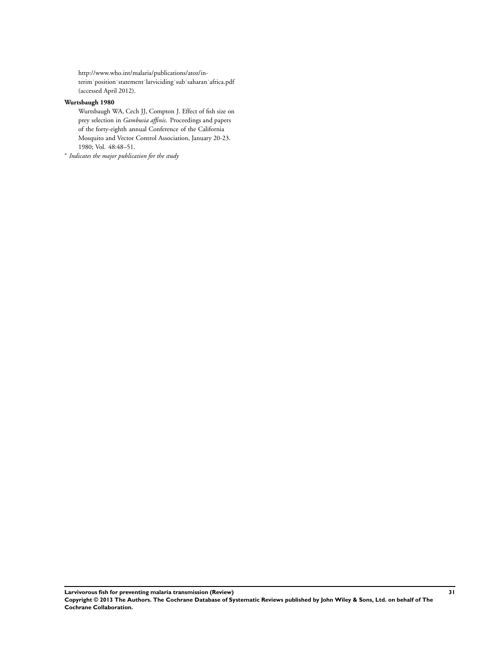http://www.who.int/malaria/publications/atoz/interim˙position˙statement˙larviciding˙sub˙saharan˙africa.pdf (accessed April 2012).

# **Wurtsbaugh 1980**

Wurtsbaugh WA, Cech JJ, Compton J. Effect of fish size on prey selection in *Gambusia affinis*. Proceedings and papers of the forty-eighth annual Conference of the California Mosquito and Vector Control Association, January 20-23. 1980; Vol. 48:48–51.

∗ *Indicates the major publication for the study*

**Larvivorous fish for preventing malaria transmission (Review) 31**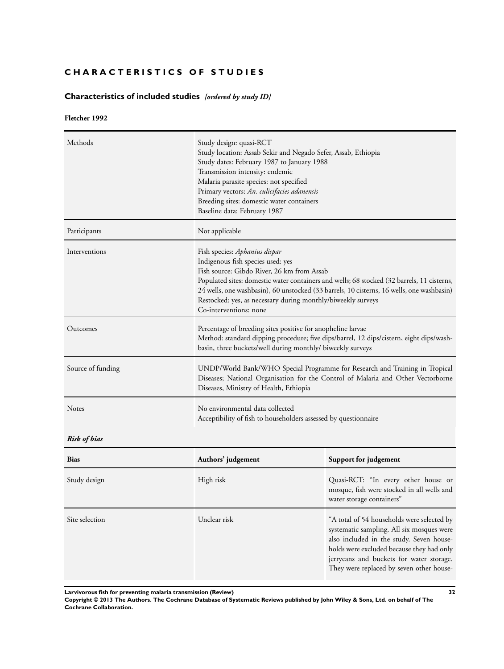# <span id="page-33-0"></span>**CHARACTERISTICS OF STUDIES**

# **Characteristics of included studies** *[ordered by study ID]*

# **Fletcher 1992**

| Methods             | Study design: quasi-RCT<br>Study location: Assab Sekir and Negado Sefer, Assab, Ethiopia<br>Study dates: February 1987 to January 1988<br>Transmission intensity: endemic<br>Malaria parasite species: not specified<br>Primary vectors: An. culicifacies adanensis<br>Breeding sites: domestic water containers<br>Baseline data: February 1987                                                      |                                                                                   |  |
|---------------------|-------------------------------------------------------------------------------------------------------------------------------------------------------------------------------------------------------------------------------------------------------------------------------------------------------------------------------------------------------------------------------------------------------|-----------------------------------------------------------------------------------|--|
| Participants        | Not applicable                                                                                                                                                                                                                                                                                                                                                                                        |                                                                                   |  |
| Interventions       | Fish species: Aphanius dispar<br>Indigenous fish species used: yes<br>Fish source: Gibdo River, 26 km from Assab<br>Populated sites: domestic water containers and wells; 68 stocked (32 barrels, 11 cisterns,<br>24 wells, one washbasin), 60 unstocked (33 barrels, 10 cisterns, 16 wells, one washbasin)<br>Restocked: yes, as necessary during monthly/biweekly surveys<br>Co-interventions: none |                                                                                   |  |
| Outcomes            | Percentage of breeding sites positive for anopheline larvae<br>Method: standard dipping procedure; five dips/barrel, 12 dips/cistern, eight dips/wash-<br>basin, three buckets/well during monthly/ biweekly surveys                                                                                                                                                                                  |                                                                                   |  |
| Source of funding   | UNDP/World Bank/WHO Special Programme for Research and Training in Tropical<br>Diseases; National Organisation for the Control of Malaria and Other Vectorborne<br>Diseases, Ministry of Health, Ethiopia                                                                                                                                                                                             |                                                                                   |  |
| Notes               | No environmental data collected<br>Acceptibility of fish to householders assessed by questionnaire                                                                                                                                                                                                                                                                                                    |                                                                                   |  |
| <b>Risk of bias</b> |                                                                                                                                                                                                                                                                                                                                                                                                       |                                                                                   |  |
| <b>Bias</b>         | Authors' judgement<br>Support for judgement                                                                                                                                                                                                                                                                                                                                                           |                                                                                   |  |
| Study design        | High risk                                                                                                                                                                                                                                                                                                                                                                                             | Quasi-RCT: "In every other house or<br>mosque, fish were stocked in all wells and |  |

Site selection Unclear risk White Site selected by the Site selected by  $A$  total of 54 households were selected by systematic sampling. All six mosques were also included in the study. Seven households were excluded because they had only jerrycans and buckets for water storage. They were replaced by seven other house-

water storage containers"

**Larvivorous fish for preventing malaria transmission (Review) 32**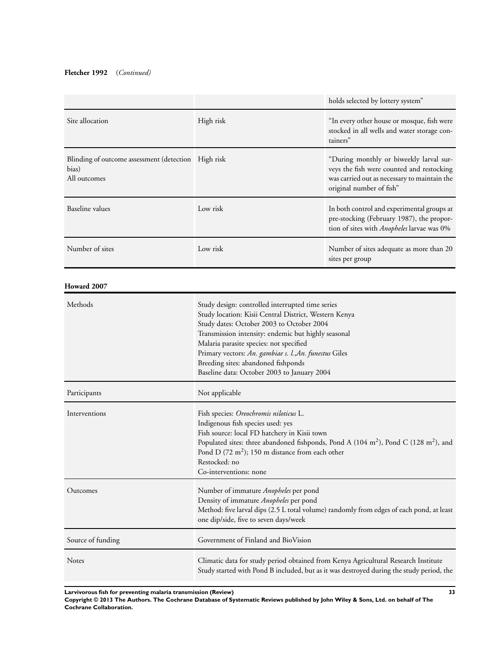# **Fletcher 1992** (*Continued)*

|                                                                              |                                                                                                                                                                                                                                                                                                                                                                                                          | holds selected by lottery system"                                                                                                                                |  |
|------------------------------------------------------------------------------|----------------------------------------------------------------------------------------------------------------------------------------------------------------------------------------------------------------------------------------------------------------------------------------------------------------------------------------------------------------------------------------------------------|------------------------------------------------------------------------------------------------------------------------------------------------------------------|--|
| Site allocation                                                              | High risk                                                                                                                                                                                                                                                                                                                                                                                                | "In every other house or mosque, fish were<br>stocked in all wells and water storage con-<br>tainers"                                                            |  |
| Blinding of outcome assessment (detection High risk<br>bias)<br>All outcomes |                                                                                                                                                                                                                                                                                                                                                                                                          | "During monthly or biweekly larval sur-<br>veys the fish were counted and restocking<br>was carried out as necessary to maintain the<br>original number of fish" |  |
| Baseline values                                                              | Low risk                                                                                                                                                                                                                                                                                                                                                                                                 | In both control and experimental groups at<br>pre-stocking (February 1987), the propor-<br>tion of sites with Anopheles larvae was 0%                            |  |
| Number of sites                                                              | Low risk                                                                                                                                                                                                                                                                                                                                                                                                 | Number of sites adequate as more than 20<br>sites per group                                                                                                      |  |
| Howard 2007                                                                  |                                                                                                                                                                                                                                                                                                                                                                                                          |                                                                                                                                                                  |  |
| Methods                                                                      | Study design: controlled interrupted time series<br>Study location: Kisii Central District, Western Kenya<br>Study dates: October 2003 to October 2004<br>Transmission intensity: endemic but highly seasonal<br>Malaria parasite species: not specified<br>Primary vectors: An. gambiae s. l., An. funestus Giles<br>Breeding sites: abandoned fishponds<br>Baseline data: October 2003 to January 2004 |                                                                                                                                                                  |  |
| Participants                                                                 | Not applicable                                                                                                                                                                                                                                                                                                                                                                                           |                                                                                                                                                                  |  |
| Interventions                                                                | Fish species: Oreochromis niloticus L.<br>Indigenous fish species used: yes<br>Fish source: local FD hatchery in Kisii town<br>Populated sites: three abandoned fishponds, Pond A (104 m <sup>2</sup> ), Pond C (128 m <sup>2</sup> ), and<br>Pond D $(72 \text{ m}^2)$ ; 150 m distance from each other<br>Restocked: no<br>Co-interventions: none                                                      |                                                                                                                                                                  |  |
| Outcomes                                                                     | Number of immature Anopheles per pond<br>Density of immature Anopheles per pond<br>Method: five larval dips (2.5 L total volume) randomly from edges of each pond, at least<br>one dip/side, five to seven days/week                                                                                                                                                                                     |                                                                                                                                                                  |  |
| Source of funding                                                            | Government of Finland and BioVision                                                                                                                                                                                                                                                                                                                                                                      |                                                                                                                                                                  |  |
| Notes                                                                        | Climatic data for study period obtained from Kenya Agricultural Research Institute<br>Study started with Pond B included, but as it was destroyed during the study period, the                                                                                                                                                                                                                           |                                                                                                                                                                  |  |

**Larvivorous fish for preventing malaria transmission (Review) 33**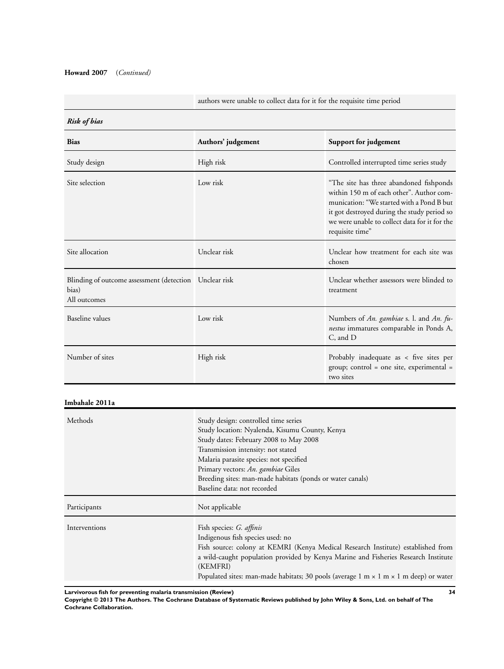# **Howard 2007** (*Continued)*

# authors were unable to collect data for it for the requisite time period

# *Risk of bias*

| <b>Bias</b>                                                                     | Authors' judgement | Support for judgement                                                                                                                                                                                                                               |
|---------------------------------------------------------------------------------|--------------------|-----------------------------------------------------------------------------------------------------------------------------------------------------------------------------------------------------------------------------------------------------|
| Study design                                                                    | High risk          | Controlled interrupted time series study                                                                                                                                                                                                            |
| Site selection                                                                  | Low risk           | "The site has three abandoned fishponds<br>within 150 m of each other". Author com-<br>munication: "We started with a Pond B but<br>it got destroyed during the study period so<br>we were unable to collect data for it for the<br>requisite time" |
| Site allocation                                                                 | Unclear risk       | Unclear how treatment for each site was<br>chosen                                                                                                                                                                                                   |
| Blinding of outcome assessment (detection Unclear risk<br>bias)<br>All outcomes |                    | Unclear whether assessors were blinded to<br>treatment                                                                                                                                                                                              |
| Baseline values                                                                 | Low risk           | Numbers of An. gambiae s. l. and An. fu-<br>nestus immatures comparable in Ponds A,<br>C, and D                                                                                                                                                     |
| Number of sites                                                                 | High risk          | Probably inadequate as < five sites per<br>group; control = one site, experimental =<br>two sites                                                                                                                                                   |

# **Imbahale 2011a**

| Methods       | Study design: controlled time series<br>Study location: Nyalenda, Kisumu County, Kenya<br>Study dates: February 2008 to May 2008<br>Transmission intensity: not stated<br>Malaria parasite species: not specified<br>Primary vectors: An. gambiae Giles<br>Breeding sites: man-made habitats (ponds or water canals)<br>Baseline data: not recorded                            |
|---------------|--------------------------------------------------------------------------------------------------------------------------------------------------------------------------------------------------------------------------------------------------------------------------------------------------------------------------------------------------------------------------------|
| Participants  | Not applicable                                                                                                                                                                                                                                                                                                                                                                 |
| Interventions | Fish species: G. affinis<br>Indigenous fish species used: no<br>Fish source: colony at KEMRI (Kenya Medical Research Institute) established from<br>a wild-caught population provided by Kenya Marine and Fisheries Research Institute<br>(KEMFRI)<br>Populated sites: man-made habitats; 30 pools (average $1 \text{ m} \times 1 \text{ m} \times 1 \text{ m}$ deep) or water |

**Larvivorous fish for preventing malaria transmission (Review) 34**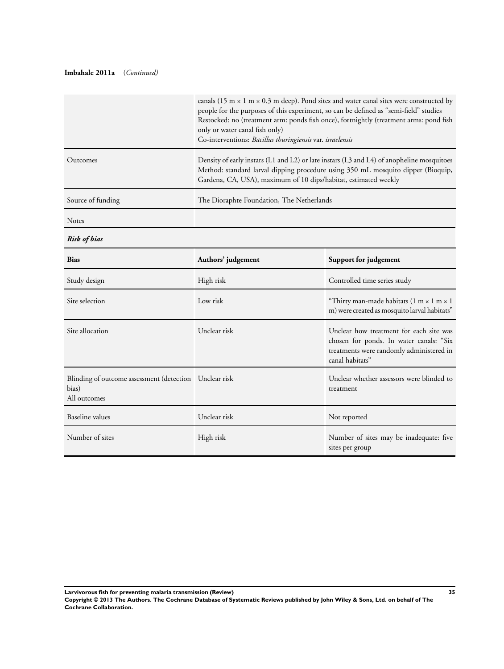# **Imbahale 2011a** (*Continued)*

|                                                                                 | canals (15 m $\times$ 1 m $\times$ 0.3 m deep). Pond sites and water canal sites were constructed by<br>people for the purposes of this experiment, so can be defined as "semi-field" studies<br>Restocked: no (treatment arm: ponds fish once), fortnightly (treatment arms: pond fish<br>only or water canal fish only)<br>Co-interventions: Bacillus thuringiensis var. israelensis |                                                                                                                                                   |  |
|---------------------------------------------------------------------------------|----------------------------------------------------------------------------------------------------------------------------------------------------------------------------------------------------------------------------------------------------------------------------------------------------------------------------------------------------------------------------------------|---------------------------------------------------------------------------------------------------------------------------------------------------|--|
| Outcomes                                                                        | Density of early instars (L1 and L2) or late instars (L3 and L4) of anopheline mosquitoes<br>Method: standard larval dipping procedure using 350 mL mosquito dipper (Bioquip,<br>Gardena, CA, USA), maximum of 10 dips/habitat, estimated weekly                                                                                                                                       |                                                                                                                                                   |  |
| Source of funding                                                               | The Dioraphte Foundation, The Netherlands                                                                                                                                                                                                                                                                                                                                              |                                                                                                                                                   |  |
| Notes                                                                           |                                                                                                                                                                                                                                                                                                                                                                                        |                                                                                                                                                   |  |
| <b>Risk of bias</b>                                                             |                                                                                                                                                                                                                                                                                                                                                                                        |                                                                                                                                                   |  |
| <b>Bias</b>                                                                     | Authors' judgement                                                                                                                                                                                                                                                                                                                                                                     | Support for judgement                                                                                                                             |  |
| Study design                                                                    | High risk                                                                                                                                                                                                                                                                                                                                                                              | Controlled time series study                                                                                                                      |  |
| Site selection                                                                  | Low risk                                                                                                                                                                                                                                                                                                                                                                               | "Thirty man-made habitats $(1 m \times 1 m \times 1)$<br>m) were created as mosquito larval habitats"                                             |  |
| Site allocation                                                                 | Unclear risk                                                                                                                                                                                                                                                                                                                                                                           | Unclear how treatment for each site was<br>chosen for ponds. In water canals: "Six<br>treatments were randomly administered in<br>canal habitats" |  |
| Blinding of outcome assessment (detection Unclear risk<br>bias)<br>All outcomes |                                                                                                                                                                                                                                                                                                                                                                                        | Unclear whether assessors were blinded to<br>treatment                                                                                            |  |
| Baseline values                                                                 | Unclear risk                                                                                                                                                                                                                                                                                                                                                                           | Not reported                                                                                                                                      |  |
| Number of sites                                                                 | High risk                                                                                                                                                                                                                                                                                                                                                                              | Number of sites may be inadequate: five<br>sites per group                                                                                        |  |

**Larvivorous fish for preventing malaria transmission (Review) 35**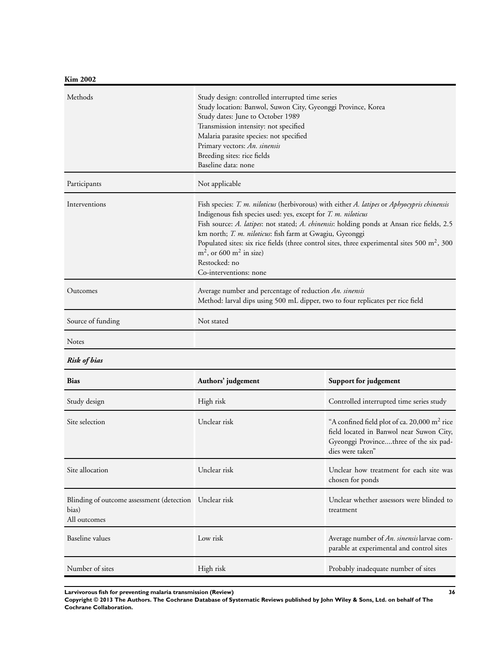| <b>Kim 2002</b>                                                                 |                                                                                                                                                                                                                                                                                                                                                                                                                                                                                                                                     |                                                                                                                                                                    |
|---------------------------------------------------------------------------------|-------------------------------------------------------------------------------------------------------------------------------------------------------------------------------------------------------------------------------------------------------------------------------------------------------------------------------------------------------------------------------------------------------------------------------------------------------------------------------------------------------------------------------------|--------------------------------------------------------------------------------------------------------------------------------------------------------------------|
| Methods                                                                         | Study design: controlled interrupted time series<br>Study location: Banwol, Suwon City, Gyeonggi Province, Korea<br>Study dates: June to October 1989<br>Transmission intensity: not specified<br>Malaria parasite species: not specified<br>Primary vectors: An. sinensis<br>Breeding sites: rice fields<br>Baseline data: none                                                                                                                                                                                                    |                                                                                                                                                                    |
| Participants                                                                    | Not applicable                                                                                                                                                                                                                                                                                                                                                                                                                                                                                                                      |                                                                                                                                                                    |
| Interventions                                                                   | Fish species: T. m. niloticus (herbivorous) with either A. latipes or Aphyocypris chinensis<br>Indigenous fish species used: yes, except for T. m. niloticus<br>Fish source: A. latipes: not stated; A. chinensis: holding ponds at Ansan rice fields, 2.5<br>km north; T. m. niloticus: fish farm at Gwagiu, Gyeonggi<br>Populated sites: six rice fields (three control sites, three experimental sites $500 \text{ m}^2$ , $300 \text{ m}^2$<br>$m2$ , or 600 m <sup>2</sup> in size)<br>Restocked: no<br>Co-interventions: none |                                                                                                                                                                    |
| Outcomes                                                                        | Average number and percentage of reduction An. sinensis<br>Method: larval dips using 500 mL dipper, two to four replicates per rice field                                                                                                                                                                                                                                                                                                                                                                                           |                                                                                                                                                                    |
| Source of funding                                                               | Not stated                                                                                                                                                                                                                                                                                                                                                                                                                                                                                                                          |                                                                                                                                                                    |
| Notes                                                                           |                                                                                                                                                                                                                                                                                                                                                                                                                                                                                                                                     |                                                                                                                                                                    |
| Risk of bias                                                                    |                                                                                                                                                                                                                                                                                                                                                                                                                                                                                                                                     |                                                                                                                                                                    |
| Bias                                                                            | Authors' judgement                                                                                                                                                                                                                                                                                                                                                                                                                                                                                                                  | Support for judgement                                                                                                                                              |
| Study design                                                                    | High risk                                                                                                                                                                                                                                                                                                                                                                                                                                                                                                                           | Controlled interrupted time series study                                                                                                                           |
| Site selection                                                                  | Unclear risk                                                                                                                                                                                                                                                                                                                                                                                                                                                                                                                        | "A confined field plot of ca. 20,000 m <sup>2</sup> rice<br>field located in Banwol near Suwon City,<br>Gyeonggi Provincethree of the six pad-<br>dies were taken" |
| Site allocation                                                                 | Unclear risk                                                                                                                                                                                                                                                                                                                                                                                                                                                                                                                        | Unclear how treatment for each site was<br>chosen for ponds                                                                                                        |
| Blinding of outcome assessment (detection Unclear risk<br>bias)<br>All outcomes |                                                                                                                                                                                                                                                                                                                                                                                                                                                                                                                                     | Unclear whether assessors were blinded to<br>treatment                                                                                                             |
| Baseline values                                                                 | Low risk                                                                                                                                                                                                                                                                                                                                                                                                                                                                                                                            | Average number of An. sinensis larvae com-<br>parable at experimental and control sites                                                                            |
| Number of sites                                                                 | High risk                                                                                                                                                                                                                                                                                                                                                                                                                                                                                                                           | Probably inadequate number of sites                                                                                                                                |

**Larvivorous fish for preventing malaria transmission (Review) 36**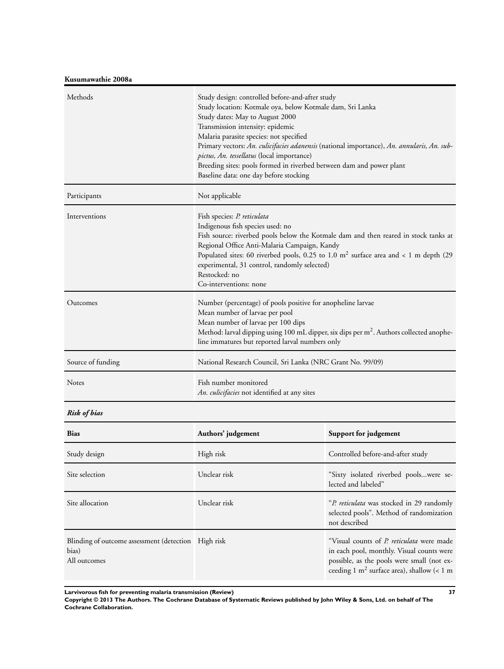| Kusumawathie 2008a |  |
|--------------------|--|
|--------------------|--|

| Methods             | Study dates: May to August 2000<br>Transmission intensity: epidemic<br>Malaria parasite species: not specified<br>pictus, An. tessellatus (local importance)<br>Baseline data: one day before stocking | Study design: controlled before-and-after study<br>Study location: Kotmale oya, below Kotmale dam, Sri Lanka<br>Primary vectors: An. culicifacies adanensis (national importance), An. annularis, An. sub-<br>Breeding sites: pools formed in riverbed between dam and power plant |  |
|---------------------|--------------------------------------------------------------------------------------------------------------------------------------------------------------------------------------------------------|------------------------------------------------------------------------------------------------------------------------------------------------------------------------------------------------------------------------------------------------------------------------------------|--|
| Participants        | Not applicable                                                                                                                                                                                         |                                                                                                                                                                                                                                                                                    |  |
| Interventions       | Fish species: P. reticulata<br>Indigenous fish species used: no<br>Restocked: no<br>Co-interventions: none                                                                                             | Fish source: riverbed pools below the Kotmale dam and then reared in stock tanks at<br>Regional Office Anti-Malaria Campaign, Kandy<br>Populated sites: 60 riverbed pools, 0.25 to 1.0 $m^2$ surface area and < 1 m depth (29<br>experimental, 31 control, randomly selected)      |  |
| Outcomes            | Mean number of larvae per pool<br>Mean number of larvae per 100 dips                                                                                                                                   | Number (percentage) of pools positive for anopheline larvae<br>Method: larval dipping using 100 mL dipper, six dips per m <sup>2</sup> . Authors collected anophe-<br>line immatures but reported larval numbers only                                                              |  |
| Source of funding   |                                                                                                                                                                                                        | National Research Council, Sri Lanka (NRC Grant No. 99/09)                                                                                                                                                                                                                         |  |
| <b>Notes</b>        | Fish number monitored<br>An. culicifacies not identified at any sites                                                                                                                                  |                                                                                                                                                                                                                                                                                    |  |
| <b>Risk of bias</b> |                                                                                                                                                                                                        |                                                                                                                                                                                                                                                                                    |  |
| $_{\rm{Rinc}}$      | Authors' indooment                                                                                                                                                                                     | Support for indooment                                                                                                                                                                                                                                                              |  |

| <b>Bias</b>                                                                  | Authors' judgement | Support for judgement                                                                                                                                                                                  |
|------------------------------------------------------------------------------|--------------------|--------------------------------------------------------------------------------------------------------------------------------------------------------------------------------------------------------|
| Study design                                                                 | High risk          | Controlled before-and-after study                                                                                                                                                                      |
| Site selection                                                               | Unclear risk       | "Sixty isolated riverbed poolswere se-<br>lected and labeled"                                                                                                                                          |
| Site allocation                                                              | Unclear risk       | "P. reticulata was stocked in 29 randomly<br>selected pools". Method of randomization<br>not described                                                                                                 |
| Blinding of outcome assessment (detection High risk<br>bias)<br>All outcomes |                    | "Visual counts of P. reticulata were made<br>in each pool, monthly. Visual counts were<br>possible, as the pools were small (not ex-<br>ceeding 1 m <sup>2</sup> surface area), shallow $\left($ < 1 m |

**Larvivorous fish for preventing malaria transmission (Review) 37**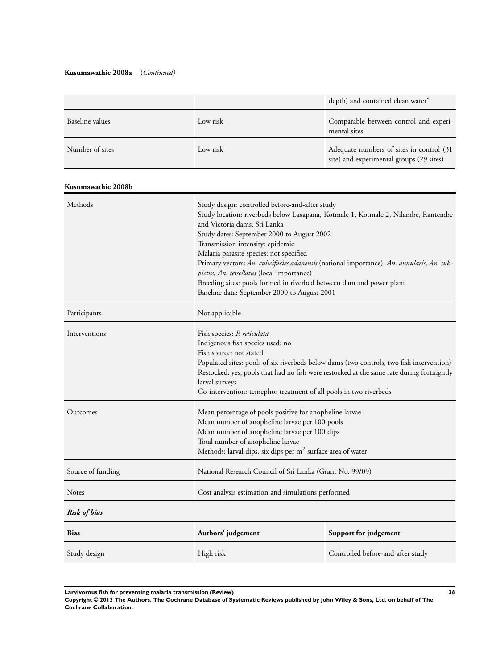# **Kusumawathie 2008a** (*Continued)*

|                     |                                                                                                                                                                                                                                                                                                                                                                                                                                                                                                                                                                       | depth) and contained clean water"                                                    |
|---------------------|-----------------------------------------------------------------------------------------------------------------------------------------------------------------------------------------------------------------------------------------------------------------------------------------------------------------------------------------------------------------------------------------------------------------------------------------------------------------------------------------------------------------------------------------------------------------------|--------------------------------------------------------------------------------------|
| Baseline values     | Low risk                                                                                                                                                                                                                                                                                                                                                                                                                                                                                                                                                              | Comparable between control and experi-<br>mental sites                               |
| Number of sites     | Low risk                                                                                                                                                                                                                                                                                                                                                                                                                                                                                                                                                              | Adequate numbers of sites in control (31<br>site) and experimental groups (29 sites) |
| Kusumawathie 2008b  |                                                                                                                                                                                                                                                                                                                                                                                                                                                                                                                                                                       |                                                                                      |
| Methods             | Study design: controlled before-and-after study<br>Study location: riverbeds below Laxapana, Kotmale 1, Kotmale 2, Nilambe, Rantembe<br>and Victoria dams, Sri Lanka<br>Study dates: September 2000 to August 2002<br>Transmission intensity: epidemic<br>Malaria parasite species: not specified<br>Primary vectors: An. culicifacies adanensis (national importance), An. annularis, An. sub-<br>pictus, An. tessellatus (local importance)<br>Breeding sites: pools formed in riverbed between dam and power plant<br>Baseline data: September 2000 to August 2001 |                                                                                      |
| Participants        | Not applicable                                                                                                                                                                                                                                                                                                                                                                                                                                                                                                                                                        |                                                                                      |
| Interventions       | Fish species: P. reticulata<br>Indigenous fish species used: no<br>Fish source: not stated<br>Populated sites: pools of six riverbeds below dams (two controls, two fish intervention)<br>Restocked: yes, pools that had no fish were restocked at the same rate during fortnightly<br>larval surveys<br>Co-intervention: temephos treatment of all pools in two riverbeds                                                                                                                                                                                            |                                                                                      |
| Outcomes            | Mean percentage of pools positive for anopheline larvae<br>Mean number of anopheline larvae per 100 pools<br>Mean number of anopheline larvae per 100 dips<br>Total number of anopheline larvae<br>Methods: larval dips, six dips per m <sup>2</sup> surface area of water                                                                                                                                                                                                                                                                                            |                                                                                      |
| Source of funding   | National Research Council of Sri Lanka (Grant No. 99/09)                                                                                                                                                                                                                                                                                                                                                                                                                                                                                                              |                                                                                      |
| Notes               | Cost analysis estimation and simulations performed                                                                                                                                                                                                                                                                                                                                                                                                                                                                                                                    |                                                                                      |
| <b>Risk of bias</b> |                                                                                                                                                                                                                                                                                                                                                                                                                                                                                                                                                                       |                                                                                      |
| <b>Bias</b>         | Authors' judgement                                                                                                                                                                                                                                                                                                                                                                                                                                                                                                                                                    | <b>Support for judgement</b>                                                         |
| Study design        | High risk                                                                                                                                                                                                                                                                                                                                                                                                                                                                                                                                                             | Controlled before-and-after study                                                    |

**Larvivorous fish for preventing malaria transmission (Review) 38**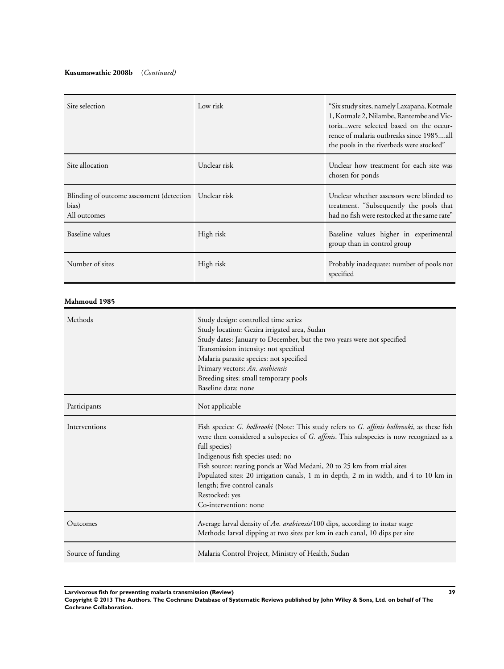# **Kusumawathie 2008b** (*Continued)*

| Site selection                                                                  | Low risk                                                                                                                                                                                                                                                                                                                                                                                                                                                                               | "Six study sites, namely Laxapana, Kotmale<br>1, Kotmale 2, Nilambe, Rantembe and Vic-<br>toriawere selected based on the occur-<br>rence of malaria outbreaks since 1985all<br>the pools in the riverbeds were stocked" |
|---------------------------------------------------------------------------------|----------------------------------------------------------------------------------------------------------------------------------------------------------------------------------------------------------------------------------------------------------------------------------------------------------------------------------------------------------------------------------------------------------------------------------------------------------------------------------------|--------------------------------------------------------------------------------------------------------------------------------------------------------------------------------------------------------------------------|
| Site allocation                                                                 | Unclear risk                                                                                                                                                                                                                                                                                                                                                                                                                                                                           | Unclear how treatment for each site was<br>chosen for ponds                                                                                                                                                              |
| Blinding of outcome assessment (detection Unclear risk<br>bias)<br>All outcomes |                                                                                                                                                                                                                                                                                                                                                                                                                                                                                        | Unclear whether assessors were blinded to<br>treatment. "Subsequently the pools that<br>had no fish were restocked at the same rate"                                                                                     |
| Baseline values                                                                 | High risk                                                                                                                                                                                                                                                                                                                                                                                                                                                                              | Baseline values higher in experimental<br>group than in control group                                                                                                                                                    |
| Number of sites                                                                 | High risk                                                                                                                                                                                                                                                                                                                                                                                                                                                                              | Probably inadequate: number of pools not<br>specified                                                                                                                                                                    |
| <b>Mahmoud 1985</b>                                                             |                                                                                                                                                                                                                                                                                                                                                                                                                                                                                        |                                                                                                                                                                                                                          |
| Methods                                                                         | Study design: controlled time series<br>Study location: Gezira irrigated area, Sudan<br>Study dates: January to December, but the two years were not specified<br>Transmission intensity: not specified<br>Malaria parasite species: not specified<br>Primary vectors: An. arabiensis<br>Breeding sites: small temporary pools<br>Baseline data: none                                                                                                                                  |                                                                                                                                                                                                                          |
| Participants                                                                    | Not applicable                                                                                                                                                                                                                                                                                                                                                                                                                                                                         |                                                                                                                                                                                                                          |
| Interventions                                                                   | Fish species: G. holbrooki (Note: This study refers to G. affinis holbrooki, as these fish<br>were then considered a subspecies of G. affinis. This subspecies is now recognized as a<br>full species)<br>Indigenous fish species used: no<br>Fish source: rearing ponds at Wad Medani, 20 to 25 km from trial sites<br>Populated sites: 20 irrigation canals, 1 m in depth, 2 m in width, and 4 to 10 km in<br>length; five control canals<br>Restocked: yes<br>Co-intervention: none |                                                                                                                                                                                                                          |
| Outcomes                                                                        | Average larval density of An. arabiensis/100 dips, according to instar stage<br>Methods: larval dipping at two sites per km in each canal, 10 dips per site                                                                                                                                                                                                                                                                                                                            |                                                                                                                                                                                                                          |
| Source of funding                                                               | Malaria Control Project, Ministry of Health, Sudan                                                                                                                                                                                                                                                                                                                                                                                                                                     |                                                                                                                                                                                                                          |

**Larvivorous fish for preventing malaria transmission (Review) 39**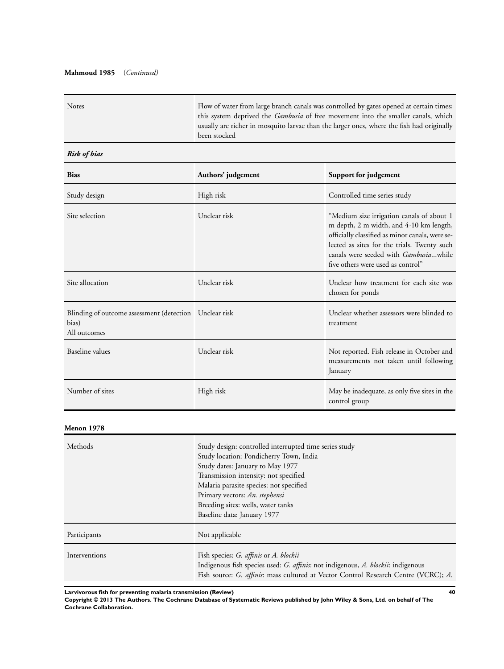# **Mahmoud 1985** (*Continued)*

| <b>Notes</b> | Flow of water from large branch canals was controlled by gates opened at certain times;   |
|--------------|-------------------------------------------------------------------------------------------|
|              | this system deprived the <i>Gambusia</i> of free movement into the smaller canals, which  |
|              | usually are richer in mosquito larvae than the larger ones, where the fish had originally |
|              | been stocked                                                                              |

*Risk of bias*

| <b>Bias</b>                                                                     | Authors' judgement                                                                                 | Support for judgement                                                                                                                                                                                                                                                        |
|---------------------------------------------------------------------------------|----------------------------------------------------------------------------------------------------|------------------------------------------------------------------------------------------------------------------------------------------------------------------------------------------------------------------------------------------------------------------------------|
| Study design                                                                    | High risk                                                                                          | Controlled time series study                                                                                                                                                                                                                                                 |
| Site selection                                                                  | Unclear risk                                                                                       | "Medium size irrigation canals of about 1<br>m depth, 2 m width, and 4-10 km length,<br>officially classified as minor canals, were se-<br>lected as sites for the trials. Twenty such<br>canals were seeded with <i>Gambusia</i> while<br>five others were used as control" |
| Site allocation                                                                 | Unclear risk                                                                                       | Unclear how treatment for each site was<br>chosen for ponds                                                                                                                                                                                                                  |
| Blinding of outcome assessment (detection Unclear risk<br>bias)<br>All outcomes |                                                                                                    | Unclear whether assessors were blinded to<br>treatment                                                                                                                                                                                                                       |
| <b>Baseline</b> values                                                          | Unclear risk                                                                                       | Not reported. Fish release in October and<br>measurements not taken until following<br>January                                                                                                                                                                               |
| Number of sites                                                                 | High risk                                                                                          | May be inadequate, as only five sites in the<br>control group                                                                                                                                                                                                                |
| <b>Menon 1978</b>                                                               |                                                                                                    |                                                                                                                                                                                                                                                                              |
| Methods                                                                         | Study design: controlled interrupted time series study<br>Caudy Logation, Dondich our Toyun India. |                                                                                                                                                                                                                                                                              |

| TVICLITUAL    | stuay aesign: controlled interrupted three series stuay<br>Study location: Pondicherry Town, India<br>Study dates: January to May 1977<br>Transmission intensity: not specified                                   |
|---------------|-------------------------------------------------------------------------------------------------------------------------------------------------------------------------------------------------------------------|
|               | Malaria parasite species: not specified<br>Primary vectors: An. stephensi<br>Breeding sites: wells, water tanks<br>Baseline data: January 1977                                                                    |
| Participants  | Not applicable                                                                                                                                                                                                    |
| Interventions | Fish species: G. affinis or A. blockii<br>Indigenous fish species used: G. affinis: not indigenous, A. blockii: indigenous<br>Fish source: G. affinis: mass cultured at Vector Control Research Centre (VCRC); A. |

**Larvivorous fish for preventing malaria transmission (Review) 40**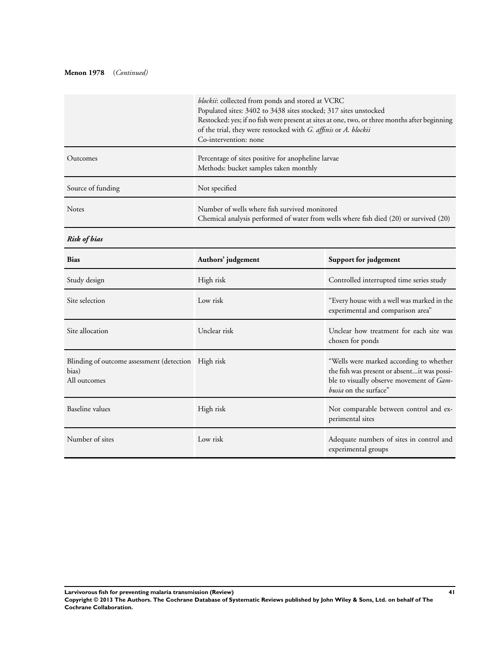# **Menon 1978** (*Continued)*

|                                                                              | blockii: collected from ponds and stored at VCRC<br>Populated sites: 3402 to 3438 sites stocked; 317 sites unstocked<br>Restocked: yes; if no fish were present at sites at one, two, or three months after beginning<br>of the trial, they were restocked with G. affinis or A. blockii<br>Co-intervention: none |                                                                                                                                                             |
|------------------------------------------------------------------------------|-------------------------------------------------------------------------------------------------------------------------------------------------------------------------------------------------------------------------------------------------------------------------------------------------------------------|-------------------------------------------------------------------------------------------------------------------------------------------------------------|
| Outcomes                                                                     | Percentage of sites positive for anopheline larvae<br>Methods: bucket samples taken monthly                                                                                                                                                                                                                       |                                                                                                                                                             |
| Source of funding                                                            | Not specified                                                                                                                                                                                                                                                                                                     |                                                                                                                                                             |
| <b>Notes</b>                                                                 | Number of wells where fish survived monitored<br>Chemical analysis performed of water from wells where fish died (20) or survived (20)                                                                                                                                                                            |                                                                                                                                                             |
| <b>Risk of bias</b>                                                          |                                                                                                                                                                                                                                                                                                                   |                                                                                                                                                             |
| <b>Bias</b>                                                                  | Authors' judgement                                                                                                                                                                                                                                                                                                | Support for judgement                                                                                                                                       |
| Study design                                                                 | High risk                                                                                                                                                                                                                                                                                                         | Controlled interrupted time series study                                                                                                                    |
| Site selection                                                               | Low risk                                                                                                                                                                                                                                                                                                          | "Every house with a well was marked in the<br>experimental and comparison area"                                                                             |
| Site allocation                                                              | Unclear risk                                                                                                                                                                                                                                                                                                      | Unclear how treatment for each site was<br>chosen for ponds                                                                                                 |
| Blinding of outcome assessment (detection High risk<br>bias)<br>All outcomes |                                                                                                                                                                                                                                                                                                                   | "Wells were marked according to whether<br>the fish was present or absentit was possi-<br>ble to visually observe movement of Gam-<br>busia on the surface" |
| <b>Baseline</b> values                                                       | High risk                                                                                                                                                                                                                                                                                                         | Not comparable between control and ex-<br>perimental sites                                                                                                  |
| Number of sites                                                              | Low risk                                                                                                                                                                                                                                                                                                          | Adequate numbers of sites in control and<br>experimental groups                                                                                             |

**Larvivorous fish for preventing malaria transmission (Review) 41**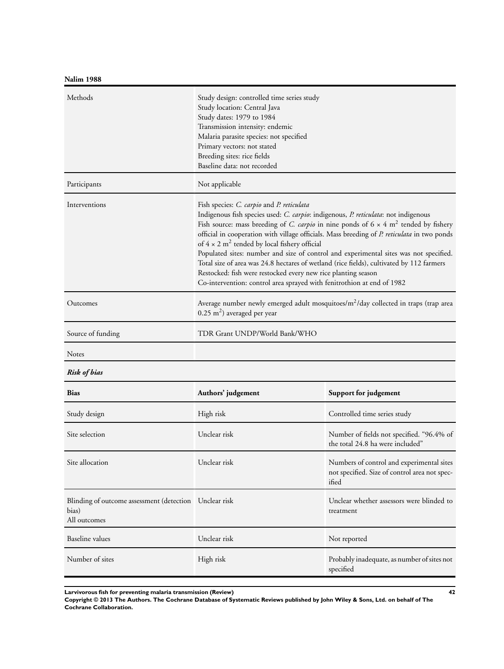| <b>Nalim 1988</b>                                                               |                                                                                                                                                                                                                                                                                                                                                                                                                                                                                                                                                                                                                                                                                                                                                    |                                                                                                     |
|---------------------------------------------------------------------------------|----------------------------------------------------------------------------------------------------------------------------------------------------------------------------------------------------------------------------------------------------------------------------------------------------------------------------------------------------------------------------------------------------------------------------------------------------------------------------------------------------------------------------------------------------------------------------------------------------------------------------------------------------------------------------------------------------------------------------------------------------|-----------------------------------------------------------------------------------------------------|
| Methods                                                                         | Study design: controlled time series study<br>Study location: Central Java<br>Study dates: 1979 to 1984<br>Transmission intensity: endemic<br>Malaria parasite species: not specified<br>Primary vectors: not stated<br>Breeding sites: rice fields<br>Baseline data: not recorded                                                                                                                                                                                                                                                                                                                                                                                                                                                                 |                                                                                                     |
| Participants                                                                    | Not applicable                                                                                                                                                                                                                                                                                                                                                                                                                                                                                                                                                                                                                                                                                                                                     |                                                                                                     |
| Interventions                                                                   | Fish species: C. carpio and P. reticulata<br>Indigenous fish species used: C. carpio: indigenous, P. reticulata: not indigenous<br>Fish source: mass breeding of <i>C. carpio</i> in nine ponds of $6 \times 4$ m <sup>2</sup> tended by fishery<br>official in cooperation with village officials. Mass breeding of P. reticulata in two ponds<br>of $4 \times 2$ m <sup>2</sup> tended by local fishery official<br>Populated sites: number and size of control and experimental sites was not specified.<br>Total size of area was 24.8 hectares of wetland (rice fields), cultivated by 112 farmers<br>Restocked: fish were restocked every new rice planting season<br>Co-intervention: control area sprayed with fenitrothion at end of 1982 |                                                                                                     |
| Outcomes                                                                        | Average number newly emerged adult mosquitoes/m <sup>2</sup> /day collected in traps (trap area<br>$0.25$ m <sup>2</sup> ) averaged per year                                                                                                                                                                                                                                                                                                                                                                                                                                                                                                                                                                                                       |                                                                                                     |
| Source of funding                                                               | TDR Grant UNDP/World Bank/WHO                                                                                                                                                                                                                                                                                                                                                                                                                                                                                                                                                                                                                                                                                                                      |                                                                                                     |
| Notes                                                                           |                                                                                                                                                                                                                                                                                                                                                                                                                                                                                                                                                                                                                                                                                                                                                    |                                                                                                     |
| <b>Risk of bias</b>                                                             |                                                                                                                                                                                                                                                                                                                                                                                                                                                                                                                                                                                                                                                                                                                                                    |                                                                                                     |
| <b>Bias</b>                                                                     | Authors' judgement                                                                                                                                                                                                                                                                                                                                                                                                                                                                                                                                                                                                                                                                                                                                 | Support for judgement                                                                               |
| Study design                                                                    | High risk                                                                                                                                                                                                                                                                                                                                                                                                                                                                                                                                                                                                                                                                                                                                          | Controlled time series study                                                                        |
| Site selection                                                                  | Unclear risk                                                                                                                                                                                                                                                                                                                                                                                                                                                                                                                                                                                                                                                                                                                                       | Number of fields not specified. "96.4% of<br>the total 24.8 ha were included"                       |
| Site allocation                                                                 | Unclear risk                                                                                                                                                                                                                                                                                                                                                                                                                                                                                                                                                                                                                                                                                                                                       | Numbers of control and experimental sites<br>not specified. Size of control area not spec-<br>ified |
| Blinding of outcome assessment (detection Unclear risk<br>bias)<br>All outcomes |                                                                                                                                                                                                                                                                                                                                                                                                                                                                                                                                                                                                                                                                                                                                                    | Unclear whether assessors were blinded to<br>treatment                                              |
| Baseline values                                                                 | Unclear risk                                                                                                                                                                                                                                                                                                                                                                                                                                                                                                                                                                                                                                                                                                                                       | Not reported                                                                                        |
| Number of sites                                                                 | High risk                                                                                                                                                                                                                                                                                                                                                                                                                                                                                                                                                                                                                                                                                                                                          | Probably inadequate, as number of sites not<br>specified                                            |

**Larvivorous fish for preventing malaria transmission (Review) 42**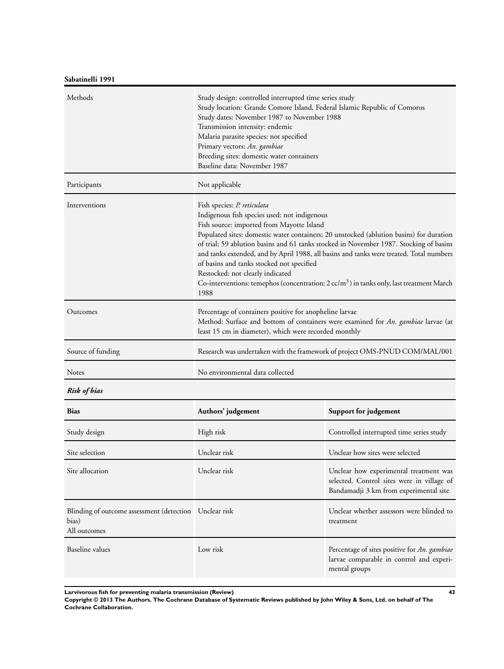**Sabatinelli 1991**

| Methods             | Study design: controlled interrupted time series study<br>Study location: Grande Comore Island, Federal Islamic Republic of Comoros<br>Study dates: November 1987 to November 1988<br>Transmission intensity: endemic<br>Malaria parasite species: not specified<br>Primary vectors: An. gambiae<br>Breeding sites: domestic water containers<br>Baseline data: November 1987                                                                                                                                                                                                                            |                              |
|---------------------|----------------------------------------------------------------------------------------------------------------------------------------------------------------------------------------------------------------------------------------------------------------------------------------------------------------------------------------------------------------------------------------------------------------------------------------------------------------------------------------------------------------------------------------------------------------------------------------------------------|------------------------------|
| Participants        | Not applicable                                                                                                                                                                                                                                                                                                                                                                                                                                                                                                                                                                                           |                              |
| Interventions       | Fish species: P. reticulata<br>Indigenous fish species used: not indigenous<br>Fish source: imported from Mayotte Island<br>Populated sites: domestic water containers; 20 unstocked (ablution basins) for duration<br>of trial; 59 ablution basins and 61 tanks stocked in November 1987. Stocking of basins<br>and tanks extended, and by April 1988, all basins and tanks were treated. Total numbers<br>of basins and tanks stocked not specified<br>Restocked: not clearly indicated<br>Co-interventions: temephos (concentration: $2 \text{ cc/m}^3$ ) in tanks only, last treatment March<br>1988 |                              |
| Outcomes            | Percentage of containers positive for anopheline larvae<br>Method: Surface and bottom of containers were examined for An. gambiae larvae (at<br>least 15 cm in diameter), which were recorded monthly                                                                                                                                                                                                                                                                                                                                                                                                    |                              |
| Source of funding   | Research was undertaken with the framework of project OMS-PNUD COM/MAL/001                                                                                                                                                                                                                                                                                                                                                                                                                                                                                                                               |                              |
| <b>Notes</b>        | No environmental data collected                                                                                                                                                                                                                                                                                                                                                                                                                                                                                                                                                                          |                              |
| <b>Risk of bias</b> |                                                                                                                                                                                                                                                                                                                                                                                                                                                                                                                                                                                                          |                              |
| <b>Bias</b>         | Authors' judgement                                                                                                                                                                                                                                                                                                                                                                                                                                                                                                                                                                                       | <b>Support for judgement</b> |

| <b>Bias</b>                                                                     | Authors' judgement | Support for judgement                                                                                                          |
|---------------------------------------------------------------------------------|--------------------|--------------------------------------------------------------------------------------------------------------------------------|
| Study design                                                                    | High risk          | Controlled interrupted time series study                                                                                       |
| Site selection                                                                  | Unclear risk       | Unclear how sites were selected                                                                                                |
| Site allocation                                                                 | Unclear risk       | Unclear how experimental treatment was<br>selected. Control sites were in village of<br>Bandamadji 3 km from experimental site |
| Blinding of outcome assessment (detection Unclear risk<br>bias)<br>All outcomes |                    | Unclear whether assessors were blinded to<br>treatment                                                                         |
| Baseline values                                                                 | Low risk           | Percentage of sites positive for An. gambiae<br>larvae comparable in control and experi-<br>mental groups                      |

**Larvivorous fish for preventing malaria transmission (Review) 43**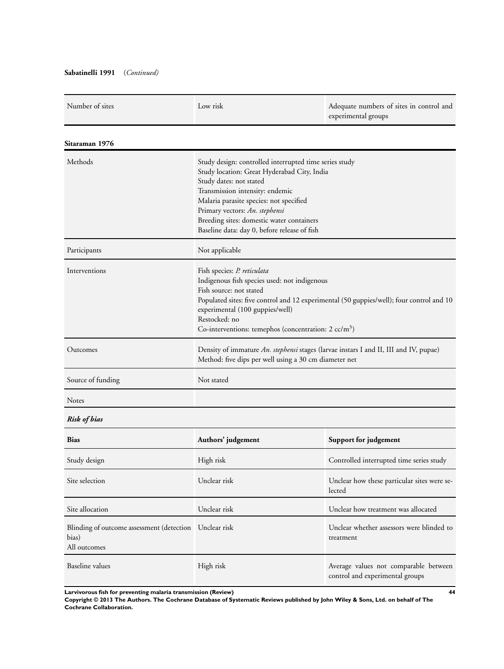# **Sabatinelli 1991** (*Continued)*

| Number of sites                                                                 | Low risk                                                                                                                                                                                                                                                                                                                                      | Adequate numbers of sites in control and<br>experimental groups |  |  |
|---------------------------------------------------------------------------------|-----------------------------------------------------------------------------------------------------------------------------------------------------------------------------------------------------------------------------------------------------------------------------------------------------------------------------------------------|-----------------------------------------------------------------|--|--|
| Sitaraman 1976                                                                  |                                                                                                                                                                                                                                                                                                                                               |                                                                 |  |  |
| Methods                                                                         | Study design: controlled interrupted time series study<br>Study location: Great Hyderabad City, India<br>Study dates: not stated<br>Transmission intensity: endemic<br>Malaria parasite species: not specified<br>Primary vectors: An. stephensi<br>Breeding sites: domestic water containers<br>Baseline data: day 0, before release of fish |                                                                 |  |  |
| Participants                                                                    | Not applicable                                                                                                                                                                                                                                                                                                                                |                                                                 |  |  |
| Interventions                                                                   | Fish species: P. reticulata<br>Indigenous fish species used: not indigenous<br>Fish source: not stated<br>Populated sites: five control and 12 experimental (50 guppies/well); four control and 10<br>experimental (100 guppies/well)<br>Restocked: no<br>Co-interventions: temephos (concentration: $2 \text{ cc/m}^3$ )                     |                                                                 |  |  |
| Outcomes                                                                        | Density of immature An. stephensi stages (larvae instars I and II, III and IV, pupae)<br>Method: five dips per well using a 30 cm diameter net                                                                                                                                                                                                |                                                                 |  |  |
| Source of funding                                                               | Not stated                                                                                                                                                                                                                                                                                                                                    |                                                                 |  |  |
| <b>Notes</b>                                                                    |                                                                                                                                                                                                                                                                                                                                               |                                                                 |  |  |
| <b>Risk of bias</b>                                                             |                                                                                                                                                                                                                                                                                                                                               |                                                                 |  |  |
| <b>Bias</b>                                                                     | Authors' judgement                                                                                                                                                                                                                                                                                                                            | Support for judgement                                           |  |  |
| Study design                                                                    | High risk                                                                                                                                                                                                                                                                                                                                     | Controlled interrupted time series study                        |  |  |
| Site selection                                                                  | Unclear risk<br>Unclear how these particular sites were se-<br>lected                                                                                                                                                                                                                                                                         |                                                                 |  |  |
| Site allocation                                                                 | Unclear risk                                                                                                                                                                                                                                                                                                                                  | Unclear how treatment was allocated                             |  |  |
| Blinding of outcome assessment (detection Unclear risk<br>bias)<br>All outcomes | Unclear whether assessors were blinded to<br>treatment                                                                                                                                                                                                                                                                                        |                                                                 |  |  |
| Baseline values                                                                 | High risk<br>Average values not comparable between<br>control and experimental groups                                                                                                                                                                                                                                                         |                                                                 |  |  |

**Larvivorous fish for preventing malaria transmission (Review) 44**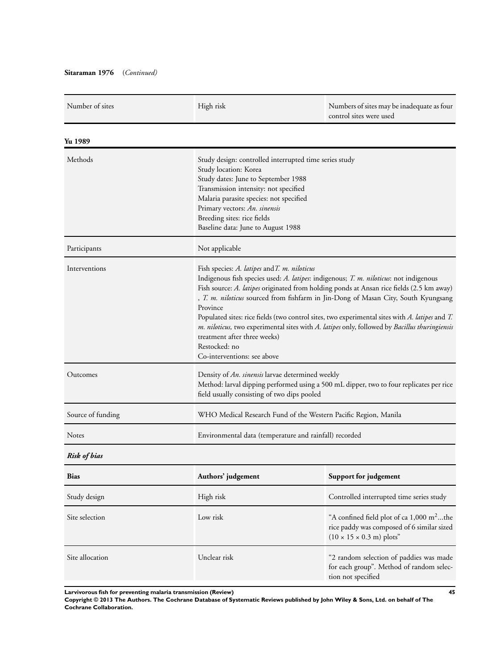# **Sitaraman 1976** (*Continued)*

| Number of sites     | High risk                                                                                | Numbers of sites may be inadequate as four<br>control sites were used                                                                                                                                                                                                                                                                                                                                                                                                                                                      |  |  |
|---------------------|------------------------------------------------------------------------------------------|----------------------------------------------------------------------------------------------------------------------------------------------------------------------------------------------------------------------------------------------------------------------------------------------------------------------------------------------------------------------------------------------------------------------------------------------------------------------------------------------------------------------------|--|--|
| Yu 1989             |                                                                                          |                                                                                                                                                                                                                                                                                                                                                                                                                                                                                                                            |  |  |
| Methods             | Study location: Korea<br>Primary vectors: An. sinensis<br>Breeding sites: rice fields    | Study design: controlled interrupted time series study<br>Study dates: June to September 1988<br>Transmission intensity: not specified<br>Malaria parasite species: not specified<br>Baseline data: June to August 1988                                                                                                                                                                                                                                                                                                    |  |  |
| Participants        | Not applicable                                                                           |                                                                                                                                                                                                                                                                                                                                                                                                                                                                                                                            |  |  |
| Interventions       | Province<br>treatment after three weeks)<br>Restocked: no<br>Co-interventions: see above | Fish species: A. latipes and T. m. niloticus<br>Indigenous fish species used: A. latipes: indigenous; T. m. niloticus: not indigenous<br>Fish source: A. latipes originated from holding ponds at Ansan rice fields (2.5 km away)<br>, T. m. niloticus sourced from fishfarm in Jin-Dong of Masan City, South Kyungsang<br>Populated sites: rice fields (two control sites, two experimental sites with A. latipes and T.<br>m. niloticus, two experimental sites with A. latipes only, followed by Bacillus thuringiensis |  |  |
| Outcomes            |                                                                                          | Density of An. sinensis larvae determined weekly<br>Method: larval dipping performed using a 500 mL dipper, two to four replicates per rice<br>field usually consisting of two dips pooled                                                                                                                                                                                                                                                                                                                                 |  |  |
| Source of funding   |                                                                                          | WHO Medical Research Fund of the Western Pacific Region, Manila                                                                                                                                                                                                                                                                                                                                                                                                                                                            |  |  |
| Notes               | Environmental data (temperature and rainfall) recorded                                   |                                                                                                                                                                                                                                                                                                                                                                                                                                                                                                                            |  |  |
| <b>Risk of bias</b> |                                                                                          |                                                                                                                                                                                                                                                                                                                                                                                                                                                                                                                            |  |  |
| <b>Bias</b>         | Authors' judgement                                                                       | <b>Support for judgement</b>                                                                                                                                                                                                                                                                                                                                                                                                                                                                                               |  |  |
| Study design        | High risk                                                                                | Controlled interrupted time series study                                                                                                                                                                                                                                                                                                                                                                                                                                                                                   |  |  |
| Site selection      | Low risk                                                                                 | "A confined field plot of ca 1,000 m <sup>2</sup> the<br>rice paddy was composed of 6 similar sized<br>$(10 \times 15 \times 0.3 \text{ m})$ plots"                                                                                                                                                                                                                                                                                                                                                                        |  |  |
| Site allocation     | Unclear risk                                                                             | "2 random selection of paddies was made<br>for each group". Method of random selec-                                                                                                                                                                                                                                                                                                                                                                                                                                        |  |  |

**Larvivorous fish for preventing malaria transmission (Review) 45**

**Copyright © 2013 The Authors. The Cochrane Database of Systematic Reviews published by John Wiley & Sons, Ltd. on behalf of The Cochrane Collaboration.**

tion not specified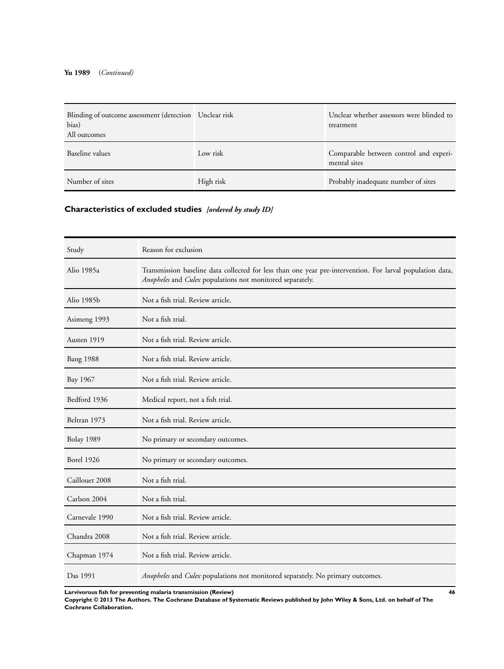<span id="page-47-0"></span>

| Blinding of outcome assessment (detection Unclear risk<br>bias)<br>All outcomes |           | Unclear whether assessors were blinded to<br>treatment |
|---------------------------------------------------------------------------------|-----------|--------------------------------------------------------|
| Baseline values                                                                 | Low risk  | Comparable between control and experi-<br>mental sites |
| Number of sites                                                                 | High risk | Probably inadequate number of sites                    |

# **Characteristics of excluded studies** *[ordered by study ID]*

| Study             | Reason for exclusion                                                                                                                                                   |
|-------------------|------------------------------------------------------------------------------------------------------------------------------------------------------------------------|
| Alio 1985a        | Transmission baseline data collected for less than one year pre-intervention. For larval population data,<br>Anopheles and Culex populations not monitored separately. |
| Alio 1985b        | Not a fish trial. Review article.                                                                                                                                      |
| Asimeng 1993      | Not a fish trial.                                                                                                                                                      |
| Austen 1919       | Not a fish trial. Review article.                                                                                                                                      |
| <b>Bang 1988</b>  | Not a fish trial. Review article.                                                                                                                                      |
| Bay 1967          | Not a fish trial. Review article.                                                                                                                                      |
| Bedford 1936      | Medical report, not a fish trial.                                                                                                                                      |
| Beltran 1973      | Not a fish trial. Review article.                                                                                                                                      |
| Bolay 1989        | No primary or secondary outcomes.                                                                                                                                      |
| <b>Borel 1926</b> | No primary or secondary outcomes.                                                                                                                                      |
| Caillouet 2008    | Not a fish trial.                                                                                                                                                      |
| Carlson 2004      | Not a fish trial.                                                                                                                                                      |
| Carnevale 1990    | Not a fish trial. Review article.                                                                                                                                      |
| Chandra 2008      | Not a fish trial. Review article.                                                                                                                                      |
| Chapman 1974      | Not a fish trial. Review article.                                                                                                                                      |
| Das 1991          | Anopheles and Culex populations not monitored separately. No primary outcomes.                                                                                         |

**Larvivorous fish for preventing malaria transmission (Review) 46**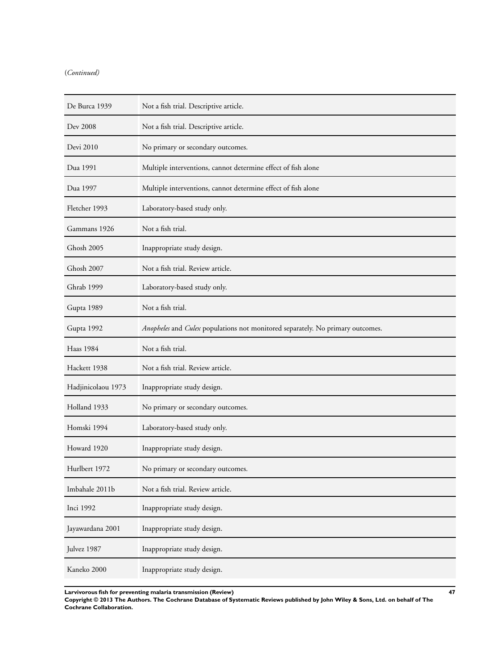| De Burca 1939      | Not a fish trial. Descriptive article.                                         |
|--------------------|--------------------------------------------------------------------------------|
| Dev 2008           | Not a fish trial. Descriptive article.                                         |
| Devi 2010          | No primary or secondary outcomes.                                              |
| Dua 1991           | Multiple interventions, cannot determine effect of fish alone                  |
| Dua 1997           | Multiple interventions, cannot determine effect of fish alone                  |
| Fletcher 1993      | Laboratory-based study only.                                                   |
| Gammans 1926       | Not a fish trial.                                                              |
| Ghosh 2005         | Inappropriate study design.                                                    |
| Ghosh 2007         | Not a fish trial. Review article.                                              |
| Ghrab 1999         | Laboratory-based study only.                                                   |
| Gupta 1989         | Not a fish trial.                                                              |
| Gupta 1992         | Anopheles and Culex populations not monitored separately. No primary outcomes. |
| <b>Haas</b> 1984   | Not a fish trial.                                                              |
| Hackett 1938       | Not a fish trial. Review article.                                              |
| Hadjinicolaou 1973 | Inappropriate study design.                                                    |
| Holland 1933       | No primary or secondary outcomes.                                              |
| Homski 1994        | Laboratory-based study only.                                                   |
| Howard 1920        | Inappropriate study design.                                                    |
| Hurlbert 1972      | No primary or secondary outcomes.                                              |
| Imbahale 2011b     | Not a fish trial. Review article.                                              |
| Inci 1992          | Inappropriate study design.                                                    |
| Jayawardana 2001   | Inappropriate study design.                                                    |
| Julvez 1987        | Inappropriate study design.                                                    |
| Kaneko 2000        | Inappropriate study design.                                                    |

**Larvivorous fish for preventing malaria transmission (Review) 47**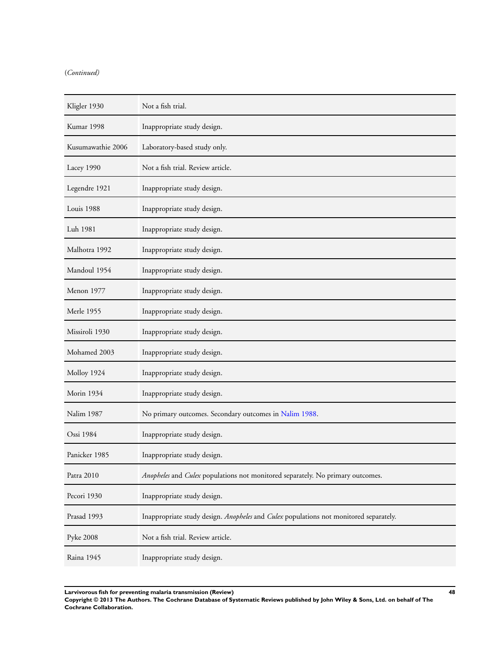| Kligler 1930      | Not a fish trial.                                                                     |
|-------------------|---------------------------------------------------------------------------------------|
| Kumar 1998        | Inappropriate study design.                                                           |
| Kusumawathie 2006 | Laboratory-based study only.                                                          |
| Lacey 1990        | Not a fish trial. Review article.                                                     |
| Legendre 1921     | Inappropriate study design.                                                           |
| Louis 1988        | Inappropriate study design.                                                           |
| Luh 1981          | Inappropriate study design.                                                           |
| Malhotra 1992     | Inappropriate study design.                                                           |
| Mandoul 1954      | Inappropriate study design.                                                           |
| Menon 1977        | Inappropriate study design.                                                           |
| <b>Merle 1955</b> | Inappropriate study design.                                                           |
| Missiroli 1930    | Inappropriate study design.                                                           |
| Mohamed 2003      | Inappropriate study design.                                                           |
| Molloy 1924       | Inappropriate study design.                                                           |
| Morin 1934        | Inappropriate study design.                                                           |
| Nalim 1987        | No primary outcomes. Secondary outcomes in Nalim 1988.                                |
| Ossi 1984         | Inappropriate study design.                                                           |
| Panicker 1985     | Inappropriate study design.                                                           |
| Patra 2010        | Anopheles and Culex populations not monitored separately. No primary outcomes.        |
| Pecori 1930       | Inappropriate study design.                                                           |
| Prasad 1993       | Inappropriate study design. Anopheles and Culex populations not monitored separately. |
| <b>Pyke 2008</b>  | Not a fish trial. Review article.                                                     |
| Raina 1945        | Inappropriate study design.                                                           |

**Larvivorous fish for preventing malaria transmission (Review) 48**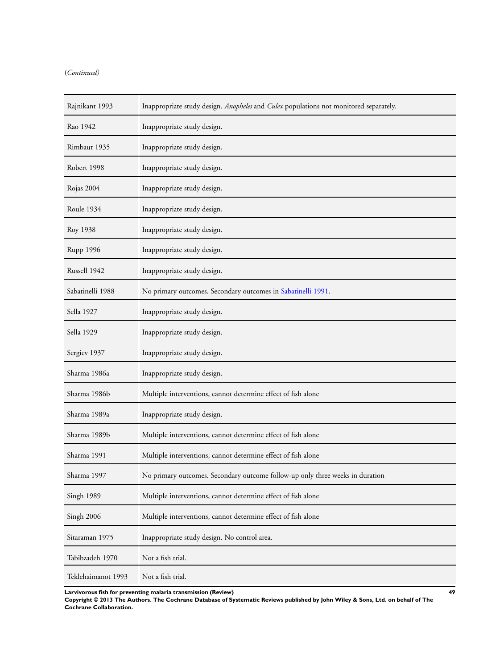| Rajnikant 1993     | Inappropriate study design. Anopheles and Culex populations not monitored separately. |
|--------------------|---------------------------------------------------------------------------------------|
| Rao 1942           | Inappropriate study design.                                                           |
| Rimbaut 1935       | Inappropriate study design.                                                           |
| Robert 1998        | Inappropriate study design.                                                           |
| Rojas 2004         | Inappropriate study design.                                                           |
| Roule 1934         | Inappropriate study design.                                                           |
| Roy 1938           | Inappropriate study design.                                                           |
| Rupp 1996          | Inappropriate study design.                                                           |
| Russell 1942       | Inappropriate study design.                                                           |
| Sabatinelli 1988   | No primary outcomes. Secondary outcomes in Sabatinelli 1991.                          |
| Sella 1927         | Inappropriate study design.                                                           |
| Sella 1929         | Inappropriate study design.                                                           |
| Sergiev 1937       | Inappropriate study design.                                                           |
| Sharma 1986a       | Inappropriate study design.                                                           |
| Sharma 1986b       | Multiple interventions, cannot determine effect of fish alone                         |
| Sharma 1989a       | Inappropriate study design.                                                           |
| Sharma 1989b       | Multiple interventions, cannot determine effect of fish alone                         |
| Sharma 1991        | Multiple interventions, cannot determine effect of fish alone                         |
| Sharma 1997        | No primary outcomes. Secondary outcome follow-up only three weeks in duration         |
| Singh 1989         | Multiple interventions, cannot determine effect of fish alone                         |
| Singh 2006         | Multiple interventions, cannot determine effect of fish alone                         |
| Sitaraman 1975     | Inappropriate study design. No control area.                                          |
| Tabibzadeh 1970    | Not a fish trial.                                                                     |
| Teklehaimanot 1993 | Not a fish trial.                                                                     |

**Larvivorous fish for preventing malaria transmission (Review) 49**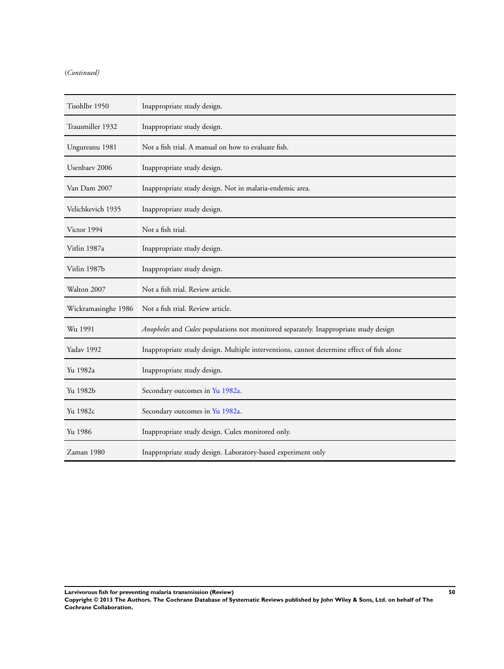| Tisohlbr 1950       | Inappropriate study design.                                                               |
|---------------------|-------------------------------------------------------------------------------------------|
| Trausmiller 1932    | Inappropriate study design.                                                               |
| Ungureanu 1981      | Not a fish trial. A manual on how to evaluate fish.                                       |
| Usenbaev 2006       | Inappropriate study design.                                                               |
| Van Dam 2007        | Inappropriate study design. Not in malaria-endemic area.                                  |
| Velichkevich 1935   | Inappropriate study design.                                                               |
| Victor 1994         | Not a fish trial.                                                                         |
| Vitlin 1987a        | Inappropriate study design.                                                               |
| Vitlin 1987b        | Inappropriate study design.                                                               |
| Walton 2007         | Not a fish trial. Review article.                                                         |
| Wickramasinghe 1986 | Not a fish trial. Review article.                                                         |
| Wu 1991             | Anopheles and Culex populations not monitored separately. Inappropriate study design      |
| Yadav 1992          | Inappropriate study design. Multiple interventions, cannot determine effect of fish alone |
| Yu 1982a            | Inappropriate study design.                                                               |
| Yu 1982b            | Secondary outcomes in Yu 1982a.                                                           |
| Yu 1982c            | Secondary outcomes in Yu 1982a.                                                           |
| Yu 1986             | Inappropriate study design. Culex monitored only.                                         |
| Zaman 1980          | Inappropriate study design. Laboratory-based experiment only                              |

**Larvivorous fish for preventing malaria transmission (Review) 50**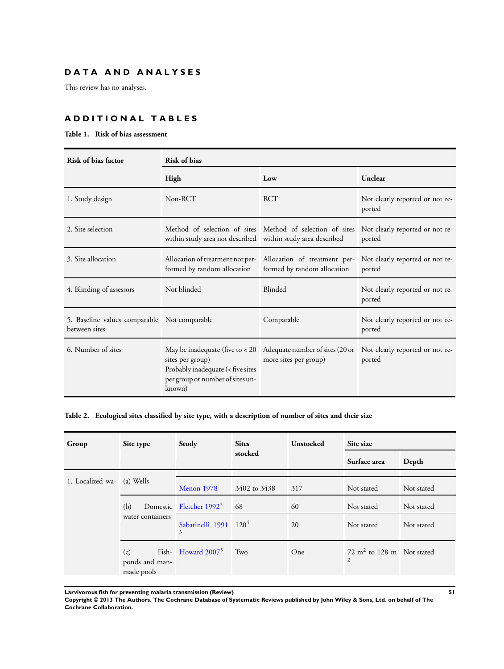# <span id="page-52-0"></span>**D A T A A N D A N A L Y S E S**

This review has no analyses.

# **A D D I T I O N A L T A B L E S**

**Table 1. Risk of bias assessment**

| <b>Risk of bias factor</b>                                    | <b>Risk of bias</b>                                                                                 |                                                                                            |                                           |  |  |  |
|---------------------------------------------------------------|-----------------------------------------------------------------------------------------------------|--------------------------------------------------------------------------------------------|-------------------------------------------|--|--|--|
|                                                               | High                                                                                                | Low                                                                                        | Unclear                                   |  |  |  |
| 1. Study design                                               | Non-RCT                                                                                             | <b>RCT</b>                                                                                 | Not clearly reported or not re-<br>ported |  |  |  |
| 2. Site selection                                             | within study area not described within study area described                                         | Method of selection of sites Method of selection of sites                                  | Not clearly reported or not re-<br>ported |  |  |  |
| 3. Site allocation                                            | Allocation of treatment not per-<br>formed by random allocation                                     | Allocation of treatment per-<br>formed by random allocation                                | Not clearly reported or not re-<br>ported |  |  |  |
| 4. Blinding of assessors                                      | Not blinded                                                                                         | Blinded                                                                                    | Not clearly reported or not re-<br>ported |  |  |  |
| 5. Baseline values comparable Not comparable<br>between sites |                                                                                                     | Comparable                                                                                 | Not clearly reported or not re-<br>ported |  |  |  |
| 6. Number of sites                                            | sites per group)<br>Probably inadequate (< five sites<br>per group or number of sites un-<br>known) | May be inadequate (five to $< 20$ Adequate number of sites (20 or<br>more sites per group) | Not clearly reported or not re-<br>ported |  |  |  |

# **Table 2. Ecological sites classified by site type, with a description of number of sites and their size**

| Group      | Site type                     | <b>Sites</b><br>Study<br>stocked       |              | <b>Unstocked</b> | Site size                                              |            |
|------------|-------------------------------|----------------------------------------|--------------|------------------|--------------------------------------------------------|------------|
|            |                               |                                        |              |                  | Surface area                                           | Depth      |
|            |                               |                                        |              |                  |                                                        |            |
|            | 1. Localized wa-<br>(a) Wells | Menon 1978                             | 3402 to 3438 | 317              | Not stated                                             | Not stated |
| (b)<br>(c) |                               | Domestic Fletcher 1992 <sup>2</sup>    | 68           | 60               | Not stated                                             | Not stated |
|            | water containers              | Sabatinelli 1991 120 <sup>4</sup><br>3 |              | 20               | Not stated                                             | Not stated |
|            | ponds and man-<br>made pools  | Fish- Howard 2007 <sup>5</sup>         | Two          | One              | $72 \text{ m}^2$ to 128 m Not stated<br>$\overline{2}$ |            |

**Larvivorous fish for preventing malaria transmission (Review) 51**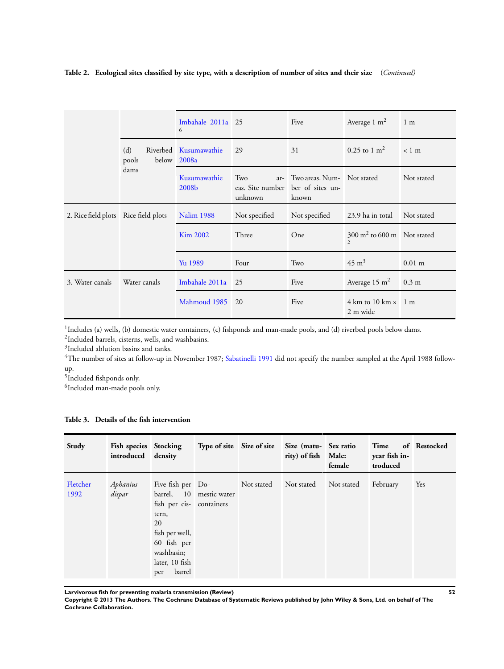# <span id="page-53-0"></span>**Table 2. Ecological sites classified by site type, with a description of number of sites and their size** (*Continued)*

|                                      |                      | Imbahale 2011a 25<br>6               |                         | Five                                                                     | Average $1 \text{ m}^2$                                          | 1 <sub>m</sub>   |
|--------------------------------------|----------------------|--------------------------------------|-------------------------|--------------------------------------------------------------------------|------------------------------------------------------------------|------------------|
|                                      | (d)<br>pools<br>dams | Riverbed Kusumawathie<br>below 2008a | 29                      | 31                                                                       | $0.25$ to 1 m <sup>2</sup>                                       | < 1 m            |
|                                      |                      | Kusumawathie<br>2008b                | Two<br>$ar-$<br>unknown | Two areas. Num- Not stated<br>eas. Site number ber of sites un-<br>known |                                                                  | Not stated       |
| 2. Rice field plots Rice field plots |                      | <b>Nalim 1988</b>                    | Not specified           | Not specified                                                            | 23.9 ha in total                                                 | Not stated       |
|                                      |                      | <b>Kim 2002</b>                      | Three                   | One                                                                      | $300 \text{ m}^2$ to 600 m Not stated<br>2                       |                  |
|                                      |                      | Yu 1989                              | Four                    | Two                                                                      | $45 \text{ m}^3$                                                 | $0.01$ m         |
| 3. Water canals                      | Water canals         | Imbahale 2011a                       | 25                      | Five                                                                     | Average $15 \text{ m}^2$                                         | 0.3 <sub>m</sub> |
|                                      |                      | Mahmoud 1985                         | 20                      | Five                                                                     | $4 \text{ km}$ to $10 \text{ km} \times 1 \text{ m}$<br>2 m wide |                  |

<sup>1</sup> Includes (a) wells, (b) domestic water containers, (c) fishponds and man-made pools, and (d) riverbed pools below dams.

2 Included barrels, cisterns, wells, and washbasins.

<sup>3</sup>Included ablution basins and tanks.

<sup>4</sup>The number of sites at follow-up in November 1987; [Sabatinelli 1991](#page-25-0) did not specify the number sampled at the April 1988 followup.

5 Included fishponds only.

6 Included man-made pools only.

| Study            | Fish species Stocking<br>introduced density |                                                                                                                                                |                         |            | Type of site Size of site Size (matu-Sex ratio<br>rity) of fish Male: | female     | Time<br>year fish in-<br>troduced | of Restocked |
|------------------|---------------------------------------------|------------------------------------------------------------------------------------------------------------------------------------------------|-------------------------|------------|-----------------------------------------------------------------------|------------|-----------------------------------|--------------|
| Fletcher<br>1992 | Aphanius<br>dispar                          | Five fish per Do-<br>fish per cis- containers<br>tern,<br>20<br>fish per well,<br>60 fish per<br>washbasin;<br>later, 10 fish<br>barrel<br>per | barrel, 10 mestic water | Not stated | Not stated                                                            | Not stated | February                          | Yes          |

# **Table 3. Details of the fish intervention**

**Larvivorous fish for preventing malaria transmission (Review) 52**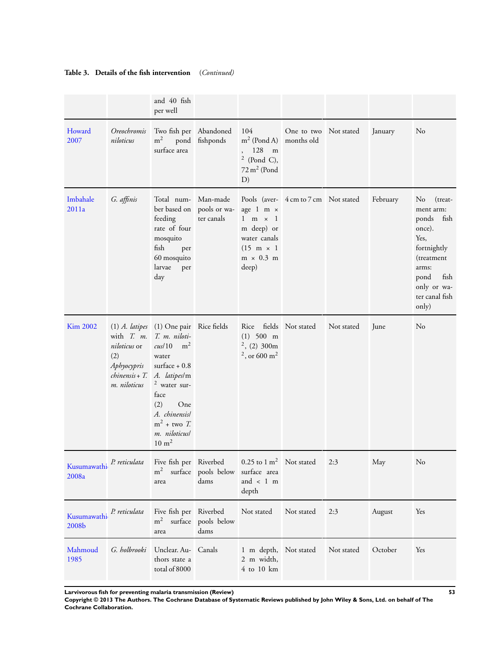# **Table 3. Details of the fish intervention** (*Continued)*

|                      |                                                                                           | and 40 fish<br>per well                                                                                                                                                                                                                            |                                                         |                                                                                                                                            |                                      |            |          |                                                                                                                                                                        |
|----------------------|-------------------------------------------------------------------------------------------|----------------------------------------------------------------------------------------------------------------------------------------------------------------------------------------------------------------------------------------------------|---------------------------------------------------------|--------------------------------------------------------------------------------------------------------------------------------------------|--------------------------------------|------------|----------|------------------------------------------------------------------------------------------------------------------------------------------------------------------------|
| Howard<br>2007       | Oreochromis<br>niloticus                                                                  | Two fish per Abandoned<br>m <sup>2</sup><br>surface area                                                                                                                                                                                           | pond fishponds                                          | 104<br>$m^2$ (Pond A)<br>128<br>m<br>$2$ (Pond C),<br>$72 \text{ m}^2$ (Pond<br>D)                                                         | One to two Not stated<br>months old  |            | January  | N <sub>0</sub>                                                                                                                                                         |
| Imbahale<br>2011a    | G. affinis                                                                                | Total num- Man-made<br>feeding<br>rate of four<br>mosquito<br>fish<br>per<br>60 mosquito<br>larvae<br>per<br>day                                                                                                                                   | ber based on pools or wa-<br>ter canals                 | age $1 \text{ m} \times$<br>$1 \text{ m} \times 1$<br>m deep) or<br>water canals<br>$(15 \text{ m} \times 1)$<br>$m \times 0.3$ m<br>deep) | Pools (aver-14 cm to 7 cm Not stated |            | February | N <sub>0</sub><br>(treat-<br>ment arm:<br>ponds fish<br>once).<br>Yes,<br>fortnightly<br>(treatment<br>arms:<br>pond<br>fish<br>only or wa-<br>ter canal fish<br>only) |
| <b>Kim 2002</b>      | with $T.$ $m.$<br>niloticus or<br>(2)<br>Aphyocypris<br>$chinensis + T$ .<br>m. niloticus | (1) A. latipes (1) One pair Rice fields<br>T. m. niloti-<br>$\cos/10$<br>m <sup>2</sup><br>water<br>surface $+0.8$<br>A. latipes/m<br>$2$ water sur-<br>face<br>(2)<br>One<br>A. chinensisl<br>$m^2$ + two T.<br>m. niloticus!<br>$10 \text{ m}^2$ |                                                         | Rice<br>$(1)$ 500 m<br>$2$ , (2) 300m<br>$2$ , or 600 m <sup>2</sup>                                                                       | fields Not stated                    | Not stated | June     | N <sub>o</sub>                                                                                                                                                         |
| Kusumawathi<br>2008a | P. reticulata                                                                             | Five fish per Riverbed<br>area                                                                                                                                                                                                                     | m <sup>2</sup> surface pools below surface area<br>dams | $0.25$ to $1 \text{ m}^2$ Not stated<br>and $\langle$ 1 m<br>depth                                                                         |                                      | 2:3        | May      | No                                                                                                                                                                     |
| Kusumawathi<br>2008b | P. reticulata                                                                             | Five fish per Riverbed<br>m <sup>2</sup><br>area                                                                                                                                                                                                   | surface pools below<br>dams                             | Not stated                                                                                                                                 | Not stated                           | 2:3        | August   | Yes                                                                                                                                                                    |
| Mahmoud<br>1985      | G. holbrooki                                                                              | Unclear. Au-<br>thors state a<br>total of 8000                                                                                                                                                                                                     | Canals                                                  | 1 m depth, Not stated<br>2 m width,<br>4 to 10 km                                                                                          |                                      | Not stated | October  | Yes                                                                                                                                                                    |

**Larvivorous fish for preventing malaria transmission (Review) 53**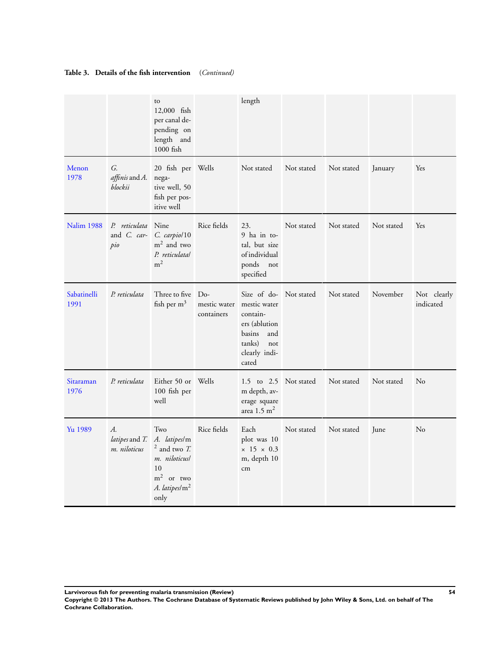# <span id="page-55-0"></span>**Table 3. Details of the fish intervention** (*Continued)*

|                     |                                                     | to<br>12,000 fish<br>per canal de-<br>pending on<br>length and<br>1000 fish                                       |                            | length                                                                                                                          |            |            |            |                          |
|---------------------|-----------------------------------------------------|-------------------------------------------------------------------------------------------------------------------|----------------------------|---------------------------------------------------------------------------------------------------------------------------------|------------|------------|------------|--------------------------|
| Menon<br>1978       | G.<br>$\partial f$ <i>inis</i> and $A$ .<br>blockii | 20 fish per Wells<br>nega-<br>tive well, 50<br>fish per pos-<br>itive well                                        |                            | Not stated                                                                                                                      | Not stated | Not stated | January    | Yes                      |
| <b>Nalim 1988</b>   | P. reticulata<br>and C. car- C. carpio/10<br>pio    | Nine<br>$m2$ and two<br>P. reticulatal<br>m <sup>2</sup>                                                          | Rice fields                | 23.<br>9 ha in to-<br>tal, but size<br>of individual<br>ponds not<br>specified                                                  | Not stated | Not stated | Not stated | Yes                      |
| Sabatinelli<br>1991 | P. reticulata                                       | Three to five Do-<br>fish per m <sup>3</sup>                                                                      | mestic water<br>containers | Size of do- Not stated<br>mestic water<br>contain-<br>ers (ablution<br>basins<br>and<br>tanks)<br>not<br>clearly indi-<br>cated |            | Not stated | November   | Not clearly<br>indicated |
| Sitaraman<br>1976   | P. reticulata                                       | Either 50 or Wells<br>100 fish per<br>well                                                                        |                            | 1.5 to 2.5 Not stated<br>m depth, av-<br>erage square<br>area $1.5 \text{ m}^2$                                                 |            | Not stated | Not stated | No                       |
| Yu 1989             | A.<br>latipes and T.<br>m. niloticus                | Two<br>A. latipes/m<br>$^2$ and two T.<br>m. niloticusl<br>10<br>$m2$ or two<br>A. latipes/m <sup>2</sup><br>only | Rice fields                | Each<br>plot was 10<br>$\times$ 15 $\times$ 0.3<br>m, depth 10<br>cm                                                            | Not stated | Not stated | June       | No                       |

**Larvivorous fish for preventing malaria transmission (Review) 54**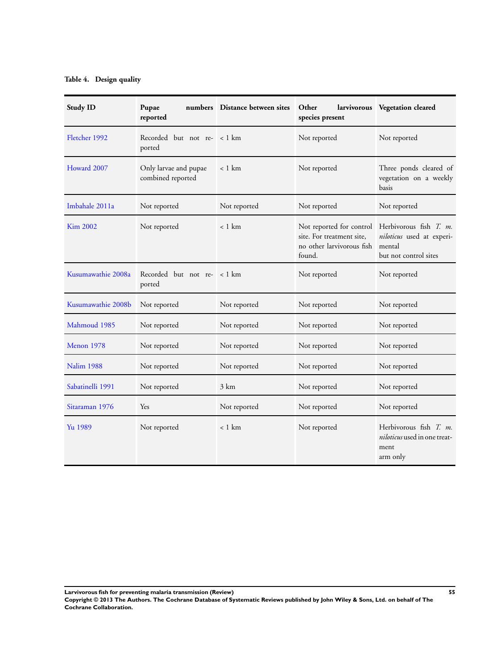# **Table 4. Design quality**

| <b>Study ID</b>    | Pupae<br>reported                          | numbers Distance between sites | Other<br>larvivorous<br>species present                                                      | Vegetation cleared                                                                     |
|--------------------|--------------------------------------------|--------------------------------|----------------------------------------------------------------------------------------------|----------------------------------------------------------------------------------------|
| Fletcher 1992      | Recorded but not re- < 1 km<br>ported      |                                | Not reported                                                                                 | Not reported                                                                           |
| Howard 2007        | Only larvae and pupae<br>combined reported | < 1 km                         | Not reported                                                                                 | Three ponds cleared of<br>vegetation on a weekly<br>basis                              |
| Imbahale 2011a     | Not reported                               | Not reported                   | Not reported                                                                                 | Not reported                                                                           |
| Kim 2002           | Not reported                               | $< 1 \text{ km}$               | Not reported for control<br>site. For treatment site,<br>no other larvivorous fish<br>found. | Herbivorous fish T. m.<br>niloticus used at experi-<br>mental<br>but not control sites |
| Kusumawathie 2008a | Recorded but not re- < 1 km<br>ported      |                                | Not reported                                                                                 | Not reported                                                                           |
| Kusumawathie 2008b | Not reported                               | Not reported                   | Not reported                                                                                 | Not reported                                                                           |
| Mahmoud 1985       | Not reported                               | Not reported                   | Not reported                                                                                 | Not reported                                                                           |
| Menon 1978         | Not reported                               | Not reported                   | Not reported                                                                                 | Not reported                                                                           |
| <b>Nalim 1988</b>  | Not reported                               | Not reported                   | Not reported                                                                                 | Not reported                                                                           |
| Sabatinelli 1991   | Not reported                               | 3 km                           | Not reported                                                                                 | Not reported                                                                           |
| Sitaraman 1976     | Yes                                        | Not reported                   | Not reported                                                                                 | Not reported                                                                           |
| Yu 1989            | Not reported                               | $< 1 \text{ km}$               | Not reported                                                                                 | Herbivorous fish T. m.<br>niloticus used in one treat-<br>ment<br>arm only             |

**Larvivorous fish for preventing malaria transmission (Review) 55**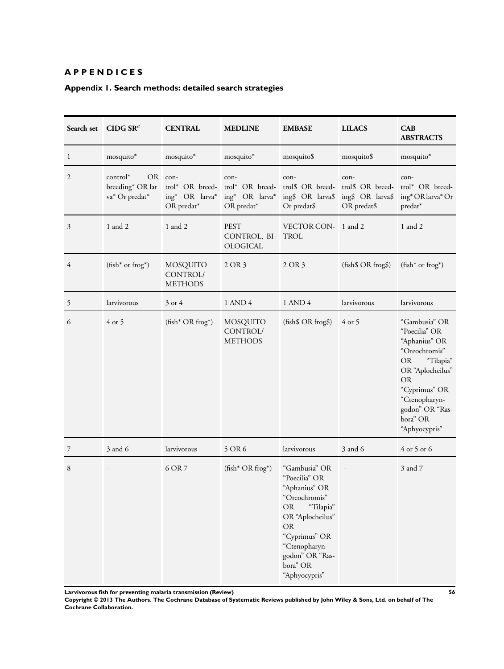# <span id="page-57-0"></span>**A P P E N D I C E S**

# **Appendix 1. Search methods: detailed search strategies**

| Search set     | CIDG $SR^a$                                    | <b>CENTRAL</b>                                                          | <b>MEDLINE</b>                                          | <b>EMBASE</b>                                                                                                                                                                                                 | <b>LILACS</b>                                               | CAB<br><b>ABSTRACTS</b>                                                                                                                                                                                       |
|----------------|------------------------------------------------|-------------------------------------------------------------------------|---------------------------------------------------------|---------------------------------------------------------------------------------------------------------------------------------------------------------------------------------------------------------------|-------------------------------------------------------------|---------------------------------------------------------------------------------------------------------------------------------------------------------------------------------------------------------------|
| $\mathbf{1}$   | mosquito*                                      | mosquito*                                                               | mosquito*                                               | mosquito\$                                                                                                                                                                                                    | mosquito\$                                                  | mosquito*                                                                                                                                                                                                     |
| $\overline{2}$ | control*<br>breeding* OR lar<br>va* Or predat* | OR con-<br>$\text{trol}^*$<br>OR breed-<br>ing* OR larva*<br>OR predat* | con-<br>trol* OR breed-<br>ing* OR larva*<br>OR predat* | con-<br>trol\$ OR breed-<br>ing\$ OR larva\$<br>Or predat\$                                                                                                                                                   | con-<br>trol\$ OR breed-<br>ing\$ OR larva\$<br>OR predat\$ | con-<br>trol* OR breed-<br>ing* OR larva* Or<br>predat*                                                                                                                                                       |
| $\mathfrak{Z}$ | 1 and 2                                        | 1 and 2                                                                 | PEST<br>CONTROL, BI-<br>OLOGICAL                        | VECTOR CON-1 and 2<br><b>TROL</b>                                                                                                                                                                             |                                                             | 1 and 2                                                                                                                                                                                                       |
| 4              | $(fish^* or frog^*)$                           | MOSQUITO<br>CONTROL/<br><b>METHODS</b>                                  | 2 OR 3                                                  | 2 OR 3                                                                                                                                                                                                        | (fish\$ OR frog\$)                                          | $(fish^* or frog^*)$                                                                                                                                                                                          |
| 5              | larvivorous                                    | 3 or 4                                                                  | 1 AND 4                                                 | 1 AND 4                                                                                                                                                                                                       | larvivorous                                                 | larvivorous                                                                                                                                                                                                   |
| 6              | $4$ or 5                                       | $(fish* OR frog*)$                                                      | MOSQUITO<br>CONTROL/<br><b>METHODS</b>                  | (fish\$ OR frog\$)                                                                                                                                                                                            | 4 or 5                                                      | "Gambusia" OR<br>"Poecilia" OR<br>"Aphanius" OR<br>"Oreochromis"<br><b>OR</b><br>"Tilapia"<br>OR "Aplocheilus"<br><b>OR</b><br>"Cyprimus" OR<br>"Ctenopharyn-<br>godon" OR "Ras-<br>bora" OR<br>"Aphyocypris" |
| 7              | 3 and 6                                        | larvivorous                                                             | 5 OR 6                                                  | larvivorous                                                                                                                                                                                                   | 3 and 6                                                     | $4$ or 5 or 6                                                                                                                                                                                                 |
| 8              |                                                | 6 OR 7                                                                  | $(fish^* OR frog^*)$                                    | "Gambusia" OR<br>"Poecilia" OR<br>"Aphanius" OR<br>"Oreochromis"<br>"Tilapia"<br><b>OR</b><br>OR "Aplocheilus"<br><b>OR</b><br>"Cyprimus" OR<br>"Ctenopharyn-<br>godon" OR "Ras-<br>bora" OR<br>"Aphyocypris" |                                                             | 3 and 7                                                                                                                                                                                                       |

**Larvivorous fish for preventing malaria transmission (Review) 56**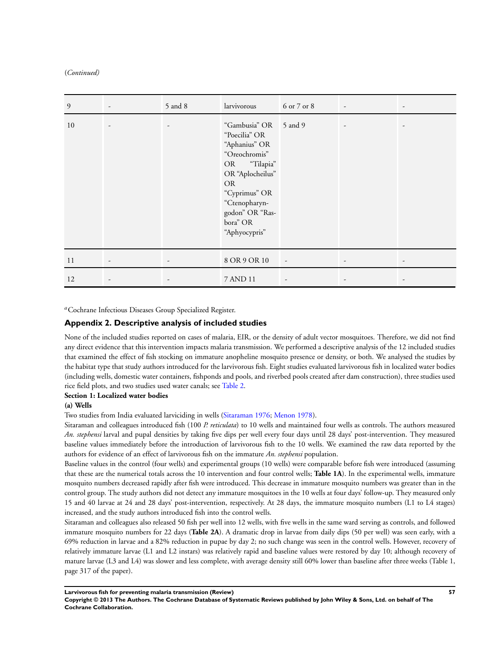<span id="page-58-0"></span>

| 9  | $\overline{\phantom{a}}$ | 5 and 8 | larvivorous                                                                                                                                                                                            | 6 or 7 or 8              | $\overline{\phantom{a}}$ | $\overline{\phantom{a}}$ |
|----|--------------------------|---------|--------------------------------------------------------------------------------------------------------------------------------------------------------------------------------------------------------|--------------------------|--------------------------|--------------------------|
| 10 | ٠                        |         | "Gambusia" OR<br>"Poecilia" OR<br>"Aphanius" OR<br>"Oreochromis"<br>"Tilapia"<br>OR<br>OR "Aplocheilus"<br><b>OR</b><br>"Cyprimus" OR<br>"Ctenopharyn-<br>godon" OR "Ras-<br>bora" OR<br>"Aphyocypris" | 5 and 9                  |                          |                          |
| 11 | $\overline{\phantom{a}}$ |         | 8 OR 9 OR 10                                                                                                                                                                                           | $\overline{\phantom{a}}$ |                          |                          |
| 12 | ٠                        |         | 7 AND 11                                                                                                                                                                                               |                          | -                        |                          |

<sup>a</sup>Cochrane Infectious Diseases Group Specialized Register.

# **Appendix 2. Descriptive analysis of included studies**

None of the included studies reported on cases of malaria, EIR, or the density of adult vector mosquitoes. Therefore, we did not find any direct evidence that this intervention impacts malaria transmission. We performed a descriptive analysis of the 12 included studies that examined the effect of fish stocking on immature anopheline mosquito presence or density, or both. We analysed the studies by the habitat type that study authors introduced for the larvivorous fish. Eight studies evaluated larvivorous fish in localized water bodies (including wells, domestic water containers, fishponds and pools, and riverbed pools created after dam construction), three studies used rice field plots, and two studies used water canals; see [Table 2](#page-52-0).

# **Section 1: Localized water bodies**

# **(a) Wells**

Two studies from India evaluated larviciding in wells ([Sitaraman 1976](#page-25-0); [Menon 1978](#page-25-0)).

Sitaraman and colleagues introduced fish (100 *P. reticulata*) to 10 wells and maintained four wells as controls. The authors measured *An. stephensi* larval and pupal densities by taking five dips per well every four days until 28 days' post-intervention. They measured baseline values immediately before the introduction of larvivorous fish to the 10 wells. We examined the raw data reported by the authors for evidence of an effect of larvivorous fish on the immature *An. stephensi* population.

Baseline values in the control (four wells) and experimental groups (10 wells) were comparable before fish were introduced (assuming that these are the numerical totals across the 10 intervention and four control wells; **Table 1A**). In the experimental wells, immature mosquito numbers decreased rapidly after fish were introduced. This decrease in immature mosquito numbers was greater than in the control group. The study authors did not detect any immature mosquitoes in the 10 wells at four days' follow-up. They measured only 15 and 40 larvae at 24 and 28 days' post-intervention, respectively. At 28 days, the immature mosquito numbers (L1 to L4 stages) increased, and the study authors introduced fish into the control wells.

Sitaraman and colleagues also released 50 fish per well into 12 wells, with five wells in the same ward serving as controls, and followed immature mosquito numbers for 22 days (**Table 2A**). A dramatic drop in larvae from daily dips (50 per well) was seen early, with a 69% reduction in larvae and a 82% reduction in pupae by day 2; no such change was seen in the control wells. However, recovery of relatively immature larvae (L1 and L2 instars) was relatively rapid and baseline values were restored by day 10; although recovery of mature larvae (L3 and L4) was slower and less complete, with average density still 60% lower than baseline after three weeks (Table 1, page 317 of the paper).

**Larvivorous fish for preventing malaria transmission (Review) 57**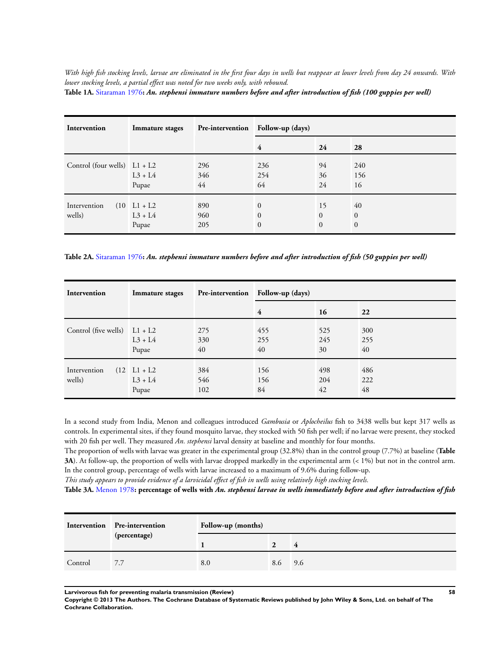*With high fish stocking levels, larvae are eliminated in the first four days in wells but reappear at lower levels from day 24 onwards. With lower stocking levels, a partial effect was noted for two weeks only, with rebound.*

**Table 1A.** [Sitaraman 1976](#page-25-0)**:** *An. stephensi immature numbers before and after introduction of fish (100 guppies per well)*

| Intervention                   | Immature stages                                     | Pre-intervention  | Follow-up (days)                         |                            |                                        |
|--------------------------------|-----------------------------------------------------|-------------------|------------------------------------------|----------------------------|----------------------------------------|
|                                |                                                     |                   | 4                                        | 24                         | 28                                     |
| Control (four wells) $L1 + L2$ | $L3 + L4$<br>Pupae                                  | 296<br>346<br>44  | 236<br>254<br>64                         | 94<br>36<br>24             | 240<br>156<br>16                       |
| Intervention<br>wells)         | $(10 \text{ L}1 + \text{L}2)$<br>$L3 + L4$<br>Pupae | 890<br>960<br>205 | $\mathbf{0}$<br>$\mathbf{0}$<br>$\theta$ | 15<br>$\Omega$<br>$\Omega$ | 40<br>$\overline{0}$<br>$\overline{0}$ |

**Table 2A.** [Sitaraman 1976](#page-25-0)**:** *An. stephensi immature numbers before and after introduction of fish (50 guppies per well)*

| Intervention                   | Immature stages                                     | Pre-intervention  | Follow-up (days) |                  |                  |
|--------------------------------|-----------------------------------------------------|-------------------|------------------|------------------|------------------|
|                                |                                                     |                   | 4                | 16               | 22               |
| Control (five wells) $L1 + L2$ | $L3 + L4$<br>Pupae                                  | 275<br>330<br>40  | 455<br>255<br>40 | 525<br>245<br>30 | 300<br>255<br>40 |
| Intervention<br>wells)         | $(12 \text{ L}1 + \text{L}2)$<br>$L3 + L4$<br>Pupae | 384<br>546<br>102 | 156<br>156<br>84 | 498<br>204<br>42 | 486<br>222<br>48 |

In a second study from India, Menon and colleagues introduced *Gambusia* or *Aplocheilus* fish to 3438 wells but kept 317 wells as controls. In experimental sites, if they found mosquito larvae, they stocked with 50 fish per well; if no larvae were present, they stocked with 20 fish per well. They measured *An. stephensi* larval density at baseline and monthly for four months.

The proportion of wells with larvae was greater in the experimental group (32.8%) than in the control group (7.7%) at baseline (**Table 3A**). At follow-up, the proportion of wells with larvae dropped markedly in the experimental arm (< 1%) but not in the control arm. In the control group, percentage of wells with larvae increased to a maximum of 9.6% during follow-up.

*This study appears to provide evidence of a larvicidal effect of fish in wells using relatively high stocking levels.*

**Table 3A.** [Menon 1978](#page-25-0)**: percentage of wells with** *An. stephensi larvae in wells immediately before and after introduction of fish*

|         | Intervention Pre-intervention | Follow-up (months) |         |   |  |  |
|---------|-------------------------------|--------------------|---------|---|--|--|
|         | (percentage)                  |                    |         | 4 |  |  |
| Control | 7.7                           | 8.0                | 8.6 9.6 |   |  |  |

**Larvivorous fish for preventing malaria transmission (Review) 58**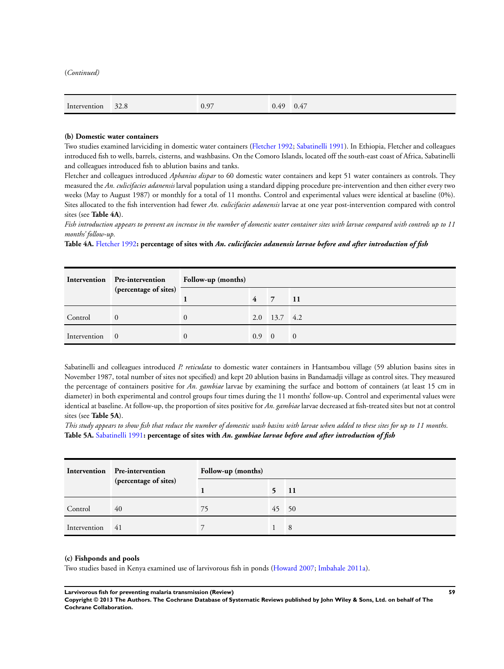| Intervention 32.8 | 0.97 | $0.49$ 0.47 |  |
|-------------------|------|-------------|--|

#### **(b) Domestic water containers**

Two studies examined larviciding in domestic water containers ([Fletcher 1992](#page-25-0); [Sabatinelli 1991\)](#page-25-0). In Ethiopia, Fletcher and colleagues introduced fish to wells, barrels, cisterns, and washbasins. On the Comoro Islands, located off the south-east coast of Africa, Sabatinelli and colleagues introduced fish to ablution basins and tanks.

Fletcher and colleagues introduced *Aphanius dispar* to 60 domestic water containers and kept 51 water containers as controls. They measured the *An. culicifacies adanensis* larval population using a standard dipping procedure pre-intervention and then either every two weeks (May to August 1987) or monthly for a total of 11 months. Control and experimental values were identical at baseline (0%). Sites allocated to the fish intervention had fewer *An. culicifacies adanensis* larvae at one year post-intervention compared with control sites (see **Table 4A**).

*Fish introduction appears to prevent an increase in the number of domestic water container sites with larvae compared with controls up to 11 months' follow-up.*

**Table 4A.** [Fletcher 1992](#page-25-0)**: percentage of sites with** *An. culicifacies adanensis larvae before and after introduction of fish*

|              | Intervention Pre-intervention | <b>Follow-up (months)</b> |               |                            |                |  |
|--------------|-------------------------------|---------------------------|---------------|----------------------------|----------------|--|
|              | (percentage of sites)         |                           | 4             | 7 11                       |                |  |
| Control      | $\Omega$                      | $\Omega$                  |               | $2.0 \quad 13.7 \quad 4.2$ |                |  |
| Intervention | $\Box$ 0                      | $\Omega$                  | $0.9 \quad 0$ |                            | $\overline{0}$ |  |

Sabatinelli and colleagues introduced *P. reticulata* to domestic water containers in Hantsambou village (59 ablution basins sites in November 1987, total number of sites not specified) and kept 20 ablution basins in Bandamadji village as control sites. They measured the percentage of containers positive for *An. gambiae* larvae by examining the surface and bottom of containers (at least 15 cm in diameter) in both experimental and control groups four times during the 11 months' follow-up. Control and experimental values were identical at baseline. At follow-up, the proportion of sites positive for *An. gambiae* larvae decreased at fish-treated sites but not at control sites (see **Table 5A**).

*This study appears to show fish that reduce the number of domestic wash basins with larvae when added to these sites for up to 11 months.* **Table 5A.** [Sabatinelli 1991](#page-25-0)**: percentage of sites with** *An. gambiae larvae before and after introduction of fish*

|              | Intervention Pre-intervention | Follow-up (months) |       |     |  |  |
|--------------|-------------------------------|--------------------|-------|-----|--|--|
|              | (percentage of sites)         |                    | 5 11  |     |  |  |
| Control      | 40                            | 75                 | 45 50 |     |  |  |
| Intervention | -41                           |                    |       | - 8 |  |  |

# **(c) Fishponds and pools**

Two studies based in Kenya examined use of larvivorous fish in ponds [\(Howard 2007;](#page-25-0) [Imbahale 2011a](#page-25-0)).

**Larvivorous fish for preventing malaria transmission (Review) 59**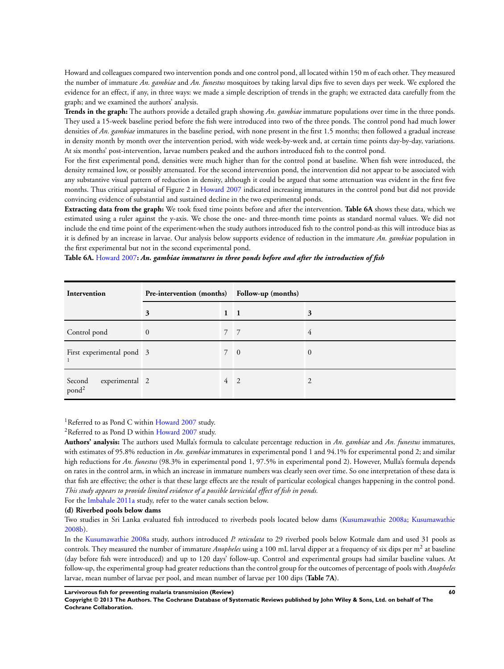Howard and colleagues compared two intervention ponds and one control pond, all located within 150 m of each other. They measured the number of immature *An. gambiae* and *An. funestus* mosquitoes by taking larval dips five to seven days per week. We explored the evidence for an effect, if any, in three ways: we made a simple description of trends in the graph; we extracted data carefully from the graph; and we examined the authors' analysis.

**Trends in the graph:** The authors provide a detailed graph showing *An. gambiae* immature populations over time in the three ponds. They used a 15-week baseline period before the fish were introduced into two of the three ponds. The control pond had much lower densities of *An. gambiae* immatures in the baseline period, with none present in the first 1.5 months; then followed a gradual increase in density month by month over the intervention period, with wide week-by-week and, at certain time points day-by-day, variations. At six months' post-intervention, larvae numbers peaked and the authors introduced fish to the control pond.

For the first experimental pond, densities were much higher than for the control pond at baseline. When fish were introduced, the density remained low, or possibly attenuated. For the second intervention pond, the intervention did not appear to be associated with any substantive visual pattern of reduction in density, although it could be argued that some attenuation was evident in the first five months. Thus critical appraisal of Figure 2 in [Howard 2007](#page-25-0) indicated increasing immatures in the control pond but did not provide convincing evidence of substantial and sustained decline in the two experimental ponds.

**Extracting data from the graph:** We took fixed time points before and after the intervention. **Table 6A** shows these data, which we estimated using a ruler against the y-axis. We chose the one- and three-month time points as standard normal values. We did not include the end time point of the experiment-when the study authors introduced fish to the control pond-as this will introduce bias as it is defined by an increase in larvae. Our analysis below supports evidence of reduction in the immature *An. gambiae* population in the first experimental but not in the second experimental pond.

**Table 6A.** [Howard 2007](#page-25-0)**:** *An. gambiae immatures in three ponds before and after the introduction of fish*

| Intervention                                  | Pre-intervention (months) Follow-up (months) |            |  |                |
|-----------------------------------------------|----------------------------------------------|------------|--|----------------|
|                                               | 3                                            | $1\quad1$  |  | 3              |
| Control pond                                  | $\Omega$                                     | 7 7        |  | $\overline{4}$ |
| First experimental pond 3<br>1                |                                              | $7\quad 0$ |  | $\overline{0}$ |
| experimental 2<br>Second<br>pond <sup>2</sup> |                                              | $4\quad2$  |  | $\mathcal{P}$  |

<sup>1</sup>Referred to as Pond C within [Howard 2007](#page-25-0) study.

<sup>2</sup>Referred to as Pond D within [Howard 2007](#page-25-0) study.

**Authors' analysis:** The authors used Mulla's formula to calculate percentage reduction in *An. gambiae* and *An. funestus* immatures, with estimates of 95.8% reduction in *An. gambiae* immatures in experimental pond 1 and 94.1% for experimental pond 2; and similar high reductions for *An. funestus* (98.3% in experimental pond 1, 97.5% in experimental pond 2). However, Mulla's formula depends on rates in the control arm, in which an increase in immature numbers was clearly seen over time. So one interpretation of these data is that fish are effective; the other is that these large effects are the result of particular ecological changes happening in the control pond. *This study appears to provide limited evidence of a possible larvicidal effect of fish in ponds.*

For the [Imbahale 2011a](#page-25-0) study, refer to the water canals section below.

**(d) Riverbed pools below dams**

Two studies in Sri Lanka evaluated fish introduced to riverbeds pools located below dams ([Kusumawathie 2008a](#page-25-0); [Kusumawathie](#page-25-0) [2008b\)](#page-25-0).

In the [Kusumawathie 2008a](#page-25-0) study, authors introduced *P. reticulata* to 29 riverbed pools below Kotmale dam and used 31 pools as controls. They measured the number of immature *Anopheles* using a 100 mL larval dipper at a frequency of six dips per m<sup>2</sup> at baseline (day before fish were introduced) and up to 120 days' follow-up. Control and experimental groups had similar baseline values. At follow-up, the experimental group had greater reductions than the control group for the outcomes of percentage of pools with *Anopheles* larvae, mean number of larvae per pool, and mean number of larvae per 100 dips (**Table 7A**).

**Larvivorous fish for preventing malaria transmission (Review) 60**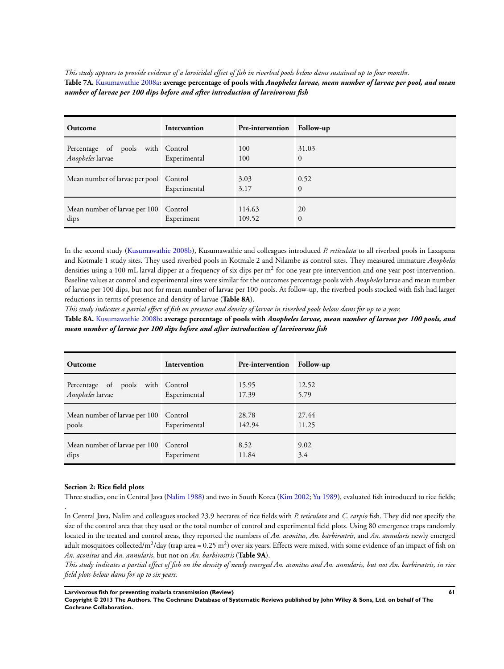*This study appears to provide evidence of a larvicidal effect of fish in riverbed pools below dams sustained up to four months.* **Table 7A.** [Kusumawathie 2008a](#page-25-0)**: average percentage of pools with** *Anopheles larvae, mean number of larvae per pool, and mean number of larvae per 100 dips before and after introduction of larvivorous fish*

| Outcome                                       | Intervention                 | <b>Pre-intervention</b> | Follow-up             |
|-----------------------------------------------|------------------------------|-------------------------|-----------------------|
| pools<br>Percentage of<br>Anopheles larvae    | with Control<br>Experimental | 100<br>100              | 31.03<br>$\mathbf{0}$ |
| Mean number of larvae per pool Control        | Experimental                 | 3.03<br>3.17            | 0.52<br>$\mathbf{0}$  |
| Mean number of larvae per 100 Control<br>dips | Experiment                   | 114.63<br>109.52        | 20<br>$\overline{0}$  |

In the second study [\(Kusumawathie 2008b\)](#page-25-0), Kusumawathie and colleagues introduced *P. reticulata* to all riverbed pools in Laxapana and Kotmale 1 study sites. They used riverbed pools in Kotmale 2 and Nilambe as control sites. They measured immature *Anopheles* densities using a 100 mL larval dipper at a frequency of six dips per m<sup>2</sup> for one year pre-intervention and one year post-intervention. Baseline values at control and experimental sites were similar for the outcomes percentage pools with *Anopheles* larvae and mean number of larvae per 100 dips, but not for mean number of larvae per 100 pools. At follow-up, the riverbed pools stocked with fish had larger reductions in terms of presence and density of larvae (**Table 8A**).

*This study indicates a partial effect of fish on presence and density of larvae in riverbed pools below dams for up to a year.*

**Table 8A.** [Kusumawathie 2008b](#page-25-0)**: average percentage of pools with** *Anopheles larvae, mean number of larvae per 100 pools, and mean number of larvae per 100 dips before and after introduction of larvivorous fish*

| Outcome                               | Intervention | Pre-intervention | Follow-up |
|---------------------------------------|--------------|------------------|-----------|
| Percentage of pools                   | with Control | 15.95            | 12.52     |
| Anopheles larvae                      | Experimental | 17.39            | 5.79      |
| Mean number of larvae per 100 Control | Experimental | 28.78            | 27.44     |
| pools                                 |              | 142.94           | 11.25     |
| Mean number of larvae per 100 Control | Experiment   | 8.52             | 9.02      |
| dips                                  |              | 11.84            | 3.4       |

# **Section 2: Rice field plots**

.

Three studies, one in Central Java ([Nalim 1988\)](#page-25-0) and two in South Korea [\(Kim 2002;](#page-25-0) [Yu 1989](#page-25-0)), evaluated fish introduced to rice fields;

In Central Java, Nalim and colleagues stocked 23.9 hectares of rice fields with *P. reticulata* and *C. carpio* fish. They did not specify the size of the control area that they used or the total number of control and experimental field plots. Using 80 emergence traps randomly located in the treated and control areas, they reported the numbers of *An. aconitus*, *An. barbirostris*, and *An. annularis* newly emerged adult mosquitoes collected/m<sup>2</sup>/day (trap area = 0.25 m<sup>2</sup>) over six years. Effects were mixed, with some evidence of an impact of fish on *An. aconitus* and *An. annularis*, but not on *An. barbirostris* (**Table 9A**).

*This study indicates a partial effect of fish on the density of newly emerged An. aconitus and An. annularis, but not An. barbirostris, in rice field plots below dams for up to six years.*

**Larvivorous fish for preventing malaria transmission (Review) 61**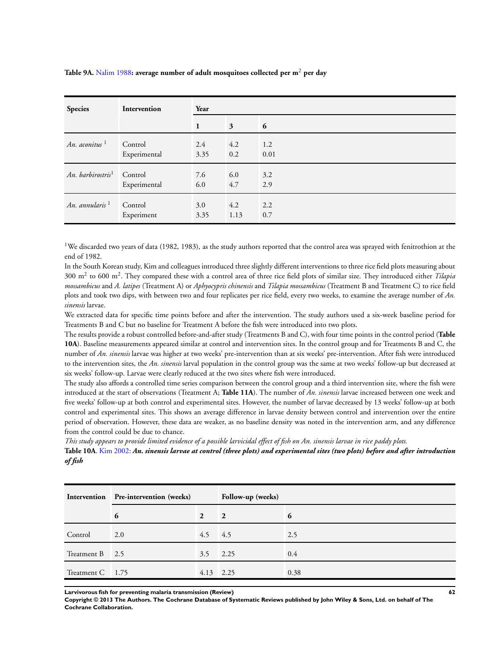| Table 9A. $\mathrm{N}$ alim 1988: average number of adult mosquitoes collected per m $^2$ per day |  |  |
|---------------------------------------------------------------------------------------------------|--|--|
|---------------------------------------------------------------------------------------------------|--|--|

| <b>Species</b>                        | Intervention            | Year         |              |             |  |
|---------------------------------------|-------------------------|--------------|--------------|-------------|--|
|                                       |                         | $\mathbf{1}$ | $\mathbf{3}$ | 6           |  |
| An. aconitus <sup>1</sup>             | Control<br>Experimental | 2.4<br>3.35  | 4.2<br>0.2   | 1.2<br>0.01 |  |
| An. barbirostris <sup>1</sup> Control | Experimental            | 7.6<br>6.0   | 6.0<br>4.7   | 3.2<br>2.9  |  |
| An. annularis <sup>1</sup>            | Control<br>Experiment   | 3.0<br>3.35  | 4.2<br>1.13  | 2.2<br>0.7  |  |

<sup>1</sup>We discarded two years of data (1982, 1983), as the study authors reported that the control area was sprayed with fenitrothion at the end of 1982.

In the South Korean study, Kim and colleagues introduced threeslightly different interventions to three rice field plots measuring about 300 m<sup>2</sup> to 600 m<sup>2</sup> . They compared these with a control area of three rice field plots of similar size. They introduced either *Tilapia mossambicus* and *A. latipes* (Treatment A) or *Aphyocypris chinensis* and *Tilapia mossambicus* (Treatment B and Treatment C) to rice field plots and took two dips, with between two and four replicates per rice field, every two weeks, to examine the average number of *An. sinensis* larvae.

We extracted data for specific time points before and after the intervention. The study authors used a six-week baseline period for Treatments B and C but no baseline for Treatment A before the fish were introduced into two plots.

The results provide a robust controlled before-and-after study (Treatments B and C), with four time points in the control period (**Table 10A**). Baseline measurements appeared similar at control and intervention sites. In the control group and for Treatments B and C, the number of *An. sinensis* larvae was higher at two weeks' pre-intervention than at six weeks' pre-intervention. After fish were introduced to the intervention sites, the *An. sinensis* larval population in the control group was the same at two weeks' follow-up but decreased at six weeks' follow-up. Larvae were clearly reduced at the two sites where fish were introduced.

The study also affords a controlled time series comparison between the control group and a third intervention site, where the fish were introduced at the start of observations (Treatment A; **Table 11A**). The number of *An. sinensis* larvae increased between one week and five weeks' follow-up at both control and experimental sites. However, the number of larvae decreased by 13 weeks' follow-up at both control and experimental sites. This shows an average difference in larvae density between control and intervention over the entire period of observation. However, these data are weaker, as no baseline density was noted in the intervention arm, and any difference from the control could be due to chance.

*This study appears to provide limited evidence of a possible larvicidal effect of fish on An. sinensis larvae in rice paddy plots.*

**Table 10A**. [Kim 2002:](#page-25-0) *An. sinensis larvae at control (three plots) and experimental sites (two plots) before and after introduction of fish*

|                  | Intervention Pre-intervention (weeks) |                 | Follow-up (weeks)       |      |
|------------------|---------------------------------------|-----------------|-------------------------|------|
|                  | 6                                     | $\mathbf{2}$    | $\overline{\mathbf{2}}$ | -6   |
| Control          | 2.0                                   | 4.5 4.5         |                         | 2.5  |
| Treatment B 2.5  |                                       | $3.5\quad 2.25$ |                         | 0.4  |
| Treatment C 1.75 |                                       | 4.13 2.25       |                         | 0.38 |

**Larvivorous fish for preventing malaria transmission (Review) 62**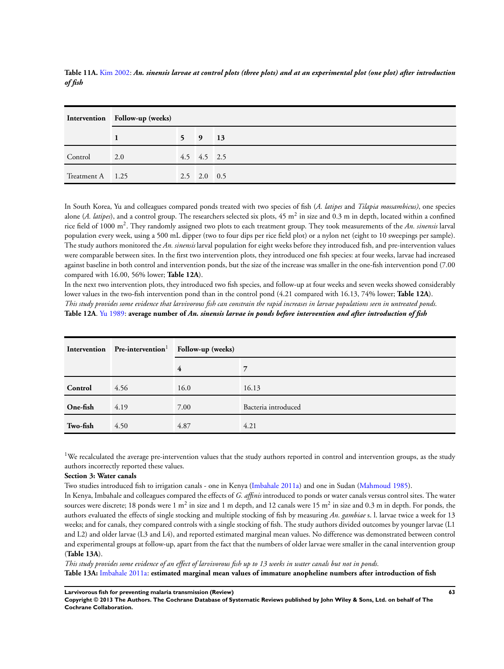**Table 11A.** [Kim 2002](#page-25-0): *An. sinensis larvae at control plots (three plots) and at an experimental plot (one plot) after introduction of fish*

|                  | Intervention Follow-up (weeks) |  |                   |  |  |  |
|------------------|--------------------------------|--|-------------------|--|--|--|
|                  | $\mathbf{1}$                   |  | 5 9 13            |  |  |  |
| Control          | 2.0                            |  | $4.5$ $4.5$ $2.5$ |  |  |  |
| Treatment A 1.25 |                                |  | $2.5$ $2.0$ $0.5$ |  |  |  |

In South Korea, Yu and colleagues compared ponds treated with two species of fish (*A. latipes* and *Tilapia mossambicus)*, one species alone (A. latipes), and a control group. The researchers selected six plots, 45 m<sup>2</sup> in size and 0.3 m in depth, located within a confined rice field of 1000 m<sup>2</sup> . They randomly assigned two plots to each treatment group. They took measurements of the *An. sinensis* larval population every week, using a 500 mL dipper (two to four dips per rice field plot) or a nylon net (eight to 10 sweepings per sample). The study authors monitored the *An. sinensis* larval population for eight weeks before they introduced fish, and pre-intervention values were comparable between sites. In the first two intervention plots, they introduced one fish species: at four weeks, larvae had increased against baseline in both control and intervention ponds, but the size of the increase was smaller in the one-fish intervention pond (7.00 compared with 16.00, 56% lower; **Table 12A**).

In the next two intervention plots, they introduced two fish species, and follow-up at four weeks and seven weeks showed considerably lower values in the two-fish intervention pond than in the control pond (4.21 compared with 16.13, 74% lower; **Table 12A**). *This study provides some evidence that larvivorous fish can constrain the rapid increases in larvae populations seen in untreated ponds.* **Table 12A**. [Yu 1989](#page-25-0): **average number of** *An. sinensis larvae in ponds before intervention and after introduction of fish*

|          | Intervention Pre-intervention <sup>1</sup> Follow-up (weeks) |                |                     |  |
|----------|--------------------------------------------------------------|----------------|---------------------|--|
|          |                                                              | $\overline{4}$ | 7                   |  |
| Control  | 4.56                                                         | 16.0           | 16.13               |  |
| One-fish | 4.19                                                         | 7.00           | Bacteria introduced |  |
| Two-fish | 4.50                                                         | 4.87           | 4.21                |  |

<sup>1</sup>We recalculated the average pre-intervention values that the study authors reported in control and intervention groups, as the study authors incorrectly reported these values.

# **Section 3: Water canals**

Two studies introduced fish to irrigation canals - one in Kenya ([Imbahale 2011a\)](#page-25-0) and one in Sudan [\(Mahmoud 1985](#page-25-0)).

In Kenya, Imbahale and colleagues compared the effects of *G. affinis* introduced to ponds or water canals versus control sites. The water sources were discrete; 18 ponds were 1 m<sup>2</sup> in size and 1 m depth, and 12 canals were 15 m<sup>2</sup> in size and 0.3 m in depth. For ponds, the authors evaluated the effects of single stocking and multiple stocking of fish by measuring *An. gambiae* s. l. larvae twice a week for 13 weeks; and for canals, they compared controls with a single stocking of fish. The study authors divided outcomes by younger larvae (L1 and L2) and older larvae (L3 and L4), and reported estimated marginal mean values. No difference was demonstrated between control and experimental groups at follow-up, apart from the fact that the numbers of older larvae were smaller in the canal intervention group (**Table 13A**).

*This study provides some evidence of an effect of larvivorous fish up to 13 weeks in water canals but not in ponds.* **Table 13A:** [Imbahale 2011a](#page-25-0): **estimated marginal mean values of immature anopheline numbers after introduction of fish**

**Larvivorous fish for preventing malaria transmission (Review) 63**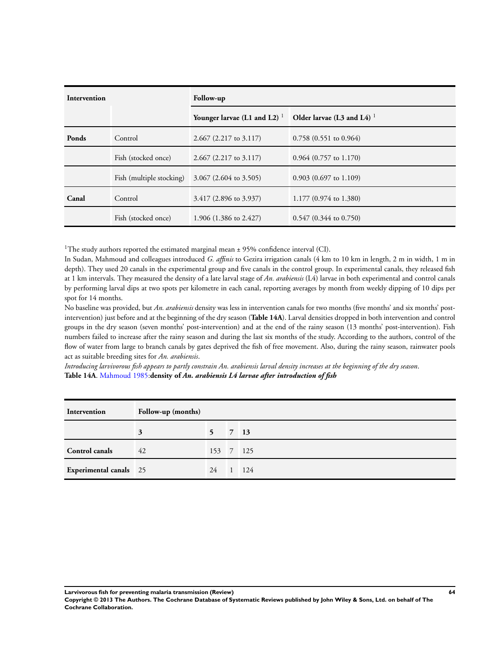| Intervention |                          | Follow-up                          |                                                    |  |  |  |
|--------------|--------------------------|------------------------------------|----------------------------------------------------|--|--|--|
|              |                          | Younger larvae (L1 and L2) $\perp$ | Older larvae (L3 and L4) <sup><math>1</math></sup> |  |  |  |
| Ponds        | Control                  | $2.667$ (2.217 to 3.117)           | $0.758(0.551)$ to $0.964$ )                        |  |  |  |
|              | Fish (stocked once)      | $2.667$ (2.217 to 3.117)           | $0.964$ (0.757 to 1.170)                           |  |  |  |
|              | Fish (multiple stocking) | $3.067$ (2.604 to 3.505)           | $0.903(0.697 \text{ to } 1.109)$                   |  |  |  |
| Canal        | Control                  | 3.417 (2.896 to 3.937)             | 1.177 (0.974 to 1.380)                             |  |  |  |
|              | Fish (stocked once)      | 1.906 (1.386 to 2.427)             | $0.547(0.344 \text{ to } 0.750)$                   |  |  |  |

<sup>1</sup>The study authors reported the estimated marginal mean  $\pm$  95% confidence interval (CI).

In Sudan, Mahmoud and colleagues introduced *G. affinis* to Gezira irrigation canals (4 km to 10 km in length, 2 m in width, 1 m in depth). They used 20 canals in the experimental group and five canals in the control group. In experimental canals, they released fish at 1 km intervals. They measured the density of a late larval stage of *An. arabiensis* (L4) larvae in both experimental and control canals by performing larval dips at two spots per kilometre in each canal, reporting averages by month from weekly dipping of 10 dips per spot for 14 months.

No baseline was provided, but *An. arabiensis* density was less in intervention canals for two months (five months' and six months' postintervention) just before and at the beginning of the dry season (**Table 14A**). Larval densities dropped in both intervention and control groups in the dry season (seven months' post-intervention) and at the end of the rainy season (13 months' post-intervention). Fish numbers failed to increase after the rainy season and during the last six months of the study. According to the authors, control of the flow of water from large to branch canals by gates deprived the fish of free movement. Also, during the rainy season, rainwater pools act as suitable breeding sites for *An. arabiensis*.

*Introducing larvivorous fish appears to partly constrain An. arabiensis larval density increases at the beginning of the dry season*. **Table 14A**. [Mahmoud 1985](#page-25-0):**density of** *An. arabiensis L4 larvae after introduction of fish*

| Intervention                  | Follow-up (months) |                |  |  |  |
|-------------------------------|--------------------|----------------|--|--|--|
|                               | 3                  | $5 \t 7 \t 13$ |  |  |  |
| <b>Control</b> canals         | 42                 | 153 7 125      |  |  |  |
| <b>Experimental canals</b> 25 |                    | 24 1 124       |  |  |  |

**Larvivorous fish for preventing malaria transmission (Review) 64**